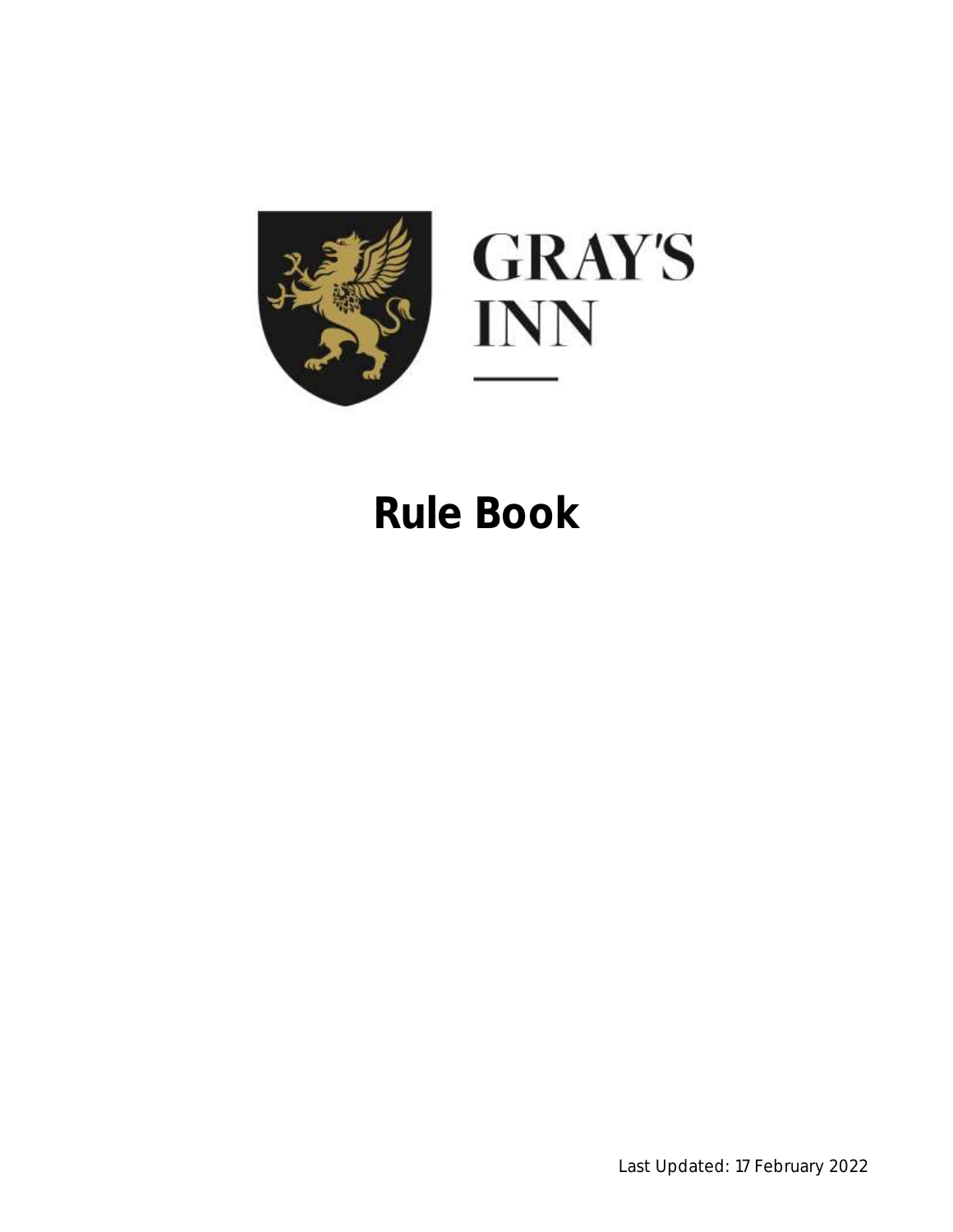

# **Rule Book**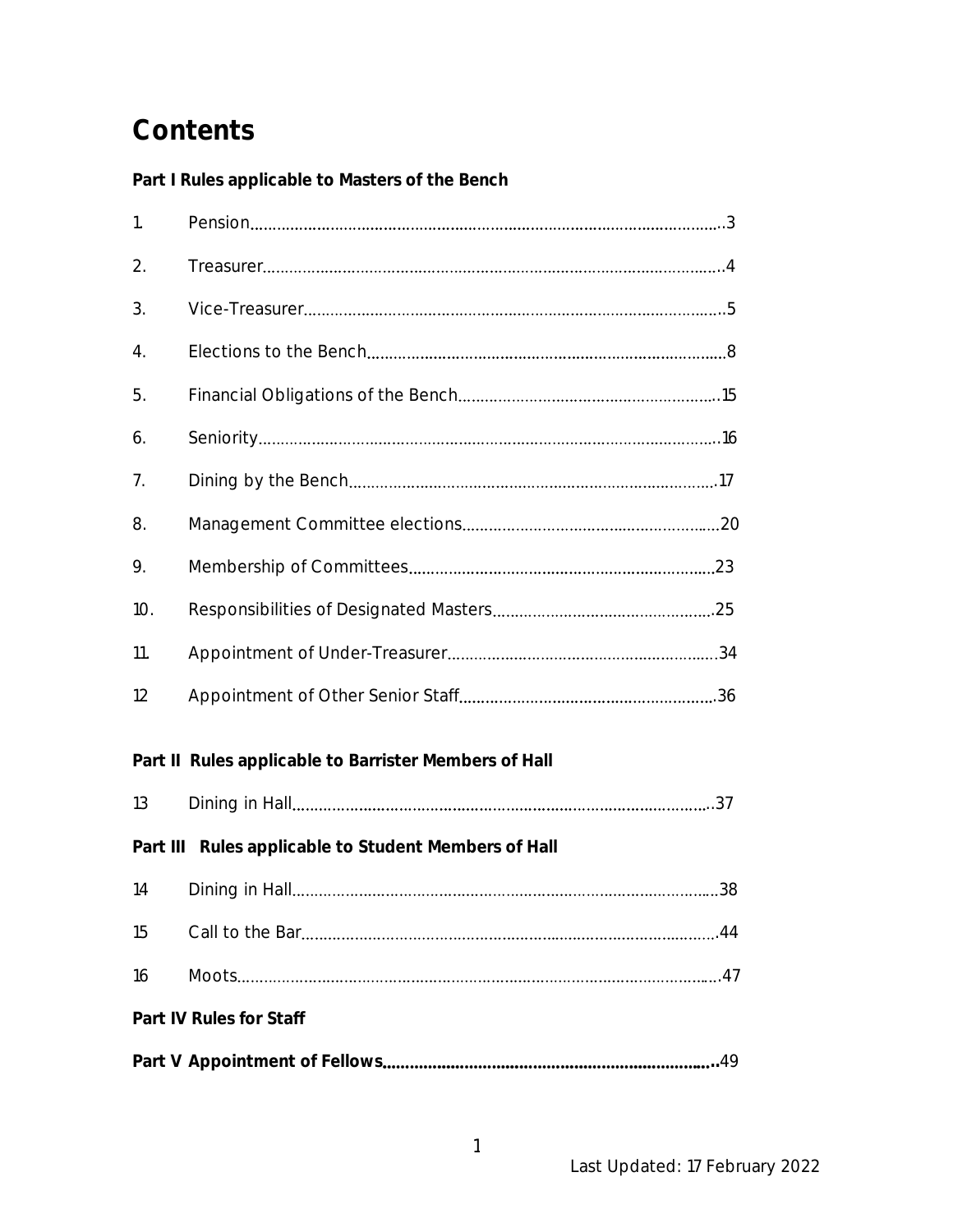# **Contents**

**Part I Rules applicable to Masters of the Bench**

| 1.                      |                                                       |  |  |
|-------------------------|-------------------------------------------------------|--|--|
| 2.                      |                                                       |  |  |
| 3.                      |                                                       |  |  |
| 4.                      |                                                       |  |  |
| 5.                      |                                                       |  |  |
| 6.                      |                                                       |  |  |
| 7.                      |                                                       |  |  |
| 8.                      |                                                       |  |  |
| 9.                      |                                                       |  |  |
| 10.                     |                                                       |  |  |
| 11.                     |                                                       |  |  |
| 12                      |                                                       |  |  |
|                         | Part II Rules applicable to Barrister Members of Hall |  |  |
| 13                      |                                                       |  |  |
|                         | Part III Rules applicable to Student Members of Hall  |  |  |
| 14                      |                                                       |  |  |
| 15                      |                                                       |  |  |
| 16                      |                                                       |  |  |
| Part IV Rules for Staff |                                                       |  |  |
|                         |                                                       |  |  |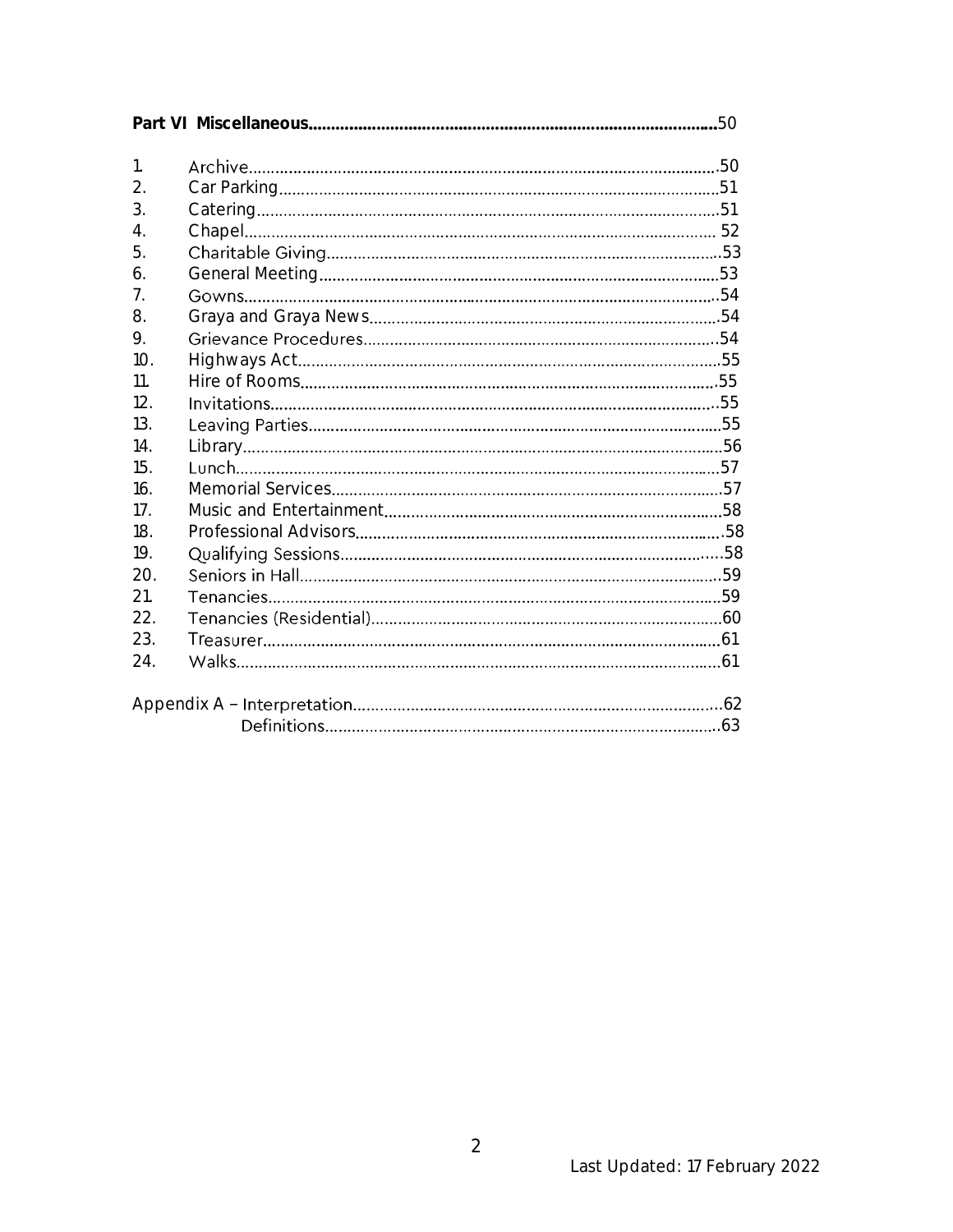| $\mathbf{1}$ . |  |  |  |
|----------------|--|--|--|
| 2.             |  |  |  |
| 3.             |  |  |  |
| 4.             |  |  |  |
| 5.             |  |  |  |
| 6.             |  |  |  |
| 7 <sub>1</sub> |  |  |  |
| 8.             |  |  |  |
| 9.             |  |  |  |
| 10.            |  |  |  |
| 11.            |  |  |  |
| 12.            |  |  |  |
| 13.            |  |  |  |
| 14.            |  |  |  |
| 15.            |  |  |  |
| 16.            |  |  |  |
| 17.            |  |  |  |
| 18.            |  |  |  |
| 19.            |  |  |  |
| 20.            |  |  |  |
| 21.            |  |  |  |
| 22.            |  |  |  |
| 23.            |  |  |  |
| 24.            |  |  |  |
|                |  |  |  |
|                |  |  |  |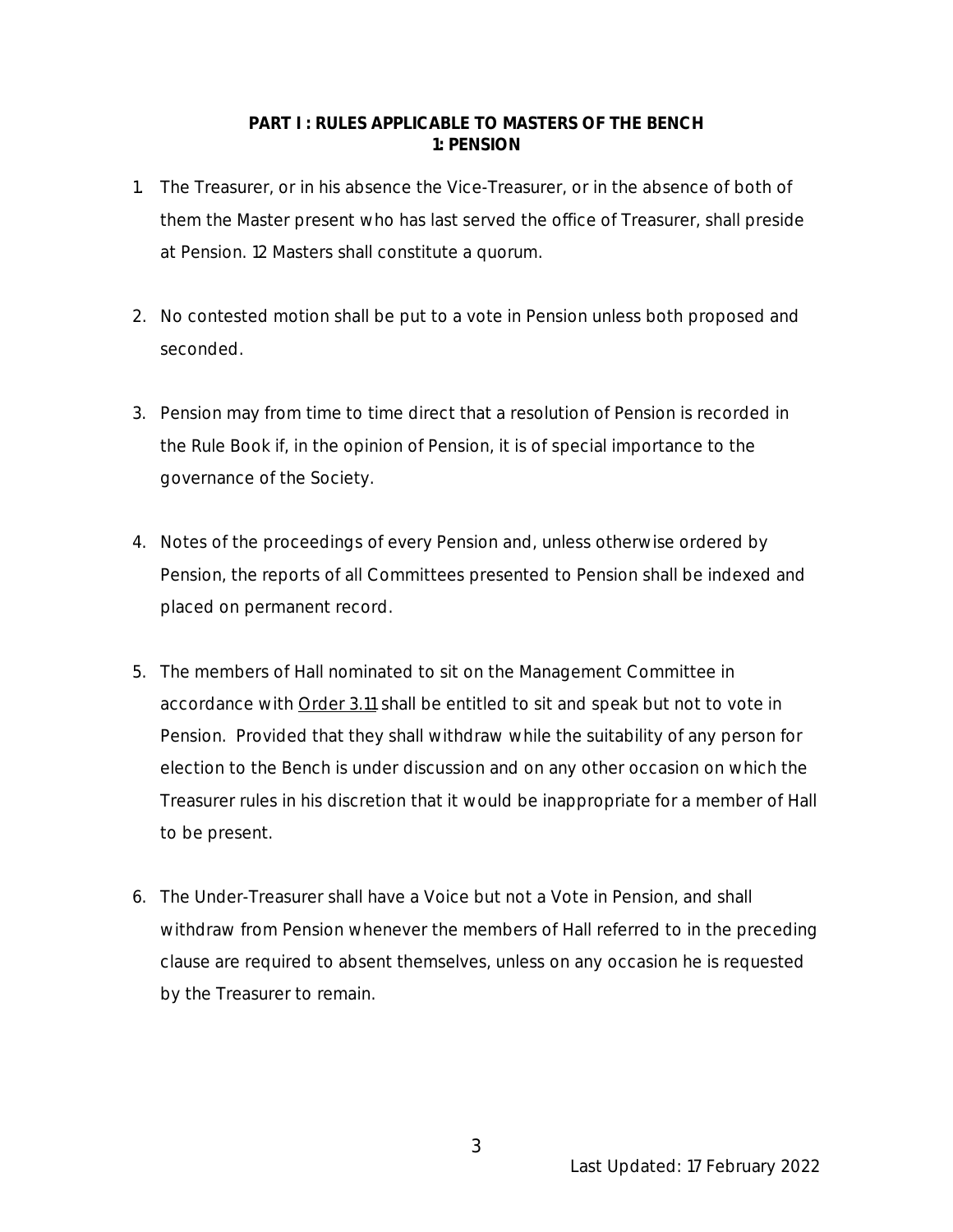#### **PART I : RULES APPLICABLE TO MASTERS OF THE BENCH 1: PENSION**

- 1. The Treasurer, or in his absence the Vice-Treasurer, or in the absence of both of them the Master present who has last served the office of Treasurer, shall preside at Pension. 12 Masters shall constitute a quorum.
- 2. No contested motion shall be put to a vote in Pension unless both proposed and seconded.
- 3. Pension may from time to time direct that a resolution of Pension is recorded in the Rule Book if, in the opinion of Pension, it is of special importance to the governance of the Society.
- 4. Notes of the proceedings of every Pension and, unless otherwise ordered by Pension, the reports of all Committees presented to Pension shall be indexed and placed on permanent record.
- 5. The members of Hall nominated to sit on the Management Committee in accordance with Order 3.11 shall be entitled to sit and speak but not to vote in Pension. Provided that they shall withdraw while the suitability of any person for election to the Bench is under discussion and on any other occasion on which the Treasurer rules in his discretion that it would be inappropriate for a member of Hall to be present.
- 6. The Under-Treasurer shall have a Voice but not a Vote in Pension, and shall withdraw from Pension whenever the members of Hall referred to in the preceding clause are required to absent themselves, unless on any occasion he is requested by the Treasurer to remain.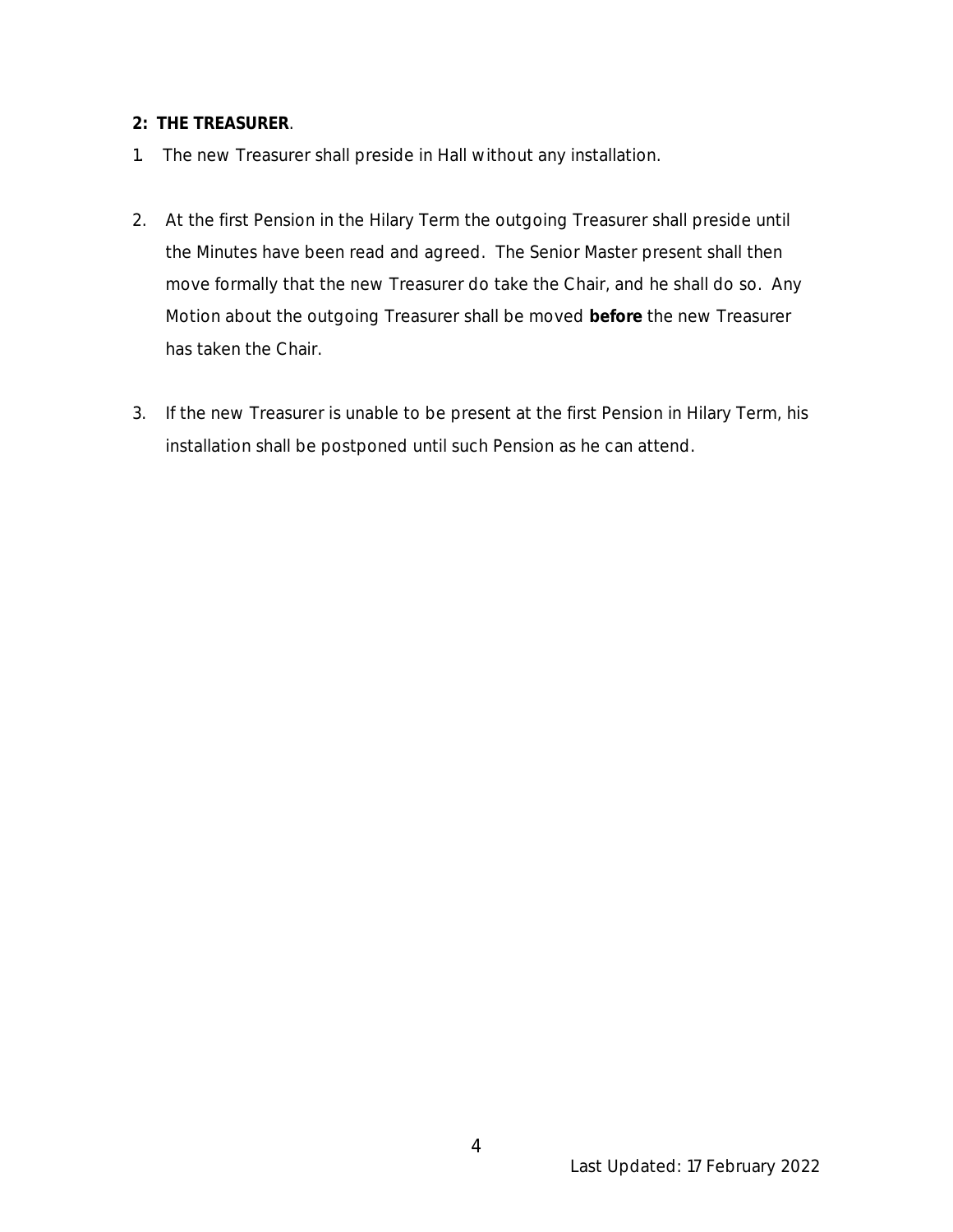- **2: THE TREASURER**.
- 1. The new Treasurer shall preside in Hall without any installation.
- 2. At the first Pension in the Hilary Term the outgoing Treasurer shall preside until the Minutes have been read and agreed. The Senior Master present shall then move formally that the new Treasurer do take the Chair, and he shall do so. Any Motion about the outgoing Treasurer shall be moved **before** the new Treasurer has taken the Chair.
- 3. If the new Treasurer is unable to be present at the first Pension in Hilary Term, his installation shall be postponed until such Pension as he can attend.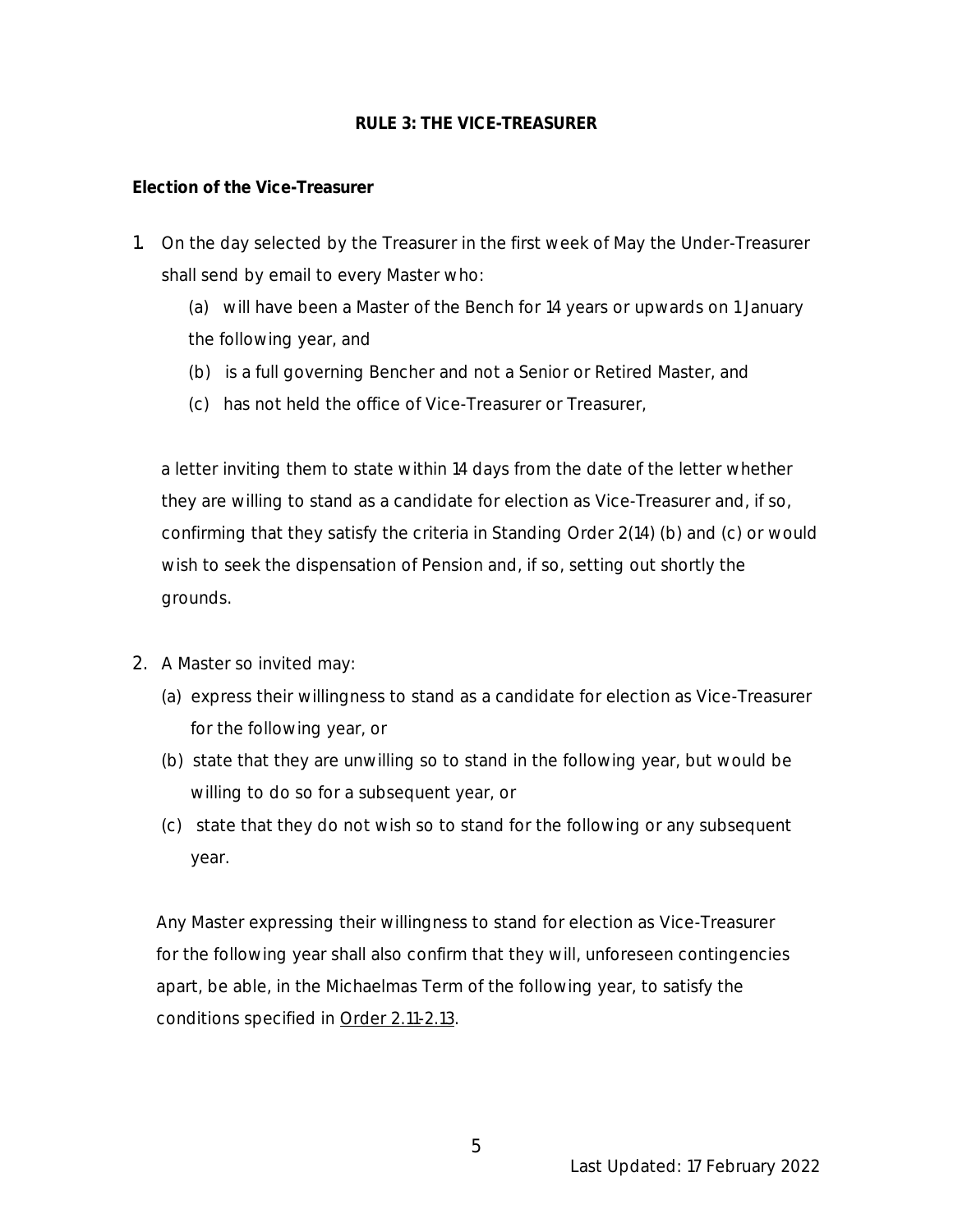#### **RULE 3: THE VICE-TREASURER**

### **Election of the Vice-Treasurer**

- 1. On the day selected by the Treasurer in the first week of May the Under-Treasurer shall send by email to every Master who:
	- (a) will have been a Master of the Bench for 14 years or upwards on 1 January the following year, and
	- (b) is a full governing Bencher and not a Senior or Retired Master, and
	- (c) has not held the office of Vice-Treasurer or Treasurer,

 a letter inviting them to state within 14 days from the date of the letter whether they are willing to stand as a candidate for election as Vice-Treasurer and, if so, confirming that they satisfy the criteria in Standing Order 2(14) (b) and (c) or would wish to seek the dispensation of Pension and, if so, setting out shortly the grounds.

- 2. A Master so invited may:
	- (a) express their willingness to stand as a candidate for election as Vice-Treasurer for the following year, or
	- (b) state that they are unwilling so to stand in the following year, but would be willing to do so for a subsequent year, or
	- (c) state that they do not wish so to stand for the following or any subsequent year.

 Any Master expressing their willingness to stand for election as Vice-Treasurer for the following year shall also confirm that they will, unforeseen contingencies apart, be able, in the Michaelmas Term of the following year, to satisfy the conditions specified in Order 2.11-2.13.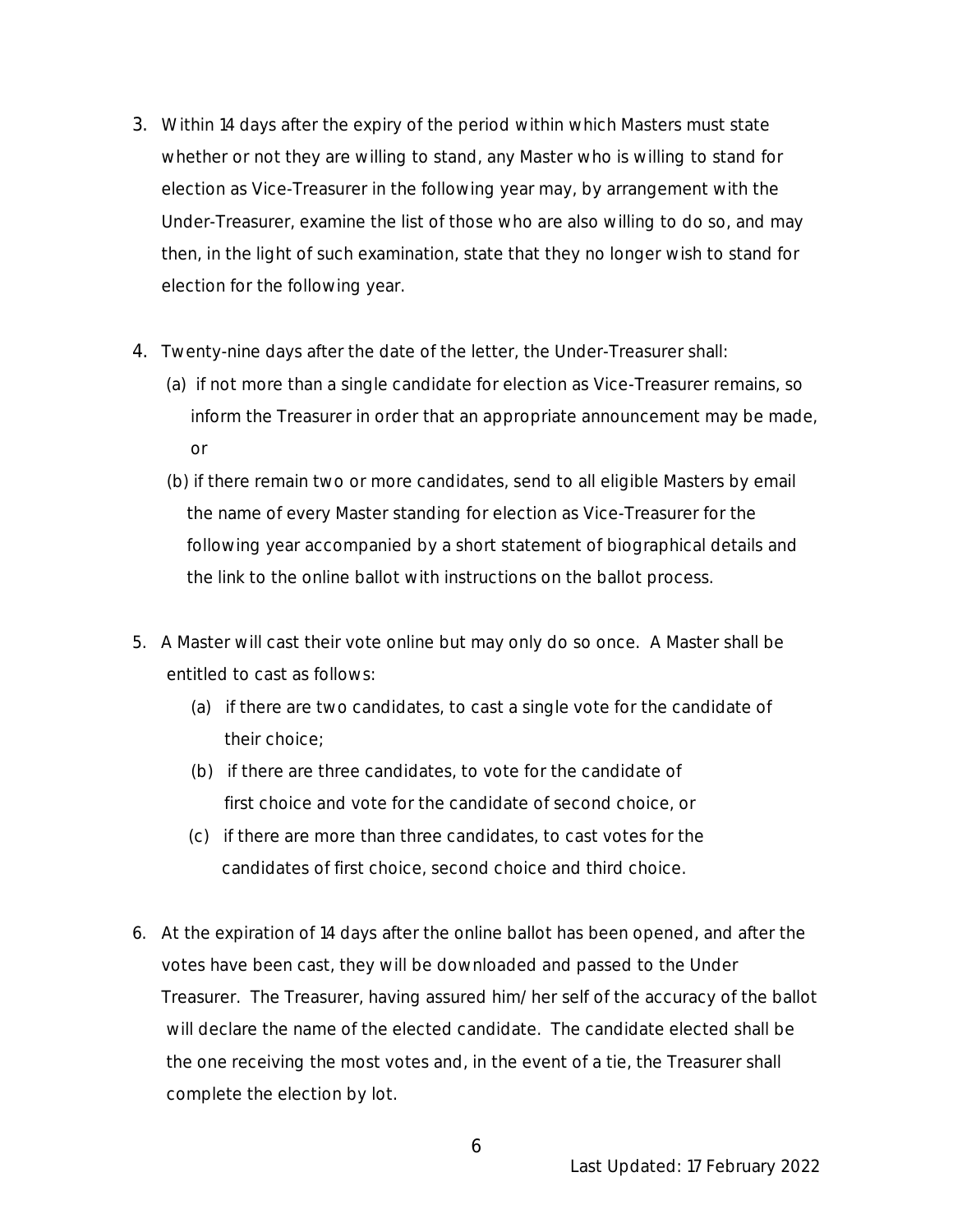- 3. Within 14 days after the expiry of the period within which Masters must state whether or not they are willing to stand, any Master who is willing to stand for election as Vice-Treasurer in the following year may, by arrangement with the Under-Treasurer, examine the list of those who are also willing to do so, and may then, in the light of such examination, state that they no longer wish to stand for election for the following year.
- 4. Twenty-nine days after the date of the letter, the Under-Treasurer shall:
	- (a) if not more than a single candidate for election as Vice-Treasurer remains, so inform the Treasurer in order that an appropriate announcement may be made, or
	- (b) if there remain two or more candidates, send to all eligible Masters by email the name of every Master standing for election as Vice-Treasurer for the following year accompanied by a short statement of biographical details and the link to the online ballot with instructions on the ballot process.
- 5. A Master will cast their vote online but may only do so once. A Master shall be entitled to cast as follows:
	- (a) if there are two candidates, to cast a single vote for the candidate of their choice;
	- (b) if there are three candidates, to vote for the candidate of first choice and vote for the candidate of second choice, or
	- (c) if there are more than three candidates, to cast votes for the candidates of first choice, second choice and third choice.
- 6. At the expiration of 14 days after the online ballot has been opened, and after the votes have been cast, they will be downloaded and passed to the Under Treasurer. The Treasurer, having assured him/her self of the accuracy of the ballot will declare the name of the elected candidate. The candidate elected shall be the one receiving the most votes and, in the event of a tie, the Treasurer shall complete the election by lot.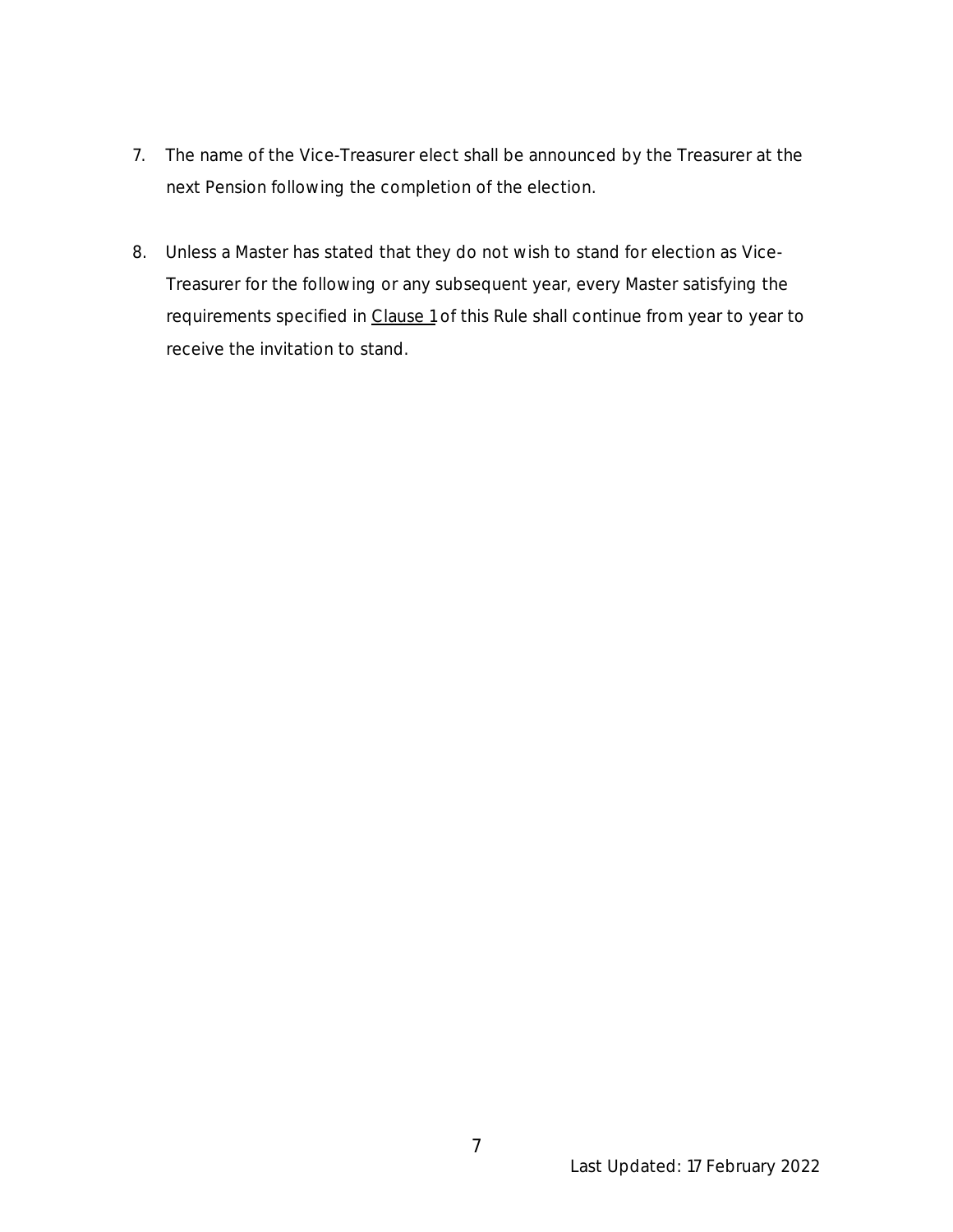- 7. The name of the Vice-Treasurer elect shall be announced by the Treasurer at the next Pension following the completion of the election.
- 8. Unless a Master has stated that they do not wish to stand for election as Vice- Treasurer for the following or any subsequent year, every Master satisfying the requirements specified in Clause 1 of this Rule shall continue from year to year to receive the invitation to stand.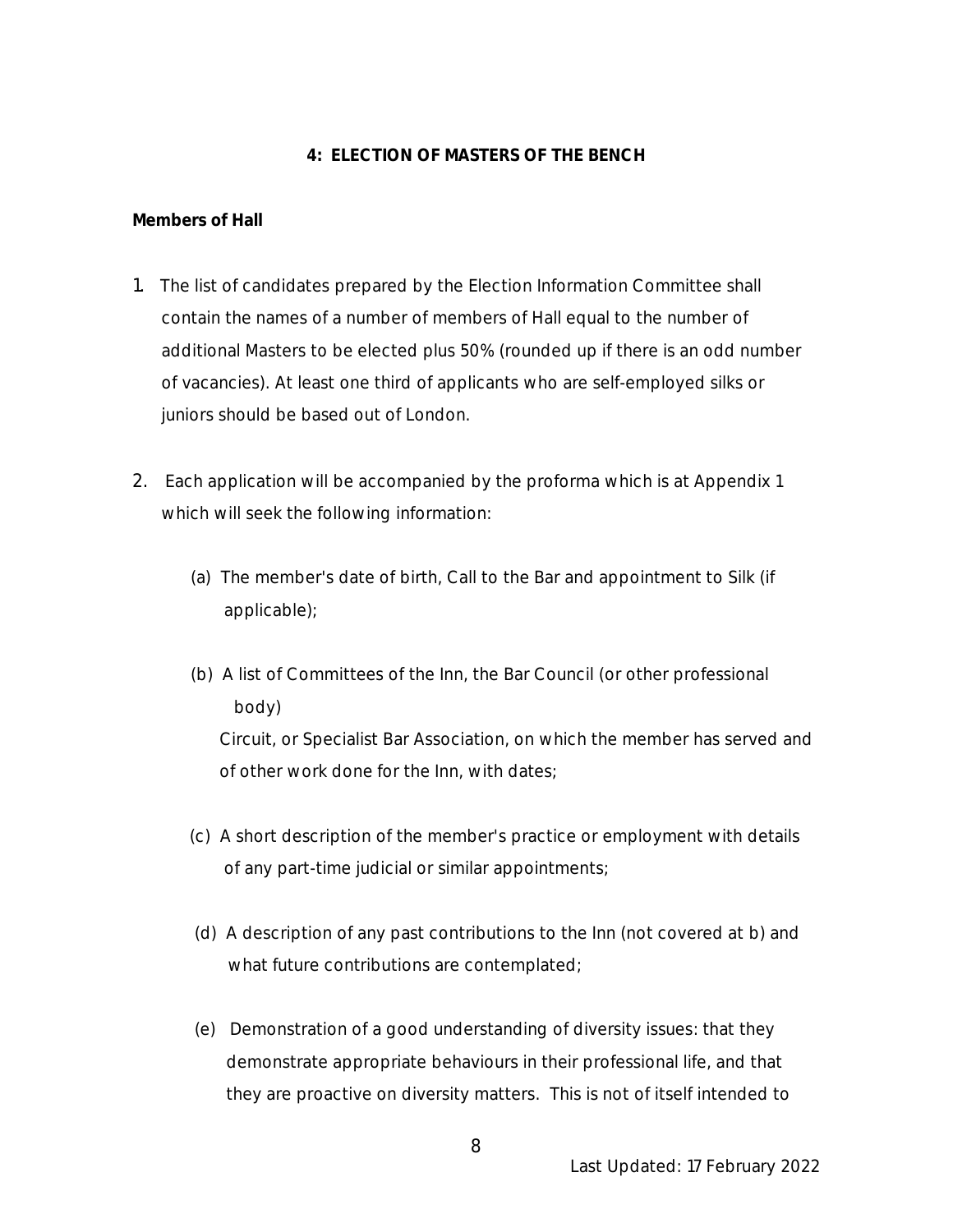#### **4: ELECTION OF MASTERS OF THE BENCH**

**Members of Hall**

- 1. The list of candidates prepared by the Election Information Committee shall contain the names of a number of members of Hall equal to the number of additional Masters to be elected plus 50% (rounded up if there is an odd number of vacancies). At least one third of applicants who are self-employed silks or juniors should be based out of London.
- 2. Each application will be accompanied by the proforma which is at Appendix 1 which will seek the following information:
	- (a) The member's date of birth, Call to the Bar and appointment to Silk (if applicable);
	- (b) A list of Committees of the Inn, the Bar Council (or other professional body) Circuit, or Specialist Bar Association, on which the member has served and of other work done for the Inn, with dates;
	- (c) A short description of the member's practice or employment with details of any part-time judicial or similar appointments;
	- (d) A description of any past contributions to the Inn (not covered at b) and what future contributions are contemplated;
	- (e) Demonstration of a good understanding of diversity issues: that they demonstrate appropriate behaviours in their professional life, and that they are proactive on diversity matters. This is not of itself intended to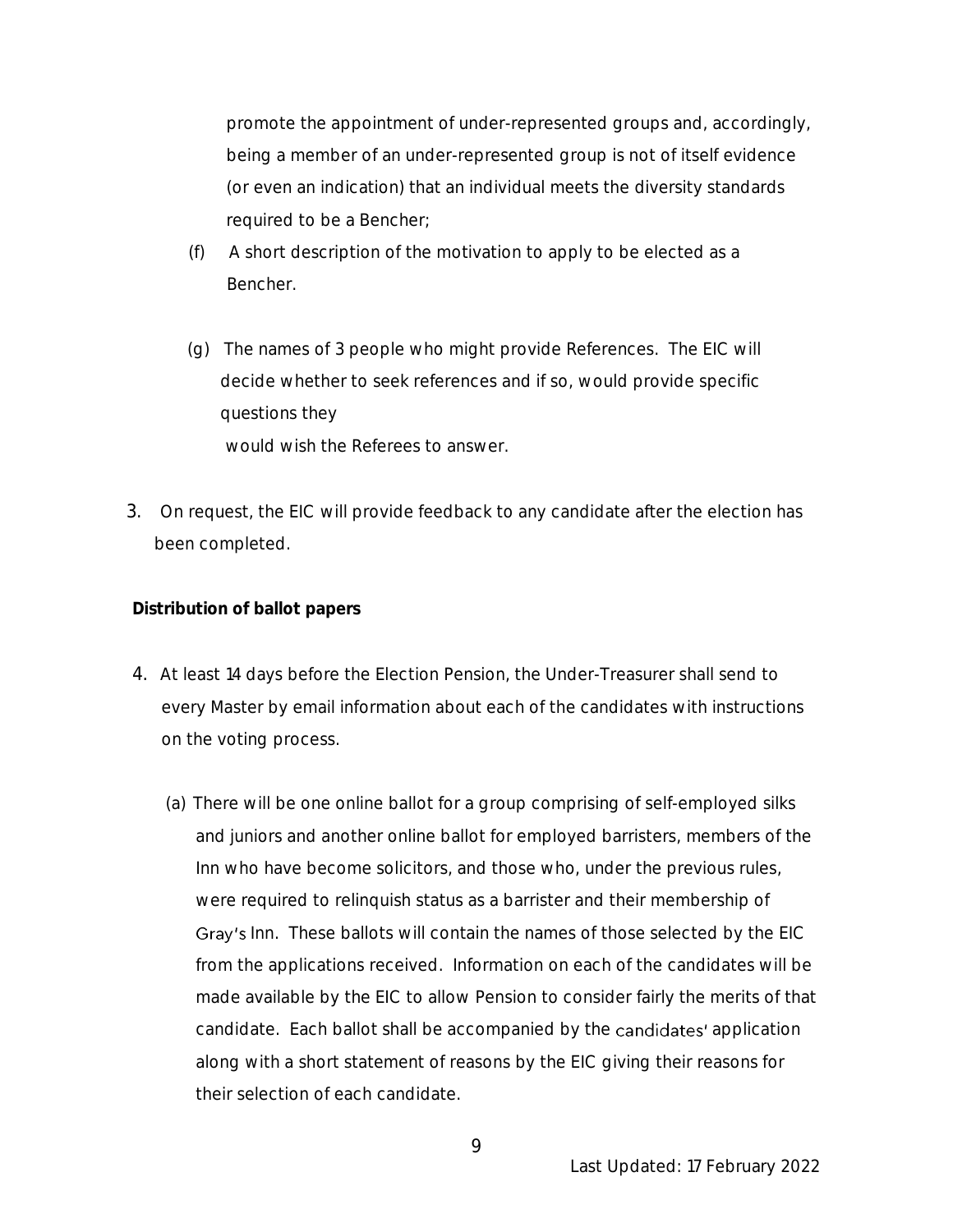promote the appointment of under-represented groups and, accordingly, being a member of an under-represented group is not of itself evidence (or even an indication) that an individual meets the diversity standards required to be a Bencher;

- (f) A short description of the motivation to apply to be elected as a Bencher.
- (g) The names of 3 people who might provide References. The EIC will decide whether to seek references and if so, would provide specific questions they would wish the Referees to answer.
- 3. On request, the EIC will provide feedback to any candidate after the election has been completed.

**Distribution of ballot papers**

- 4. At least 14 days before the Election Pension, the Under-Treasurer shall send to every Master by email information about each of the candidates with instructions on the voting process.
	- (a) There will be one online ballot for a group comprising of self-employed silks and juniors and another online ballot for employed barristers, members of the Inn who have become solicitors, and those who, under the previous rules, were required to relinquish status as a barrister and their membership of Gray's Inn. These ballots will contain the names of those selected by the EIC from the applications received. Information on each of the candidates will be made available by the EIC to allow Pension to consider fairly the merits of that candidate. Each ballot shall be accompanied by the candidates' application along with a short statement of reasons by the EIC giving their reasons for their selection of each candidate.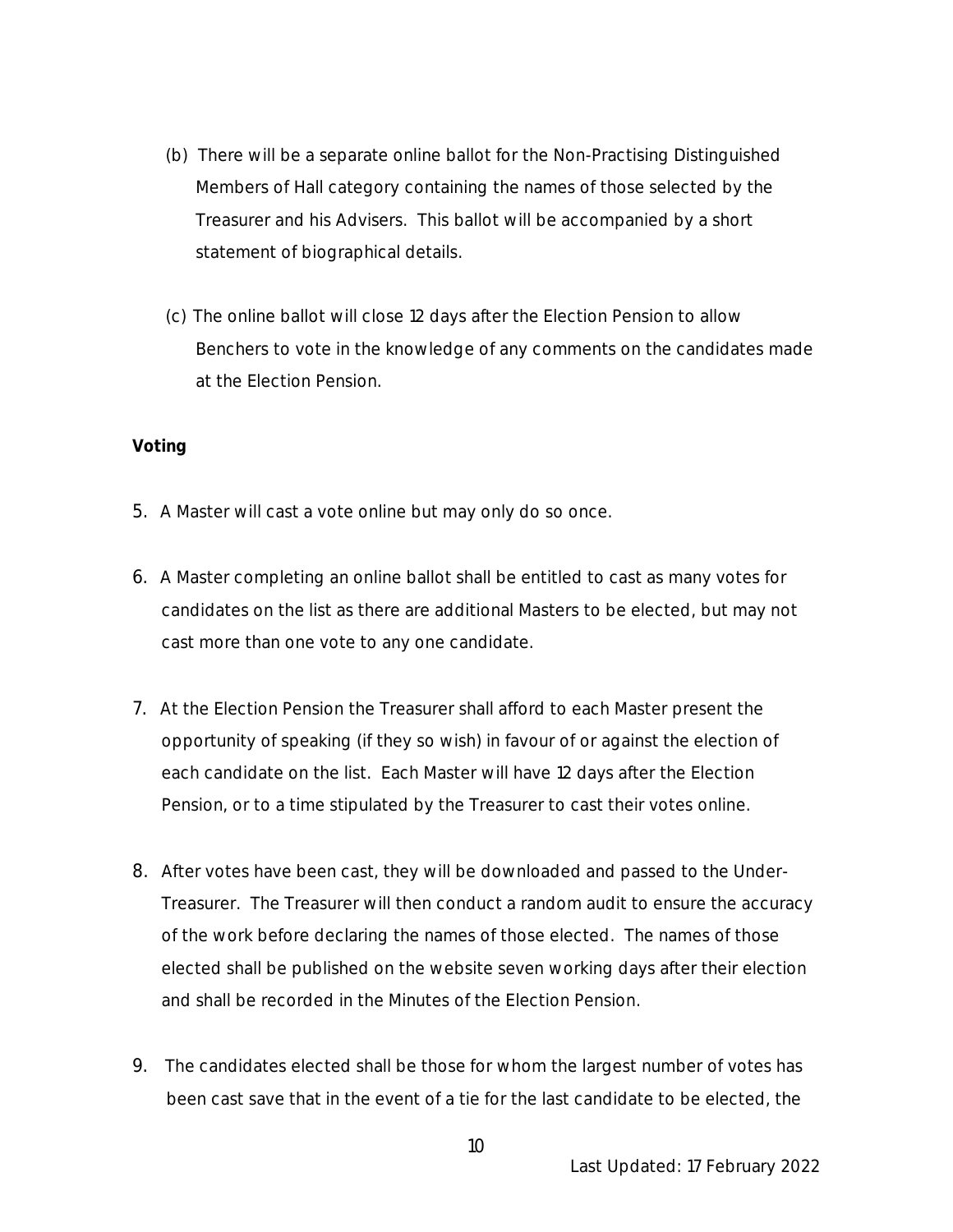- (b) There will be a separate online ballot for the Non-Practising Distinguished Members of Hall category containing the names of those selected by the Treasurer and his Advisers. This ballot will be accompanied by a short statement of biographical details.
- (c) The online ballot will close 12 days after the Election Pension to allow Benchers to vote in the knowledge of any comments on the candidates made at the Election Pension.

#### **Voting**

- 5. A Master will cast a vote online but may only do so once.
- 6. A Master completing an online ballot shall be entitled to cast as many votes for candidates on the list as there are additional Masters to be elected, but may not cast more than one vote to any one candidate.
- 7. At the Election Pension the Treasurer shall afford to each Master present the opportunity of speaking (if they so wish) in favour of or against the election of each candidate on the list. Each Master will have 12 days after the Election Pension, or to a time stipulated by the Treasurer to cast their votes online.
- 8. After votes have been cast, they will be downloaded and passed to the Under-Treasurer. The Treasurer will then conduct a random audit to ensure the accuracy of the work before declaring the names of those elected. The names of those elected shall be published on the website seven working days after their election and shall be recorded in the Minutes of the Election Pension.
- 9. The candidates elected shall be those for whom the largest number of votes has been cast save that in the event of a tie for the last candidate to be elected, the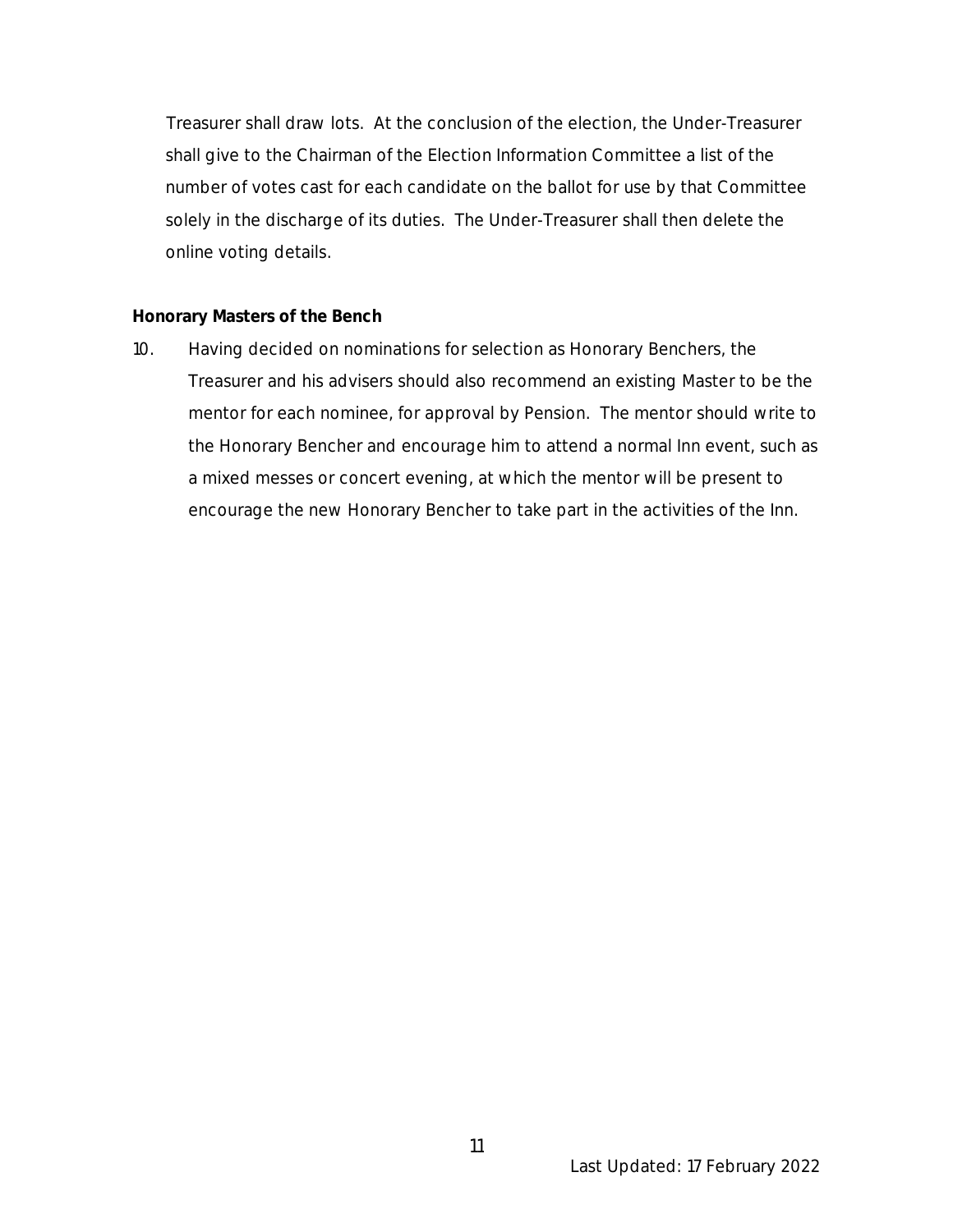Treasurer shall draw lots. At the conclusion of the election, the Under-Treasurer shall give to the Chairman of the Election Information Committee a list of the number of votes cast for each candidate on the ballot for use by that Committee solely in the discharge of its duties. The Under-Treasurer shall then delete the online voting details.

#### **Honorary Masters of the Bench**

10. Having decided on nominations for selection as Honorary Benchers, the Treasurer and his advisers should also recommend an existing Master to be the mentor for each nominee, for approval by Pension. The mentor should write to the Honorary Bencher and encourage him to attend a normal Inn event, such as a mixed messes or concert evening, at which the mentor will be present to encourage the new Honorary Bencher to take part in the activities of the Inn.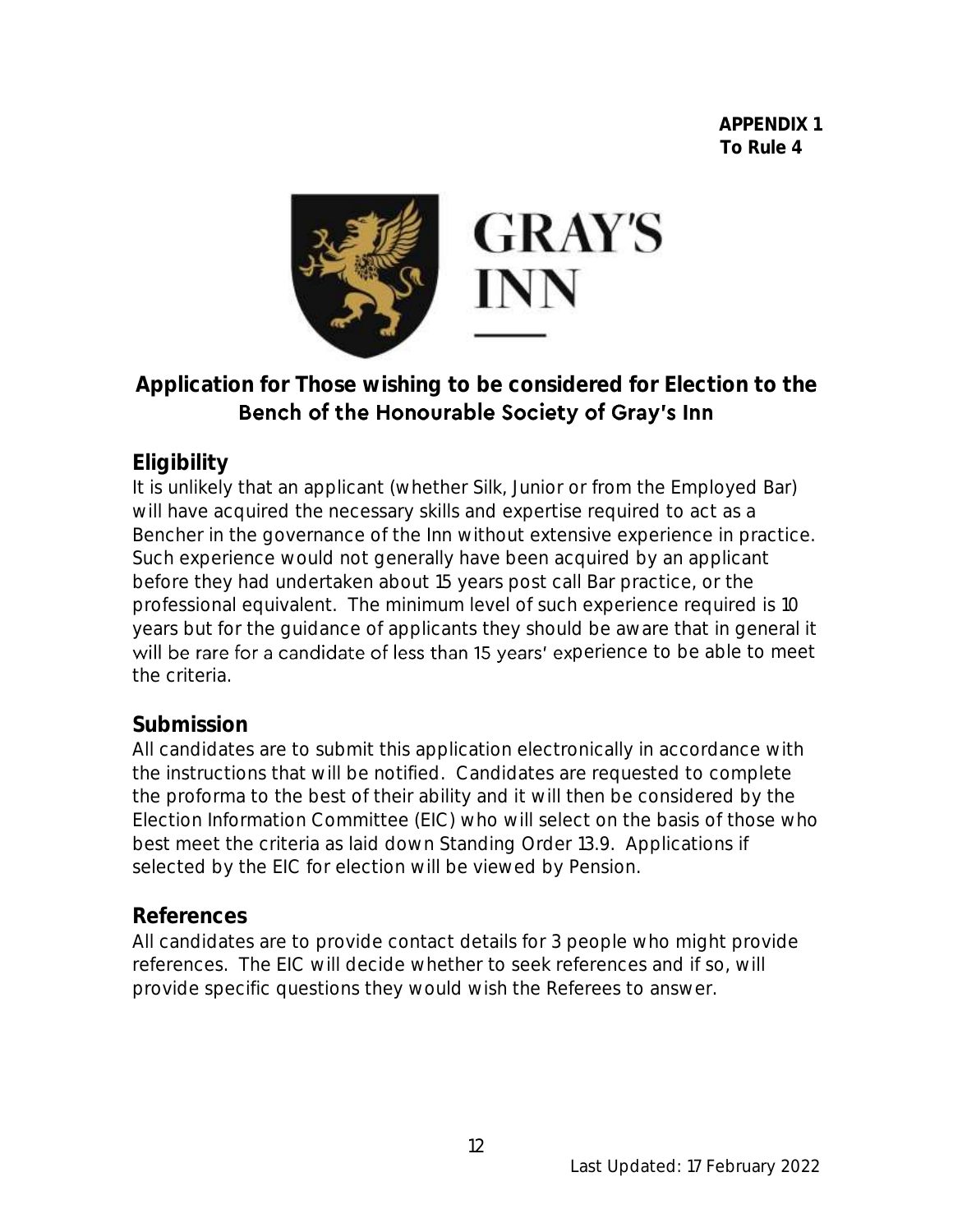

# **Application for Those wishing to be considered for Election to the**  Bench of the Honourable Society of Gray's Inn

# **Eligibility**

It is unlikely that an applicant (whether Silk, Junior or from the Employed Bar) will have acquired the necessary skills and expertise required to act as a Bencher in the governance of the Inn without extensive experience in practice. Such experience would not generally have been acquired by an applicant before they had undertaken about 15 years post call Bar practice, or the professional equivalent. The minimum level of such experience required is 10 years but for the guidance of applicants they should be aware that in general it will be rare for a candidate of less than 15 years' experience to be able to meet the criteria.

# **Submission**

All candidates are to submit this application electronically in accordance with the instructions that will be notified. Candidates are requested to complete the proforma to the best of their ability and it will then be considered by the Election Information Committee (EIC) who will select on the basis of those who best meet the criteria as laid down Standing Order 13.9. Applications if selected by the EIC for election will be viewed by Pension.

# **References**

All candidates are to provide contact details for 3 people who might provide references. The EIC will decide whether to seek references and if so, will provide specific questions they would wish the Referees to answer.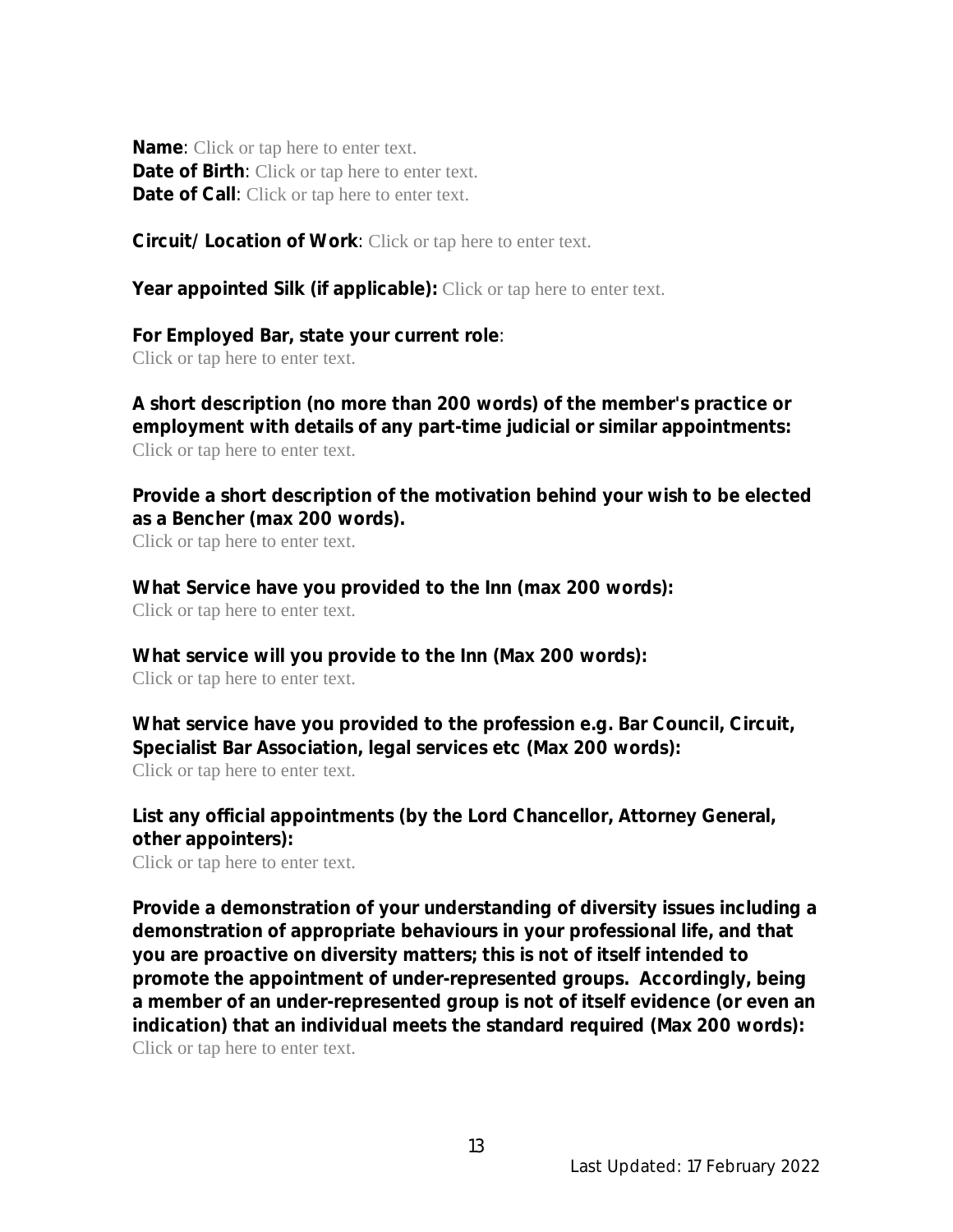**Name**: Click or tap here to enter text. **Date of Birth**: Click or tap here to enter text. **Date of Call**: Click or tap here to enter text.

**Circuit/Location of Work**: Click or tap here to enter text.

**Year appointed Silk (if applicable):** Click or tap here to enter text.

**For Employed Bar, state your current role**: Click or tap here to enter text.

**A short description (no more than 200 words) of the member's practice or employment with details of any part-time judicial or similar appointments:** Click or tap here to enter text.

**Provide a short description of the motivation behind your wish to be elected as a Bencher (max 200 words).** Click or tap here to enter text.

**What Service have you provided to the Inn (max 200 words):** Click or tap here to enter text.

**What service will you provide to the Inn (Max 200 words):** Click or tap here to enter text.

**What service have you provided to the profession e.g. Bar Council, Circuit, Specialist Bar Association, legal services etc (Max 200 words):** Click or tap here to enter text.

**List any official appointments (by the Lord Chancellor, Attorney General, other appointers):**

Click or tap here to enter text.

**Provide a demonstration of your understanding of diversity issues including a demonstration of appropriate behaviours in your professional life, and that you are proactive on diversity matters; this is not of itself intended to promote the appointment of under-represented groups. Accordingly, being a member of an under-represented group is not of itself evidence (or even an indication) that an individual meets the standard required (Max 200 words):** Click or tap here to enter text.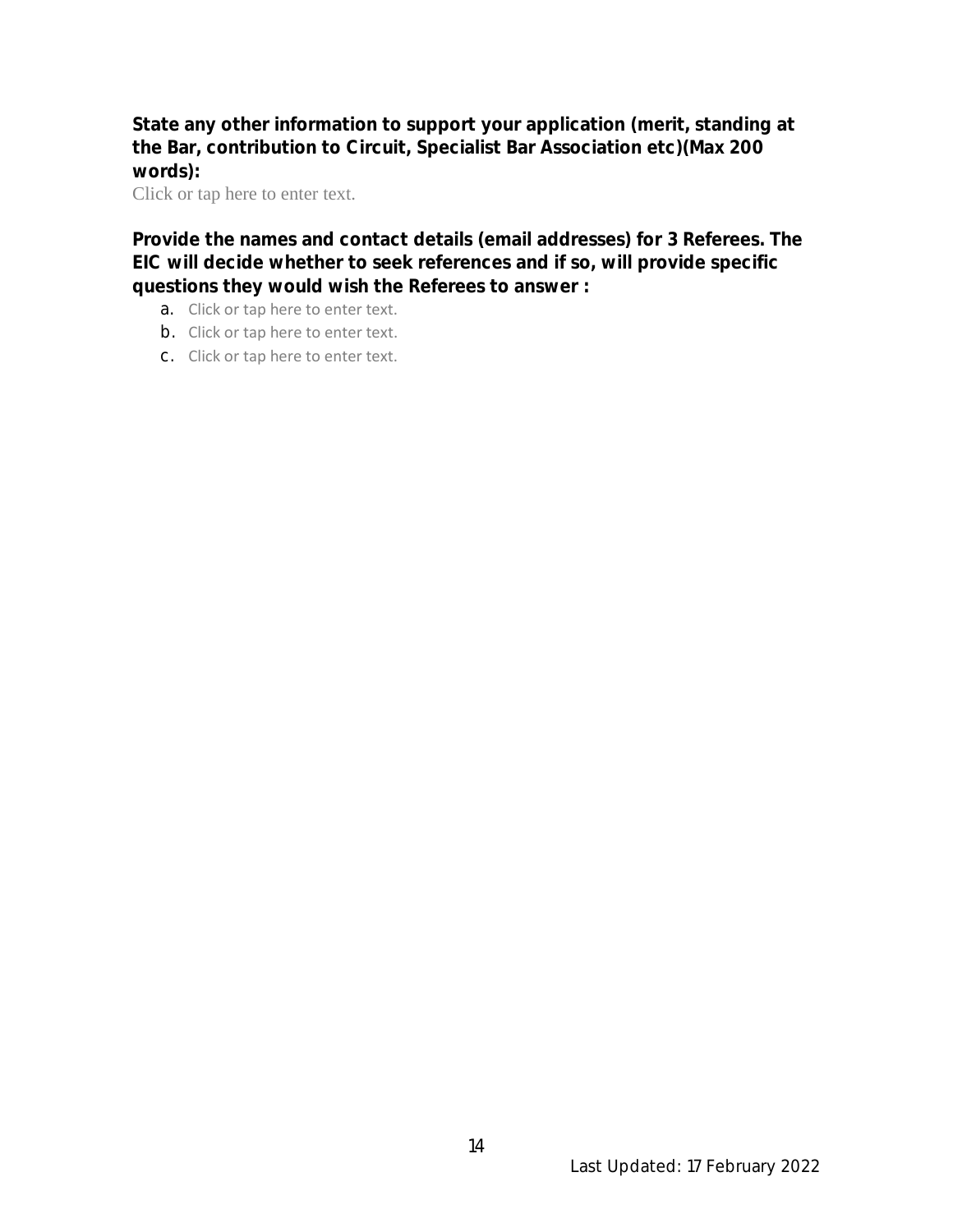**State any other information to support your application (merit, standing at the Bar, contribution to Circuit, Specialist Bar Association etc)(Max 200 words):**

Click or tap here to enter text.

**Provide the names and contact details (email addresses) for 3 Referees. The EIC will decide whether to seek references and if so, will provide specific questions they would wish the Referees to answer :**

- a. Click or tap here to enter text.
- b. Click or tap here to enter text.
- c. Click or tap here to enter text.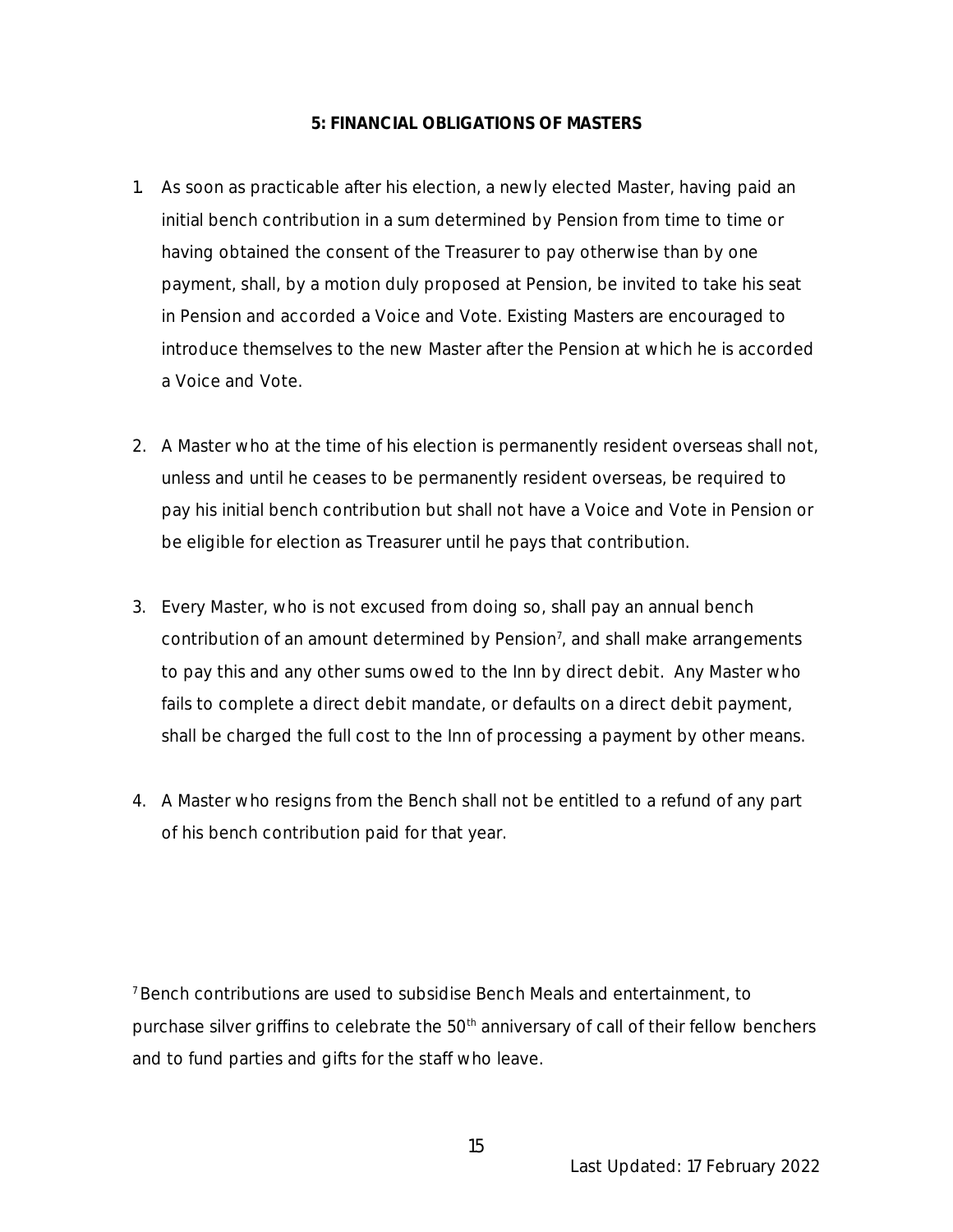#### **5: FINANCIAL OBLIGATIONS OF MASTERS**

- 1. As soon as practicable after his election, a newly elected Master, having paid an initial bench contribution in a sum determined by Pension from time to time or having obtained the consent of the Treasurer to pay otherwise than by one payment, shall, by a motion duly proposed at Pension, be invited to take his seat in Pension and accorded a Voice and Vote. Existing Masters are encouraged to introduce themselves to the new Master after the Pension at which he is accorded a Voice and Vote.
- 2. A Master who at the time of his election is permanently resident overseas shall not, unless and until he ceases to be permanently resident overseas, be required to pay his initial bench contribution but shall not have a Voice and Vote in Pension or be eligible for election as Treasurer until he pays that contribution.
- 3. Every Master, who is not excused from doing so, shall pay an annual bench contribution of an amount determined by Pension<sup>7</sup>, and shall make arrangements to pay this and any other sums owed to the Inn by direct debit. Any Master who fails to complete a direct debit mandate, or defaults on a direct debit payment, shall be charged the full cost to the Inn of processing a payment by other means.
- 4. A Master who resigns from the Bench shall not be entitled to a refund of any part of his bench contribution paid for that year.

<sup>7</sup>Bench contributions are used to subsidise Bench Meals and entertainment, to purchase silver griffins to celebrate the  $50<sup>th</sup>$  anniversary of call of their fellow benchers and to fund parties and gifts for the staff who leave.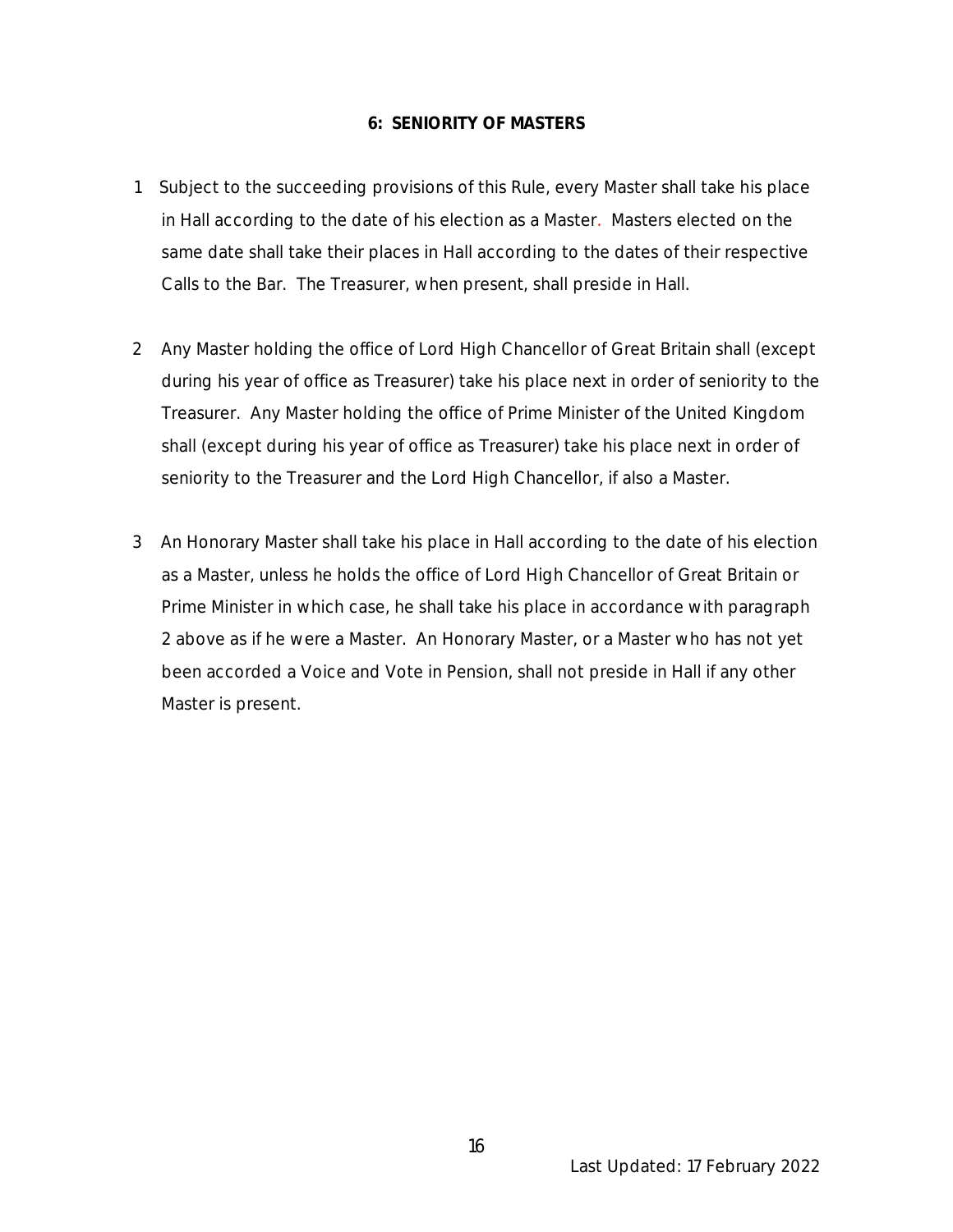#### **6: SENIORITY OF MASTERS**

- 1 Subject to the succeeding provisions of this Rule, every Master shall take his place in Hall according to the date of his election as a Master. Masters elected on the same date shall take their places in Hall according to the dates of their respective Calls to the Bar. The Treasurer, when present, shall preside in Hall.
- 2 Any Master holding the office of Lord High Chancellor of Great Britain shall (except during his year of office as Treasurer) take his place next in order of seniority to the Treasurer. Any Master holding the office of Prime Minister of the United Kingdom shall (except during his year of office as Treasurer) take his place next in order of seniority to the Treasurer and the Lord High Chancellor, if also a Master.
- 3 An Honorary Master shall take his place in Hall according to the date of his election as a Master, unless he holds the office of Lord High Chancellor of Great Britain or Prime Minister in which case, he shall take his place in accordance with paragraph 2 above as if he were a Master. An Honorary Master, or a Master who has not yet been accorded a Voice and Vote in Pension, shall not preside in Hall if any other Master is present.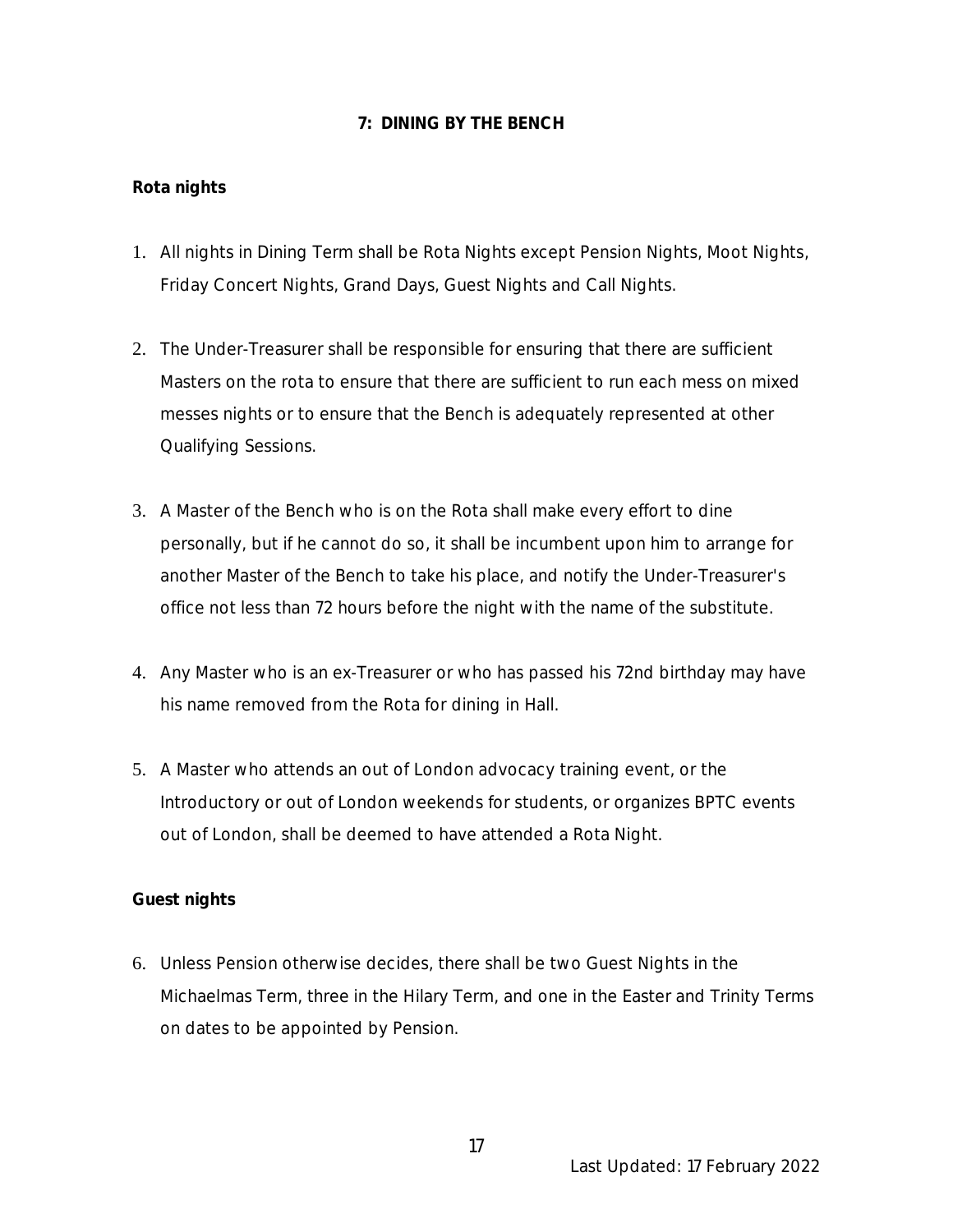# **7: DINING BY THE BENCH**

# **Rota nights**

- 1. All nights in Dining Term shall be Rota Nights except Pension Nights, Moot Nights, Friday Concert Nights, Grand Days, Guest Nights and Call Nights.
- 2. The Under-Treasurer shall be responsible for ensuring that there are sufficient Masters on the rota to ensure that there are sufficient to run each mess on mixed messes nights or to ensure that the Bench is adequately represented at other Qualifying Sessions.
- 3. A Master of the Bench who is on the Rota shall make every effort to dine personally, but if he cannot do so, it shall be incumbent upon him to arrange for another Master of the Bench to take his place, and notify the Under-Treasurer's office not less than 72 hours before the night with the name of the substitute.
- 4. Any Master who is an ex-Treasurer or who has passed his 72nd birthday may have his name removed from the Rota for dining in Hall.
- 5. A Master who attends an out of London advocacy training event, or the Introductory or out of London weekends for students, or organizes BPTC events out of London, shall be deemed to have attended a Rota Night.

# **Guest nights**

6. Unless Pension otherwise decides, there shall be two Guest Nights in the Michaelmas Term, three in the Hilary Term, and one in the Easter and Trinity Terms on dates to be appointed by Pension.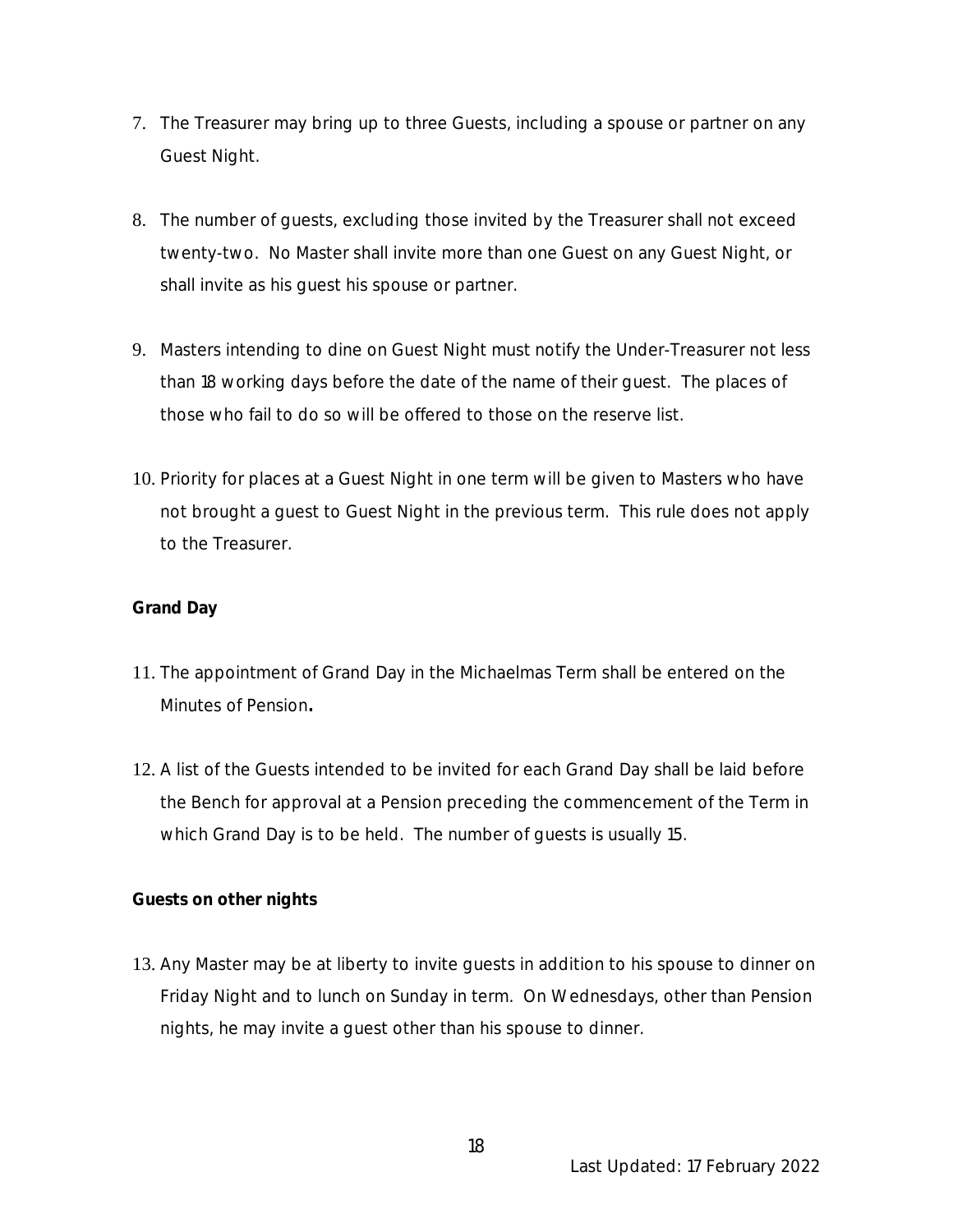- 7. The Treasurer may bring up to three Guests, including a spouse or partner on any Guest Night.
- 8. The number of guests, excluding those invited by the Treasurer shall not exceed twenty-two. No Master shall invite more than one Guest on any Guest Night, or shall invite as his guest his spouse or partner.
- 9. Masters intending to dine on Guest Night must notify the Under-Treasurer not less than 18 working days before the date of the name of their guest. The places of those who fail to do so will be offered to those on the reserve list.
- 10. Priority for places at a Guest Night in one term will be given to Masters who have not brought a guest to Guest Night in the previous term. This rule does not apply to the Treasurer.

# **Grand Day**

- 11. The appointment of Grand Day in the Michaelmas Term shall be entered on the Minutes of Pension**.**
- 12. A list of the Guests intended to be invited for each Grand Day shall be laid before the Bench for approval at a Pension preceding the commencement of the Term in which Grand Day is to be held. The number of guests is usually 15.

**Guests on other nights**

13. Any Master may be at liberty to invite guests in addition to his spouse to dinner on Friday Night and to lunch on Sunday in term. On Wednesdays, other than Pension nights, he may invite a guest other than his spouse to dinner.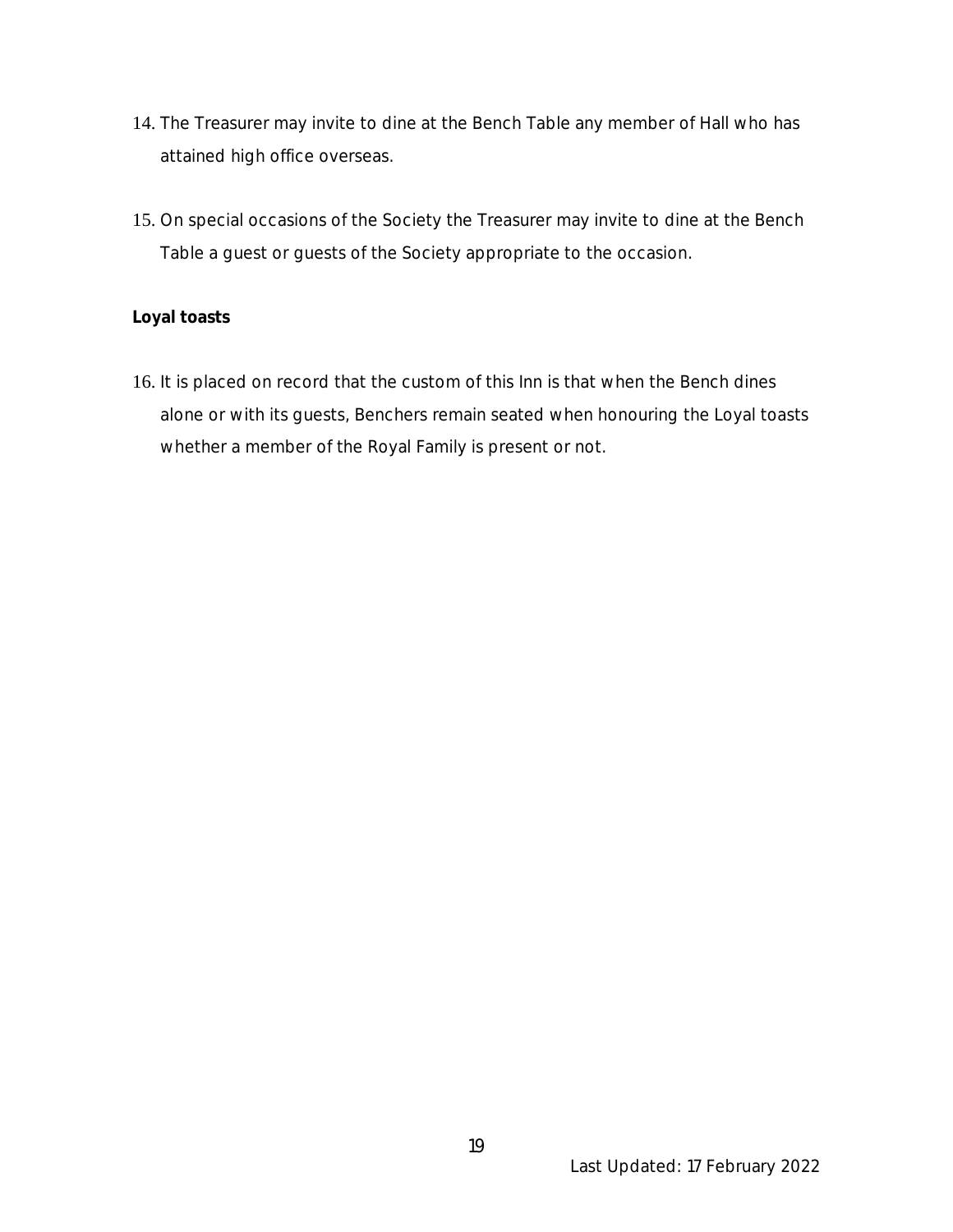- 14. The Treasurer may invite to dine at the Bench Table any member of Hall who has attained high office overseas.
- 15. On special occasions of the Society the Treasurer may invite to dine at the Bench Table a guest or guests of the Society appropriate to the occasion.

#### **Loyal toasts**

16. It is placed on record that the custom of this Inn is that when the Bench dines alone or with its guests, Benchers remain seated when honouring the Loyal toasts whether a member of the Royal Family is present or not.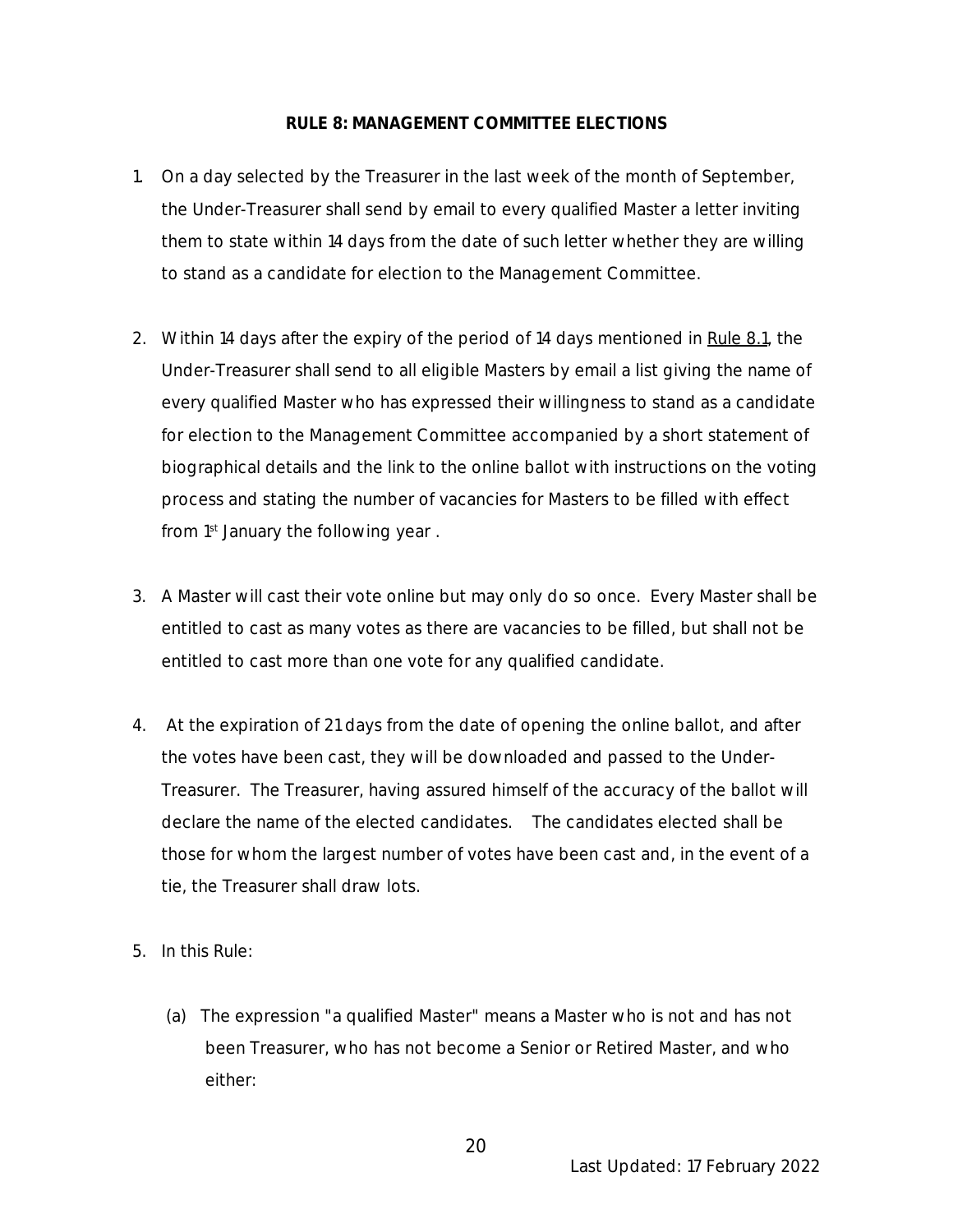#### **RULE 8: MANAGEMENT COMMITTEE ELECTIONS**

- 1. On a day selected by the Treasurer in the last week of the month of September, the Under-Treasurer shall send by email to every qualified Master a letter inviting them to state within 14 days from the date of such letter whether they are willing to stand as a candidate for election to the Management Committee.
- 2. Within 14 days after the expiry of the period of 14 days mentioned in Rule 8.1, the Under-Treasurer shall send to all eligible Masters by email a list giving the name of every qualified Master who has expressed their willingness to stand as a candidate for election to the Management Committee accompanied by a short statement of biographical details and the link to the online ballot with instructions on the voting process and stating the number of vacancies for Masters to be filled with effect from 1<sup>st</sup> January the following year.
- 3. A Master will cast their vote online but may only do so once. Every Master shall be entitled to cast as many votes as there are vacancies to be filled, but shall not be entitled to cast more than one vote for any qualified candidate.
- 4. At the expiration of 21 days from the date of opening the online ballot, and after the votes have been cast, they will be downloaded and passed to the Under-Treasurer. The Treasurer, having assured himself of the accuracy of the ballot will declare the name of the elected candidates. The candidates elected shall be those for whom the largest number of votes have been cast and, in the event of a tie, the Treasurer shall draw lots.
- 5. In this Rule:
	- (a) The expression "a qualified Master" means a Master who is not and has not been Treasurer, who has not become a Senior or Retired Master, and who either: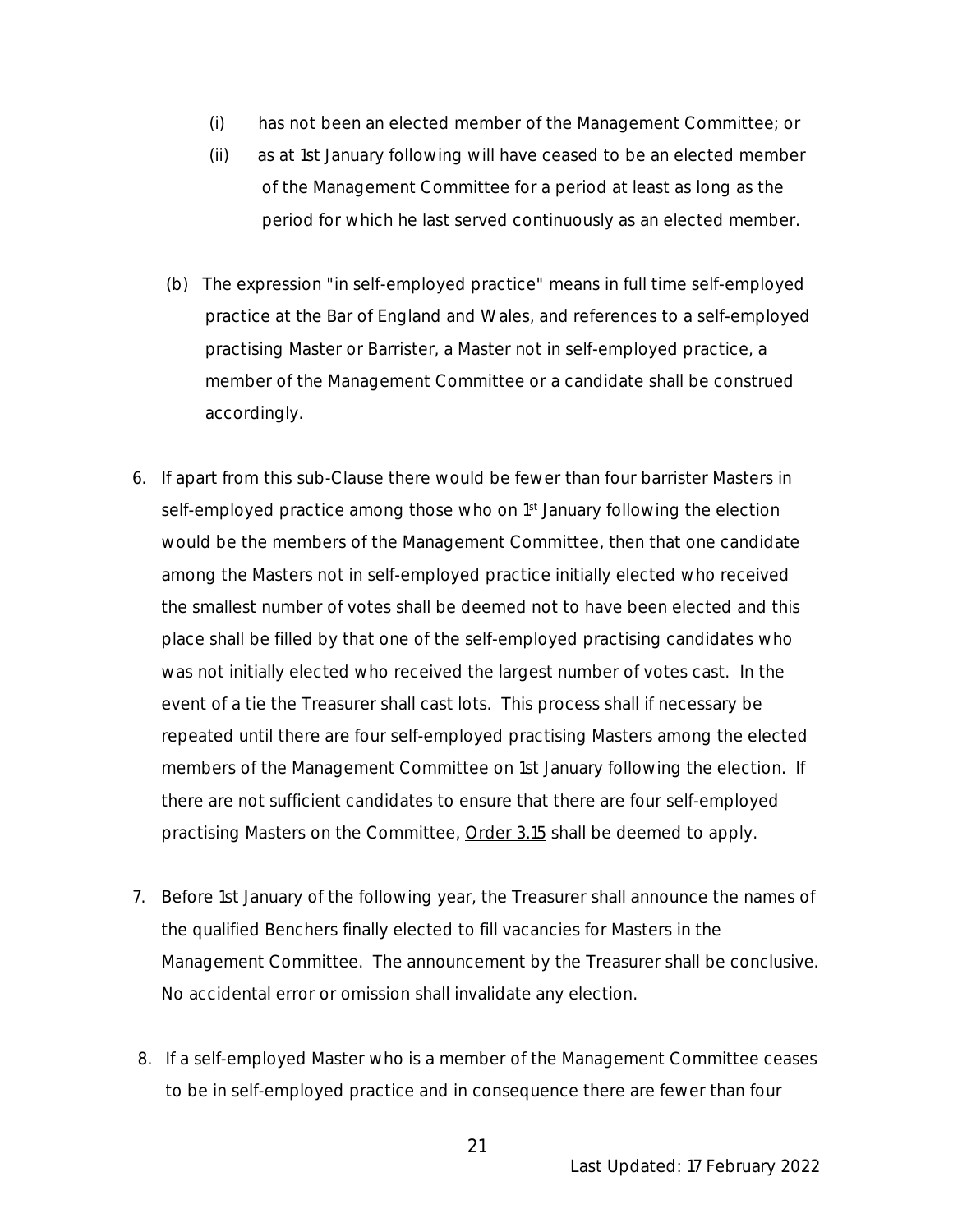- (i) has not been an elected member of the Management Committee; or
- (ii) as at 1st January following will have ceased to be an elected member of the Management Committee for a period at least as long as the period for which he last served continuously as an elected member.
- (b) The expression "in self-employed practice" means in full time self-employed practice at the Bar of England and Wales, and references to a self-employed practising Master or Barrister, a Master not in self-employed practice, a member of the Management Committee or a candidate shall be construed accordingly.
- 6. If apart from this sub-Clause there would be fewer than four barrister Masters in self-employed practice among those who on 1<sup>st</sup> January following the election would be the members of the Management Committee, then that one candidate among the Masters not in self-employed practice initially elected who received the smallest number of votes shall be deemed not to have been elected and this place shall be filled by that one of the self-employed practising candidates who was not initially elected who received the largest number of votes cast. In the event of a tie the Treasurer shall cast lots. This process shall if necessary be repeated until there are four self-employed practising Masters among the elected members of the Management Committee on 1st January following the election. If there are not sufficient candidates to ensure that there are four self-employed practising Masters on the Committee, **Order 3.15** shall be deemed to apply.
- 7. Before 1st January of the following year, the Treasurer shall announce the names of the qualified Benchers finally elected to fill vacancies for Masters in the Management Committee. The announcement by the Treasurer shall be conclusive. No accidental error or omission shall invalidate any election.
- 8. If a self-employed Master who is a member of the Management Committee ceases to be in self-employed practice and in consequence there are fewer than four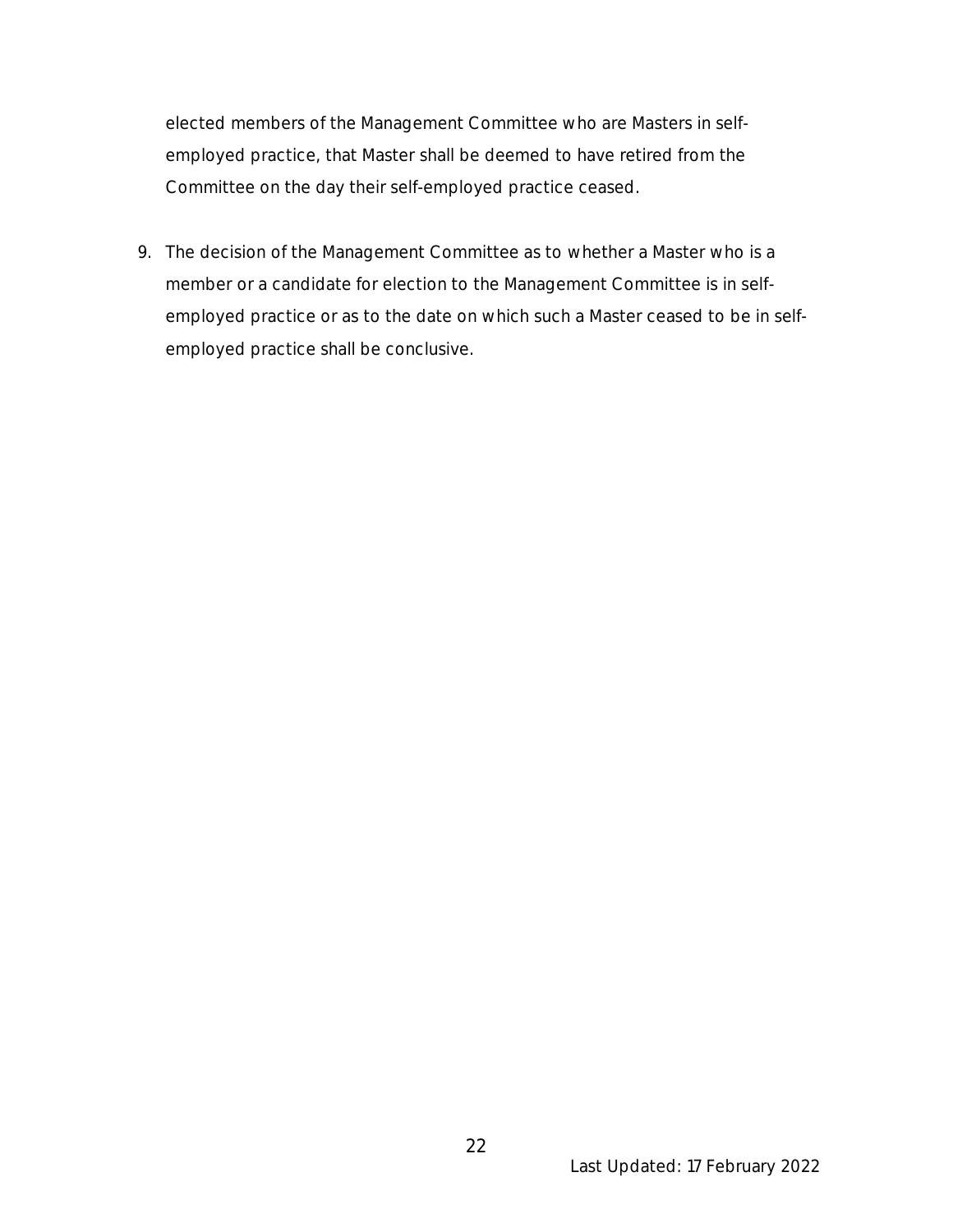elected members of the Management Committee who are Masters in selfemployed practice, that Master shall be deemed to have retired from the Committee on the day their self-employed practice ceased.

9. The decision of the Management Committee as to whether a Master who is a member or a candidate for election to the Management Committee is in selfemployed practice or as to the date on which such a Master ceased to be in selfemployed practice shall be conclusive.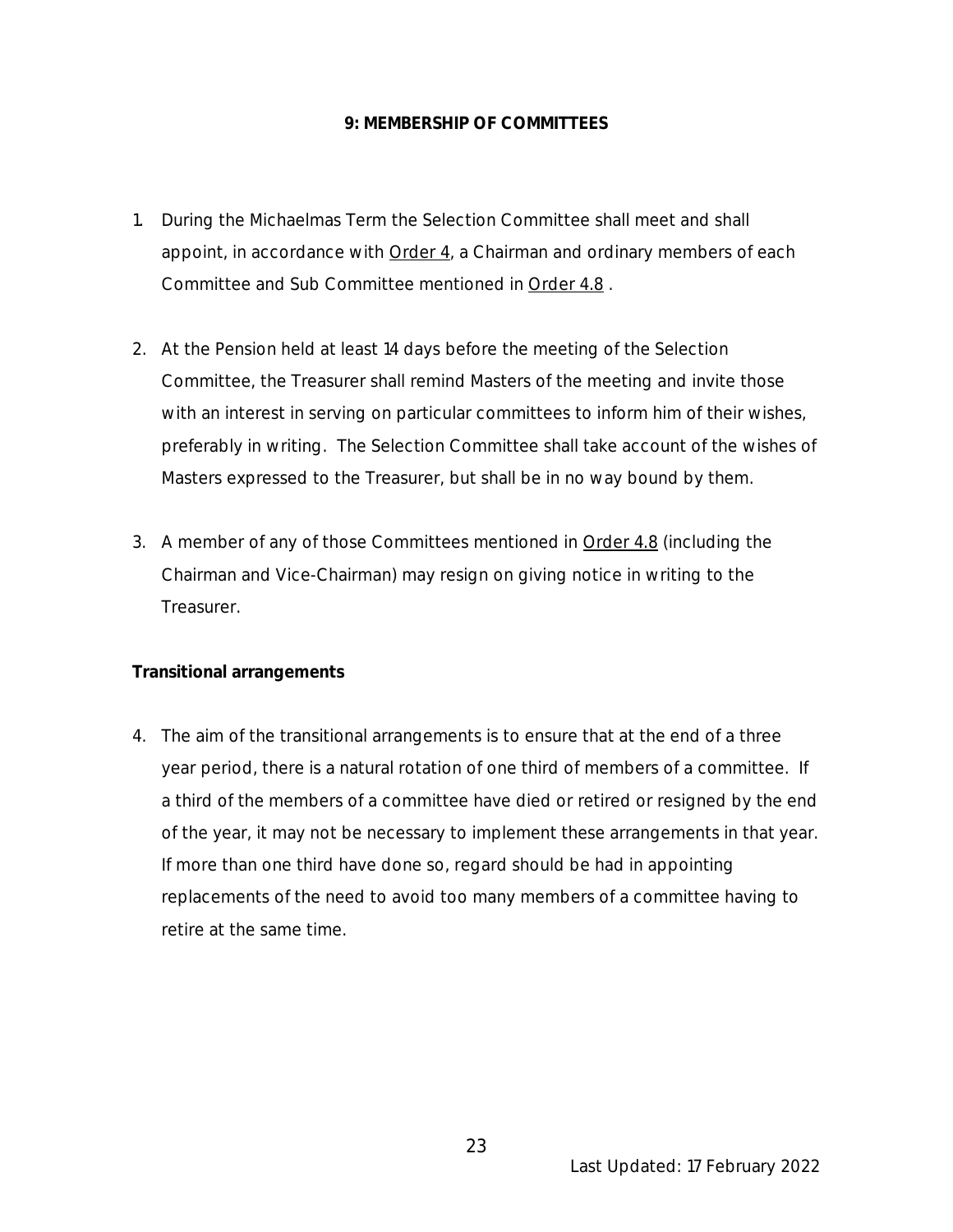### **9: MEMBERSHIP OF COMMITTEES**

- 1. During the Michaelmas Term the Selection Committee shall meet and shall appoint, in accordance with Order 4, a Chairman and ordinary members of each Committee and Sub Committee mentioned in Order 4.8 .
- 2. At the Pension held at least 14 days before the meeting of the Selection Committee, the Treasurer shall remind Masters of the meeting and invite those with an interest in serving on particular committees to inform him of their wishes, preferably in writing. The Selection Committee shall take account of the wishes of Masters expressed to the Treasurer, but shall be in no way bound by them.
- 3. A member of any of those Committees mentioned in Order 4.8 (including the Chairman and Vice-Chairman) may resign on giving notice in writing to the **Treasurer.**

# **Transitional arrangements**

4. The aim of the transitional arrangements is to ensure that at the end of a three year period, there is a natural rotation of one third of members of a committee. If a third of the members of a committee have died or retired or resigned by the end of the year, it may not be necessary to implement these arrangements in that year. If more than one third have done so, regard should be had in appointing replacements of the need to avoid too many members of a committee having to retire at the same time.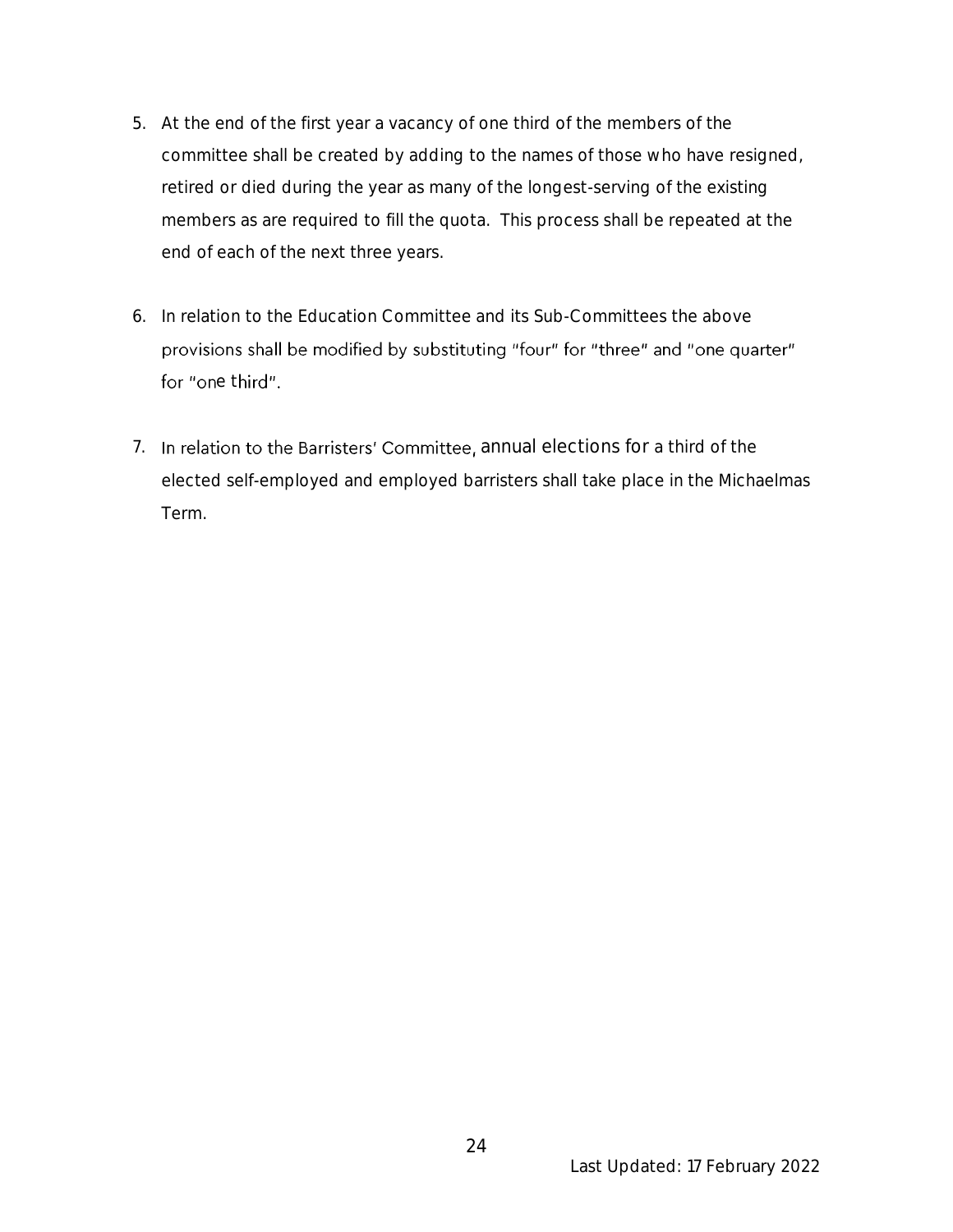- 5. At the end of the first year a vacancy of one third of the members of the committee shall be created by adding to the names of those who have resigned, retired or died during the year as many of the longest-serving of the existing members as are required to fill the quota. This process shall be repeated at the end of each of the next three years.
- 6. In relation to the Education Committee and its Sub-Committees the above provisions shall be modified by substituting "four" for "three" and "one quarter" for "one third".
- 7. In relation to the Barristers' Committee, annual elections for a third of the elected self-employed and employed barristers shall take place in the Michaelmas Term.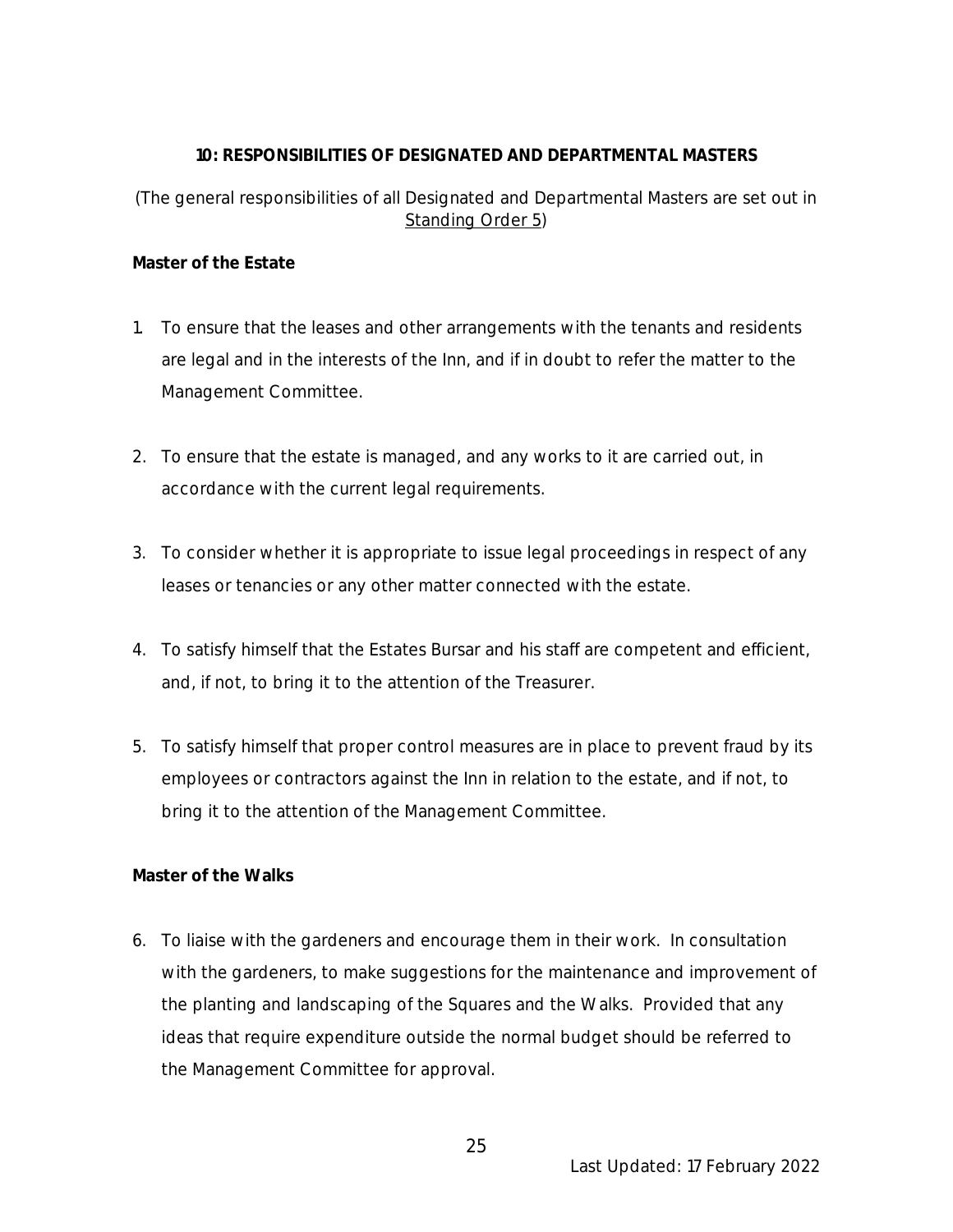### **10: RESPONSIBILITIES OF DESIGNATED AND DEPARTMENTAL MASTERS**

# (The general responsibilities of all Designated and Departmental Masters are set out in Standing Order 5)

**Master of the Estate**

- 1. To ensure that the leases and other arrangements with the tenants and residents are legal and in the interests of the Inn, and if in doubt to refer the matter to the Management Committee.
- 2. To ensure that the estate is managed, and any works to it are carried out, in accordance with the current legal requirements.
- 3. To consider whether it is appropriate to issue legal proceedings in respect of any leases or tenancies or any other matter connected with the estate.
- 4. To satisfy himself that the Estates Bursar and his staff are competent and efficient, and, if not, to bring it to the attention of the Treasurer.
- 5. To satisfy himself that proper control measures are in place to prevent fraud by its employees or contractors against the Inn in relation to the estate, and if not, to bring it to the attention of the Management Committee.

**Master of the Walks**

6. To liaise with the gardeners and encourage them in their work. In consultation with the gardeners, to make suggestions for the maintenance and improvement of the planting and landscaping of the Squares and the Walks. Provided that any ideas that require expenditure outside the normal budget should be referred to the Management Committee for approval.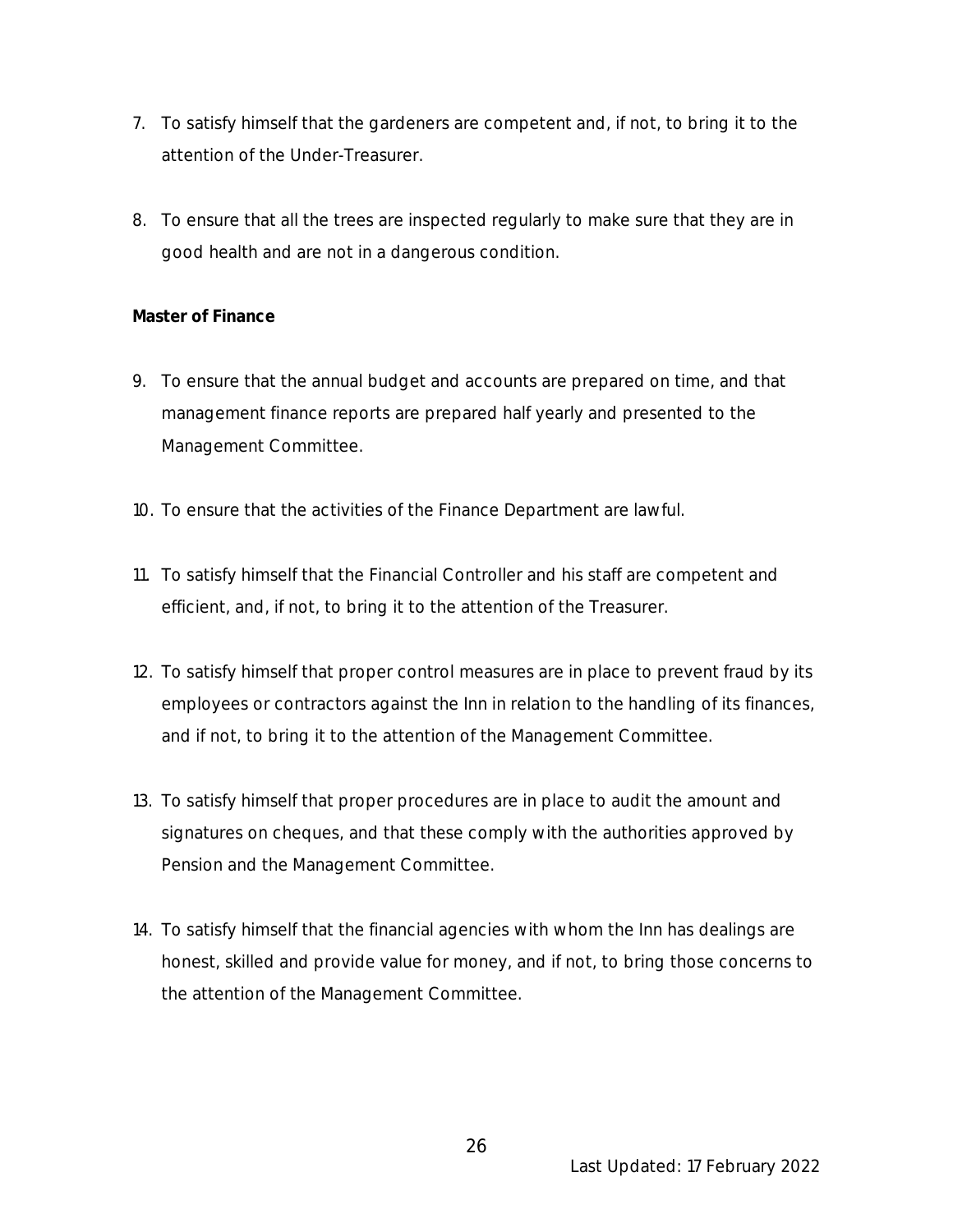- 7. To satisfy himself that the gardeners are competent and, if not, to bring it to the attention of the Under-Treasurer.
- 8. To ensure that all the trees are inspected regularly to make sure that they are in good health and are not in a dangerous condition.

# **Master of Finance**

- 9. To ensure that the annual budget and accounts are prepared on time, and that management finance reports are prepared half yearly and presented to the Management Committee.
- 10. To ensure that the activities of the Finance Department are lawful.
- 11. To satisfy himself that the Financial Controller and his staff are competent and efficient, and, if not, to bring it to the attention of the Treasurer.
- 12. To satisfy himself that proper control measures are in place to prevent fraud by its employees or contractors against the Inn in relation to the handling of its finances, and if not, to bring it to the attention of the Management Committee.
- 13. To satisfy himself that proper procedures are in place to audit the amount and signatures on cheques, and that these comply with the authorities approved by Pension and the Management Committee.
- 14. To satisfy himself that the financial agencies with whom the Inn has dealings are honest, skilled and provide value for money, and if not, to bring those concerns to the attention of the Management Committee.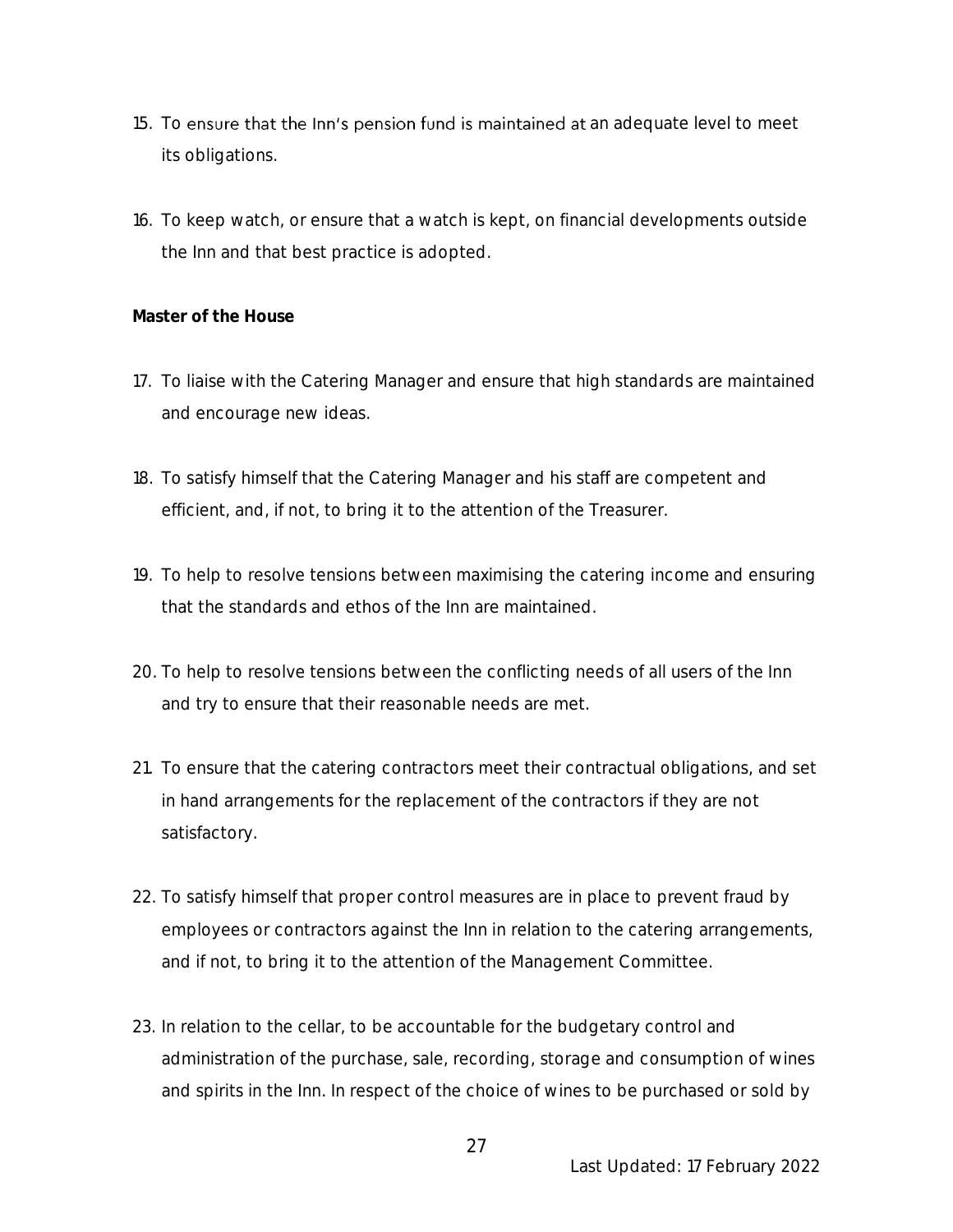- 15. To ensure that the Inn's pension fund is maintained at an adequate level to meet its obligations.
- 16. To keep watch, or ensure that a watch is kept, on financial developments outside the Inn and that best practice is adopted.

#### **Master of the House**

- 17. To liaise with the Catering Manager and ensure that high standards are maintained and encourage new ideas.
- 18. To satisfy himself that the Catering Manager and his staff are competent and efficient, and, if not, to bring it to the attention of the Treasurer.
- 19. To help to resolve tensions between maximising the catering income and ensuring that the standards and ethos of the Inn are maintained.
- 20. To help to resolve tensions between the conflicting needs of all users of the Inn and try to ensure that their reasonable needs are met.
- 21. To ensure that the catering contractors meet their contractual obligations, and set in hand arrangements for the replacement of the contractors if they are not satisfactory.
- 22. To satisfy himself that proper control measures are in place to prevent fraud by employees or contractors against the Inn in relation to the catering arrangements, and if not, to bring it to the attention of the Management Committee.
- 23. In relation to the cellar, to be accountable for the budgetary control and administration of the purchase, sale, recording, storage and consumption of wines and spirits in the Inn. In respect of the choice of wines to be purchased or sold by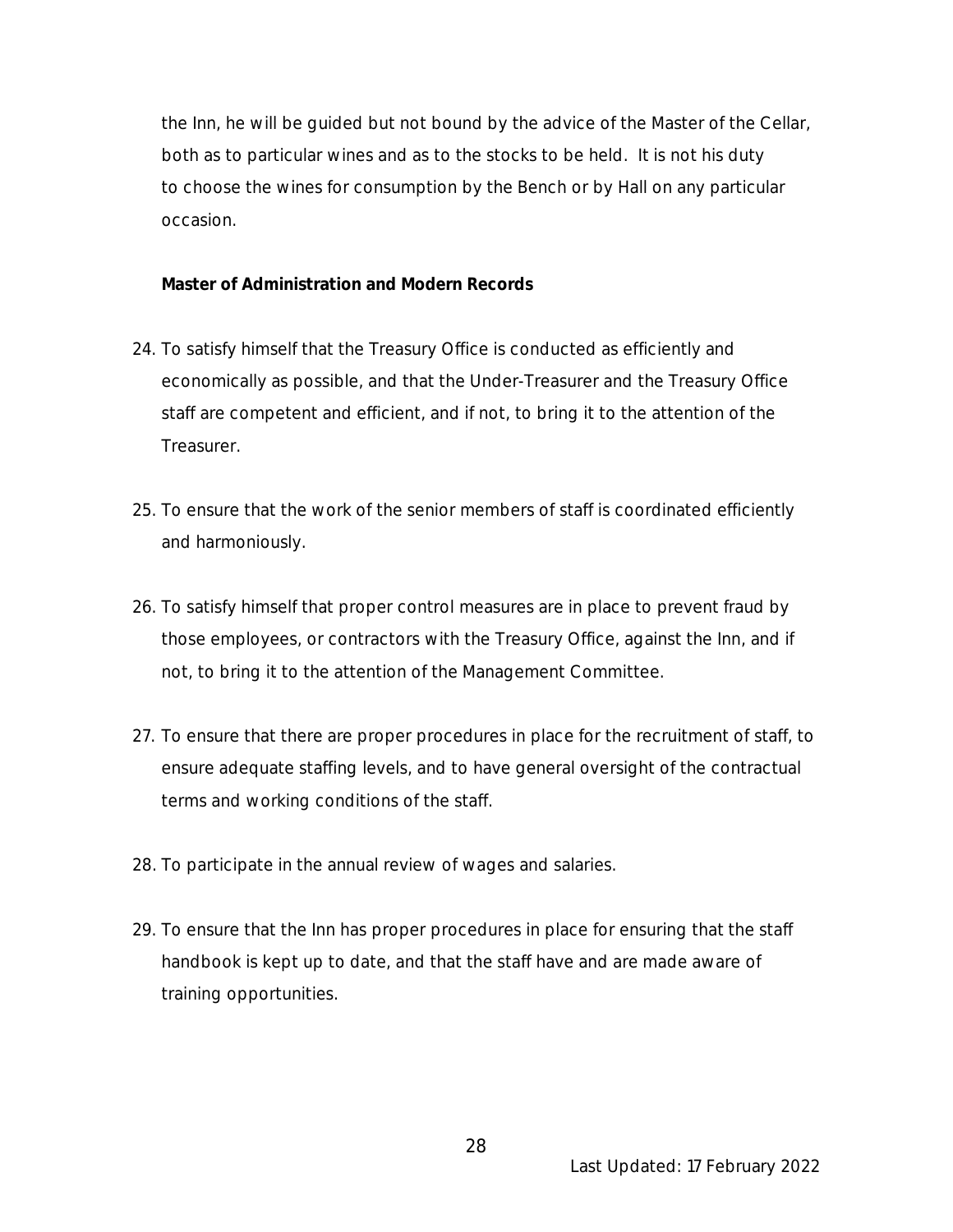the Inn, he will be guided but not bound by the advice of the Master of the Cellar, both as to particular wines and as to the stocks to be held. It is not his duty to choose the wines for consumption by the Bench or by Hall on any particular occasion.

**Master of Administration and Modern Records**

- 24. To satisfy himself that the Treasury Office is conducted as efficiently and economically as possible, and that the Under-Treasurer and the Treasury Office staff are competent and efficient, and if not, to bring it to the attention of the Treasurer.
- 25. To ensure that the work of the senior members of staff is coordinated efficiently and harmoniously.
- 26. To satisfy himself that proper control measures are in place to prevent fraud by those employees, or contractors with the Treasury Office, against the Inn, and if not, to bring it to the attention of the Management Committee.
- 27. To ensure that there are proper procedures in place for the recruitment of staff, to ensure adequate staffing levels, and to have general oversight of the contractual terms and working conditions of the staff.
- 28. To participate in the annual review of wages and salaries.
- 29. To ensure that the Inn has proper procedures in place for ensuring that the staff handbook is kept up to date, and that the staff have and are made aware of training opportunities.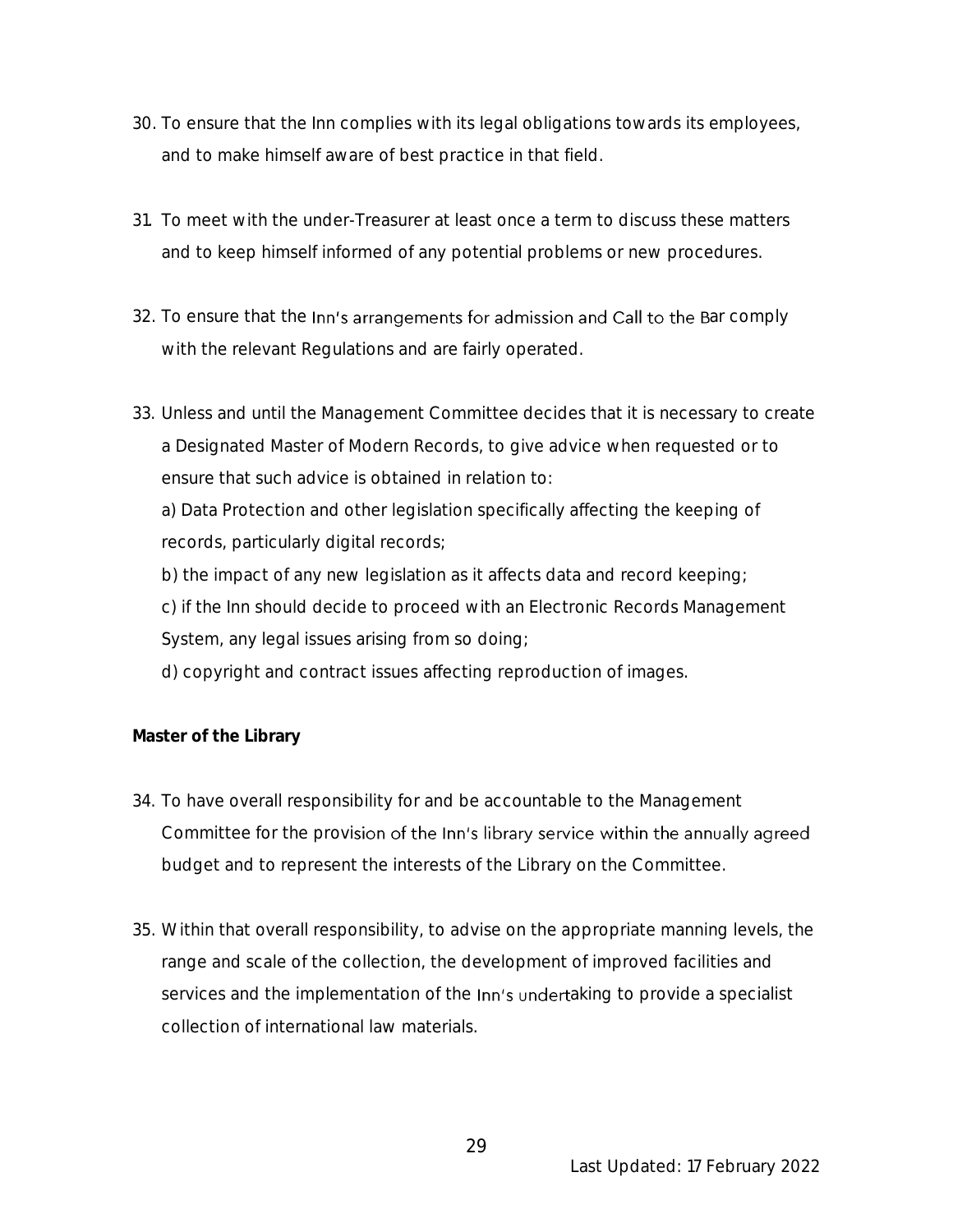- 30. To ensure that the Inn complies with its legal obligations towards its employees, and to make himself aware of best practice in that field.
- 31. To meet with the under-Treasurer at least once a term to discuss these matters and to keep himself informed of any potential problems or new procedures.
- 32. To ensure that the Inn's arrangements for admission and Call to the Bar comply with the relevant Regulations and are fairly operated.
- 33. Unless and until the Management Committee decides that it is necessary to create a Designated Master of Modern Records, to give advice when requested or to ensure that such advice is obtained in relation to:

a) Data Protection and other legislation specifically affecting the keeping of records, particularly digital records;

b) the impact of any new legislation as it affects data and record keeping;

- c) if the Inn should decide to proceed with an Electronic Records Management
- System, any legal issues arising from so doing;
- d) copyright and contract issues affecting reproduction of images.

**Master of the Library**

- 34. To have overall responsibility for and be accountable to the Management Committee for the provision of the Inn's library service within the annually agreed budget and to represent the interests of the Library on the Committee.
- 35. Within that overall responsibility, to advise on the appropriate manning levels, the range and scale of the collection, the development of improved facilities and services and the implementation of the Inn's undertaking to provide a specialist collection of international law materials.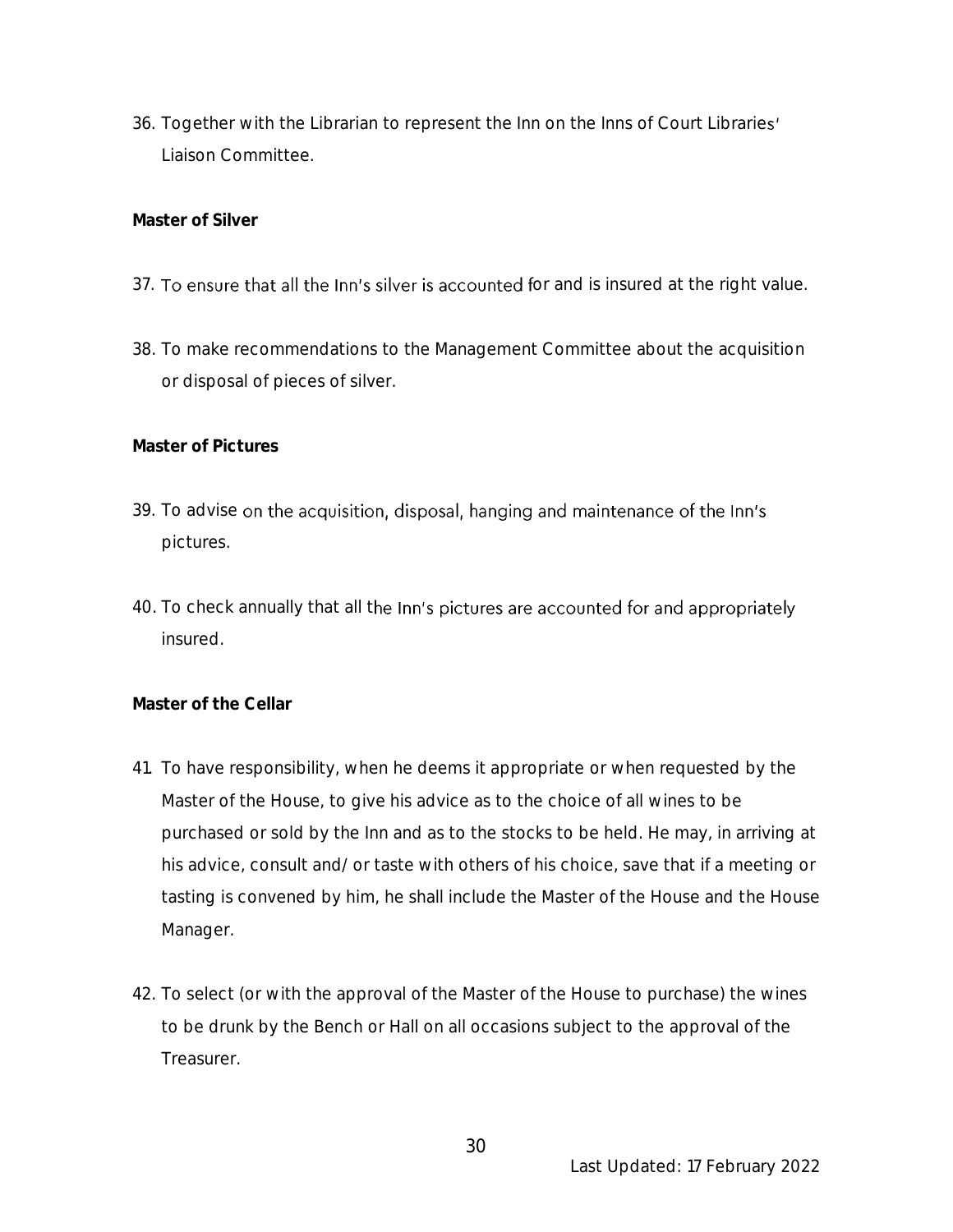36. Together with the Librarian to represent the Inn on the Inns of Court Libraries' Liaison Committee.

**Master of Silver**

- 37. To ensure that all the Inn's silver is accounted for and is insured at the right value.
- 38. To make recommendations to the Management Committee about the acquisition or disposal of pieces of silver.

**Master of Pictures**

- 39. To advise on the acquisition, disposal, hanging and maintenance of the Inn's pictures.
- 40. To check annually that all the Inn's pictures are accounted for and appropriately insured.

**Master of the Cellar**

- 41. To have responsibility, when he deems it appropriate or when requested by the Master of the House, to give his advice as to the choice of all wines to be purchased or sold by the Inn and as to the stocks to be held. He may, in arriving at his advice, consult and/or taste with others of his choice, save that if a meeting or tasting is convened by him, he shall include the Master of the House and the House Manager.
- 42. To select (or with the approval of the Master of the House to purchase) the wines to be drunk by the Bench or Hall on all occasions subject to the approval of the Treasurer.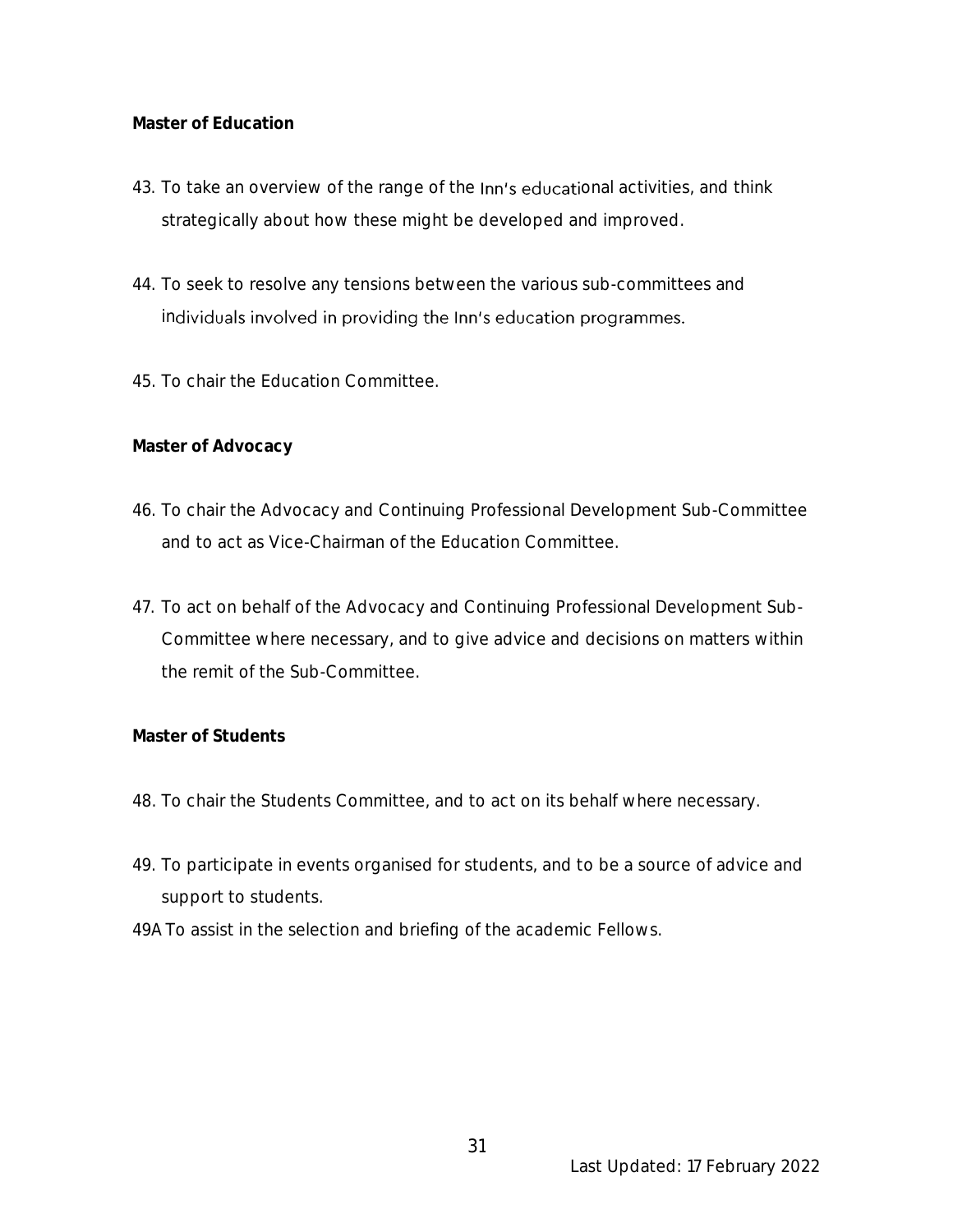# **Master of Education**

- 43. To take an overview of the range of the Inn's educational activities, and think strategically about how these might be developed and improved.
- 44. To seek to resolve any tensions between the various sub-committees and individuals involved in providing the Inn's education programmes.
- 45. To chair the Education Committee.

**Master of Advocacy**

- 46. To chair the Advocacy and Continuing Professional Development Sub-Committee and to act as Vice-Chairman of the Education Committee.
- 47. To act on behalf of the Advocacy and Continuing Professional Development Sub-Committee where necessary, and to give advice and decisions on matters within the remit of the Sub-Committee.

# **Master of Students**

- 48. To chair the Students Committee, and to act on its behalf where necessary.
- 49. To participate in events organised for students, and to be a source of advice and support to students.
- 49A To assist in the selection and briefing of the academic Fellows.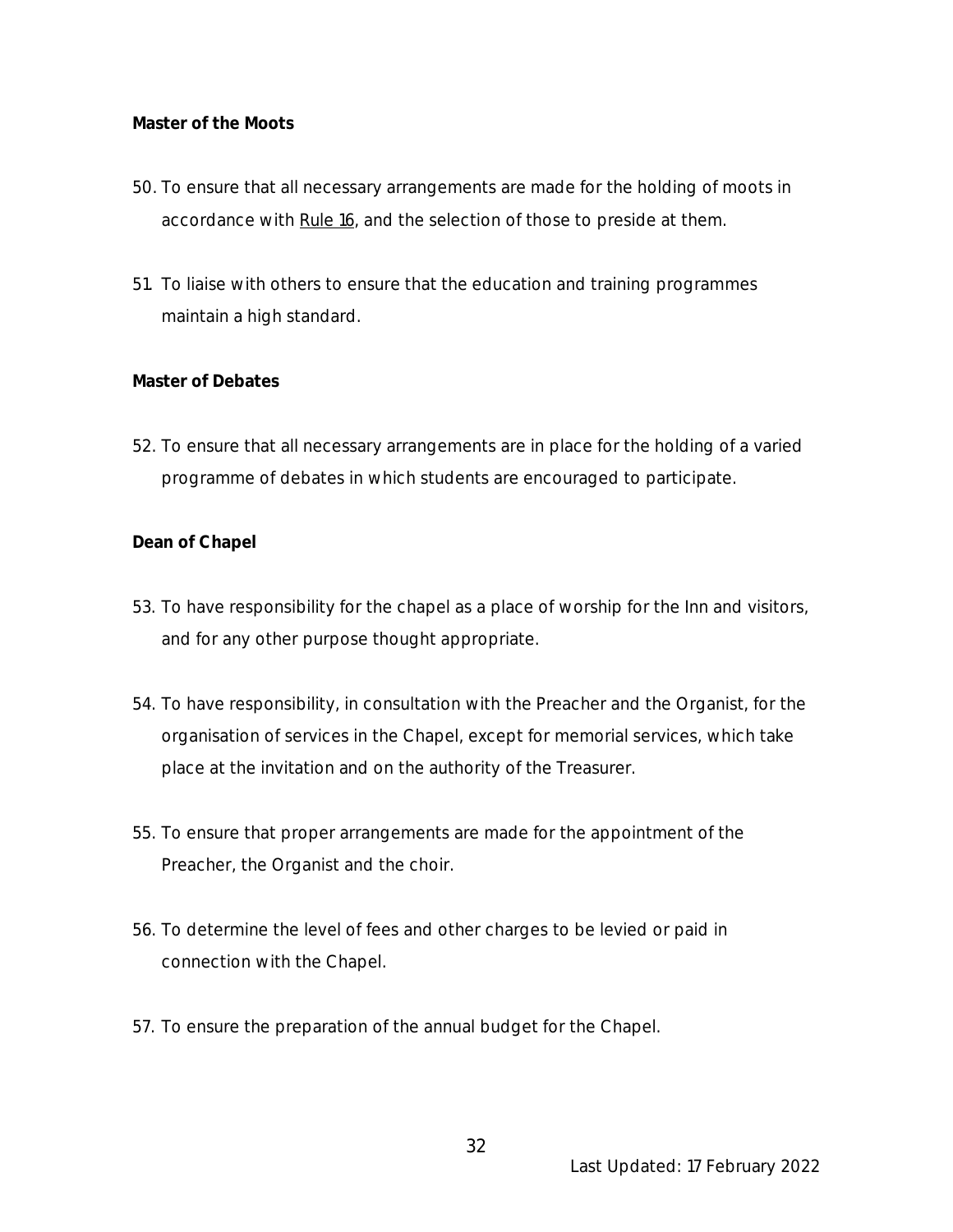### **Master of the Moots**

- 50. To ensure that all necessary arrangements are made for the holding of moots in accordance with Rule 16, and the selection of those to preside at them.
- 51. To liaise with others to ensure that the education and training programmes maintain a high standard.

#### **Master of Debates**

52. To ensure that all necessary arrangements are in place for the holding of a varied programme of debates in which students are encouraged to participate.

#### **Dean of Chapel**

- 53. To have responsibility for the chapel as a place of worship for the Inn and visitors, and for any other purpose thought appropriate.
- 54. To have responsibility, in consultation with the Preacher and the Organist, for the organisation of services in the Chapel, except for memorial services, which take place at the invitation and on the authority of the Treasurer.
- 55. To ensure that proper arrangements are made for the appointment of the Preacher, the Organist and the choir.
- 56. To determine the level of fees and other charges to be levied or paid in connection with the Chapel.
- 57. To ensure the preparation of the annual budget for the Chapel.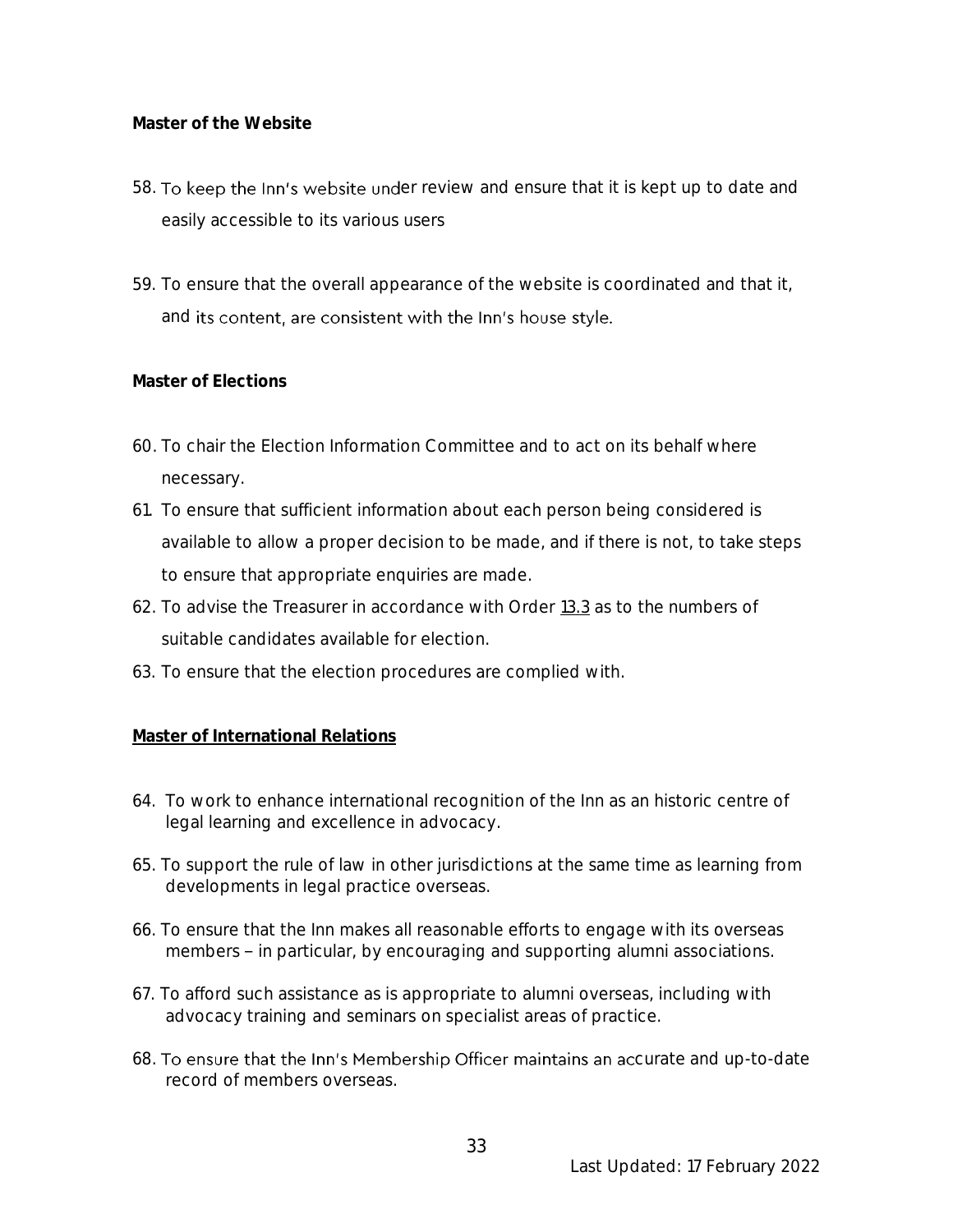**Master of the Website**

- 58. To keep the Inn's website under review and ensure that it is kept up to date and easily accessible to its various users
- 59. To ensure that the overall appearance of the website is coordinated and that it, and its content, are consistent with the Inn's house style.

# **Master of Elections**

- 60. To chair the Election Information Committee and to act on its behalf where necessary.
- 61. To ensure that sufficient information about each person being considered is available to allow a proper decision to be made, and if there is not, to take steps to ensure that appropriate enquiries are made.
- 62. To advise the Treasurer in accordance with Order 13.3 as to the numbers of suitable candidates available for election.
- 63. To ensure that the election procedures are complied with.

# **Master of International Relations**

- 64. To work to enhance international recognition of the Inn as an historic centre of legal learning and excellence in advocacy.
- 65. To support the rule of law in other jurisdictions at the same time as learning from developments in legal practice overseas.
- 66. To ensure that the Inn makes all reasonable efforts to engage with its overseas members - in particular, by encouraging and supporting alumni associations.
- 67. To afford such assistance as is appropriate to alumni overseas, including with advocacy training and seminars on specialist areas of practice.
- 68. To ensure that the Inn's Membership Officer maintains an accurate and up-to-date record of members overseas.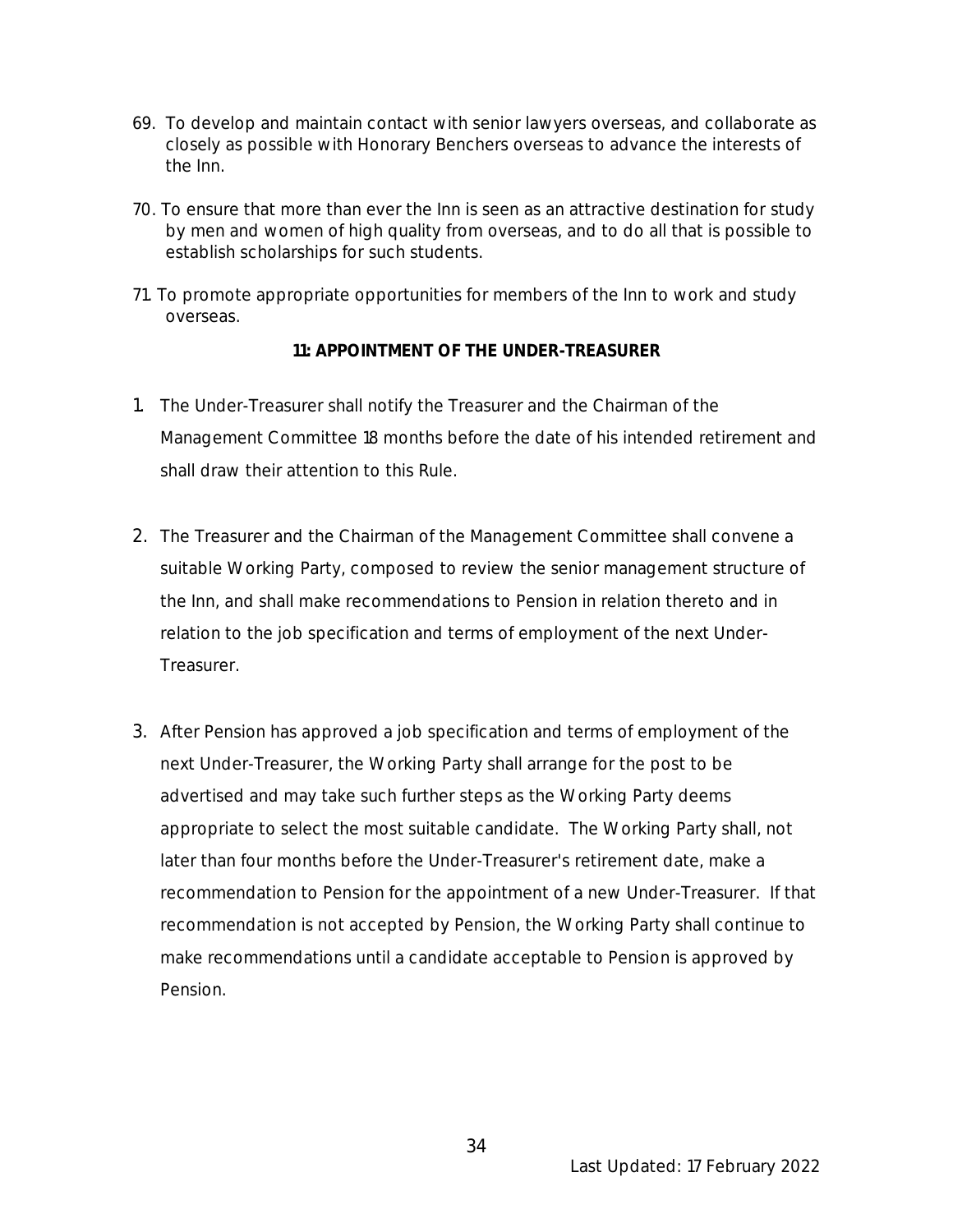- 69. To develop and maintain contact with senior lawyers overseas, and collaborate as closely as possible with Honorary Benchers overseas to advance the interests of the Inn.
- 70. To ensure that more than ever the Inn is seen as an attractive destination for study by men and women of high quality from overseas, and to do all that is possible to establish scholarships for such students.
- 71. To promote appropriate opportunities for members of the Inn to work and study overseas.

**11: APPOINTMENT OF THE UNDER-TREASURER**

- 1. The Under-Treasurer shall notify the Treasurer and the Chairman of the Management Committee 18 months before the date of his intended retirement and shall draw their attention to this Rule.
- 2. The Treasurer and the Chairman of the Management Committee shall convene a suitable Working Party, composed to review the senior management structure of the Inn, and shall make recommendations to Pension in relation thereto and in relation to the job specification and terms of employment of the next Under-Treasurer.
- 3. After Pension has approved a job specification and terms of employment of the next Under-Treasurer, the Working Party shall arrange for the post to be advertised and may take such further steps as the Working Party deems appropriate to select the most suitable candidate. The Working Party shall, not later than four months before the Under-Treasurer's retirement date, make a recommendation to Pension for the appointment of a new Under-Treasurer. If that recommendation is not accepted by Pension, the Working Party shall continue to make recommendations until a candidate acceptable to Pension is approved by Pension.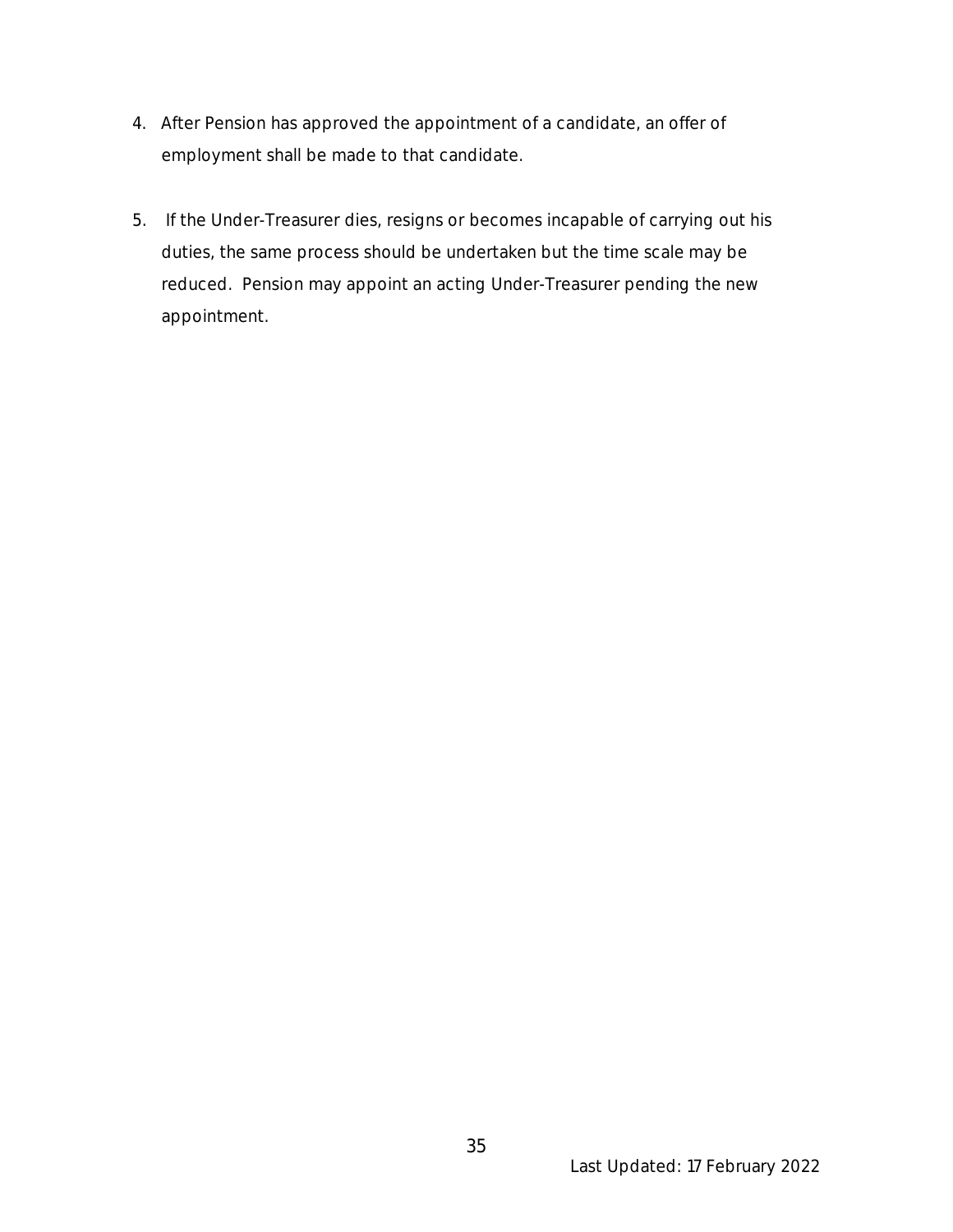- 4. After Pension has approved the appointment of a candidate, an offer of employment shall be made to that candidate.
- 5. If the Under-Treasurer dies, resigns or becomes incapable of carrying out his duties, the same process should be undertaken but the time scale may be reduced. Pension may appoint an acting Under-Treasurer pending the new appointment.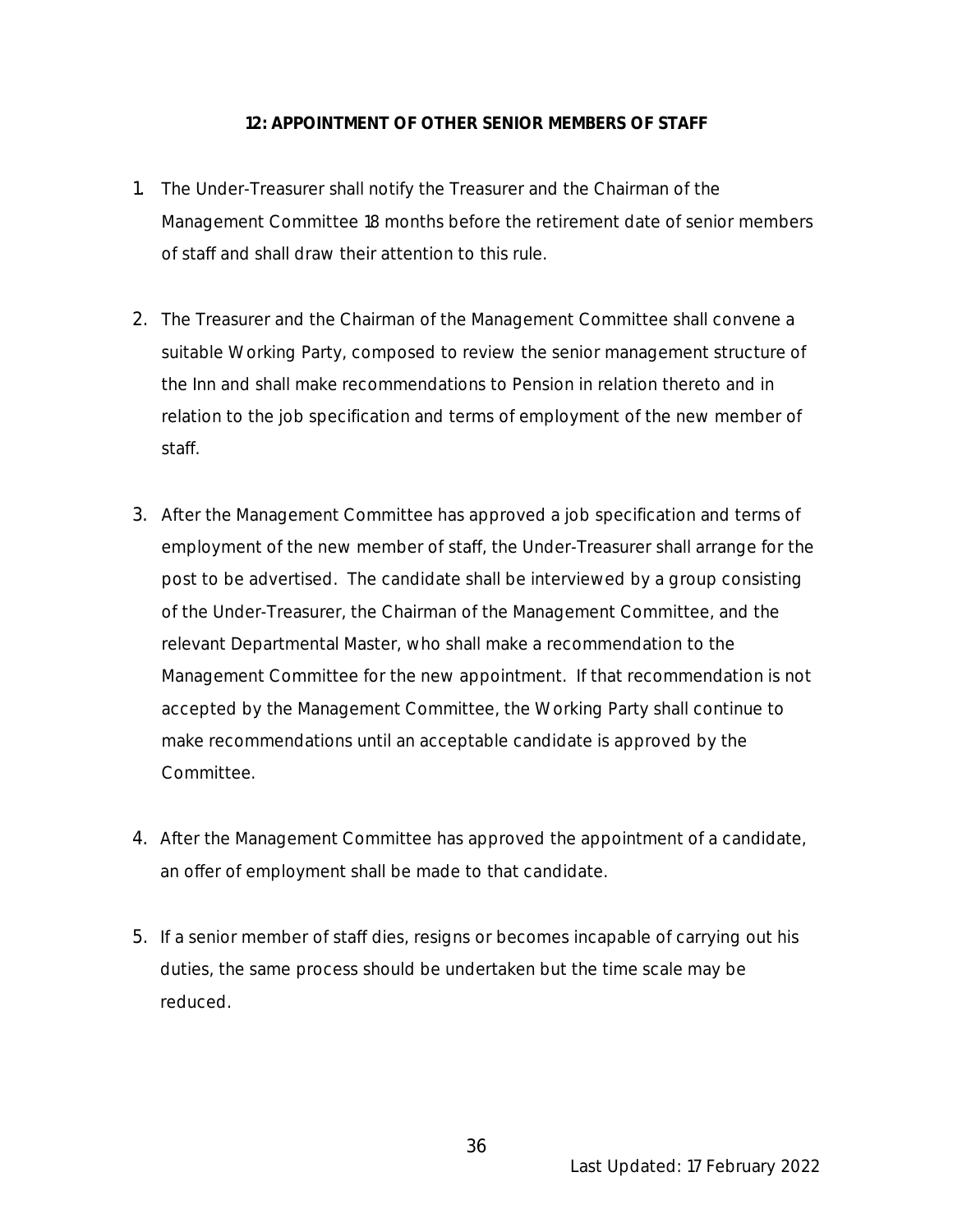#### **12: APPOINTMENT OF OTHER SENIOR MEMBERS OF STAFF**

- 1. The Under-Treasurer shall notify the Treasurer and the Chairman of the Management Committee 18 months before the retirement date of senior members of staff and shall draw their attention to this rule.
- 2. The Treasurer and the Chairman of the Management Committee shall convene a suitable Working Party, composed to review the senior management structure of the Inn and shall make recommendations to Pension in relation thereto and in relation to the job specification and terms of employment of the new member of staff.
- 3. After the Management Committee has approved a job specification and terms of employment of the new member of staff, the Under-Treasurer shall arrange for the post to be advertised. The candidate shall be interviewed by a group consisting of the Under-Treasurer, the Chairman of the Management Committee, and the relevant Departmental Master, who shall make a recommendation to the Management Committee for the new appointment. If that recommendation is not accepted by the Management Committee, the Working Party shall continue to make recommendations until an acceptable candidate is approved by the Committee.
- 4. After the Management Committee has approved the appointment of a candidate, an offer of employment shall be made to that candidate.
- 5. If a senior member of staff dies, resigns or becomes incapable of carrying out his duties, the same process should be undertaken but the time scale may be reduced.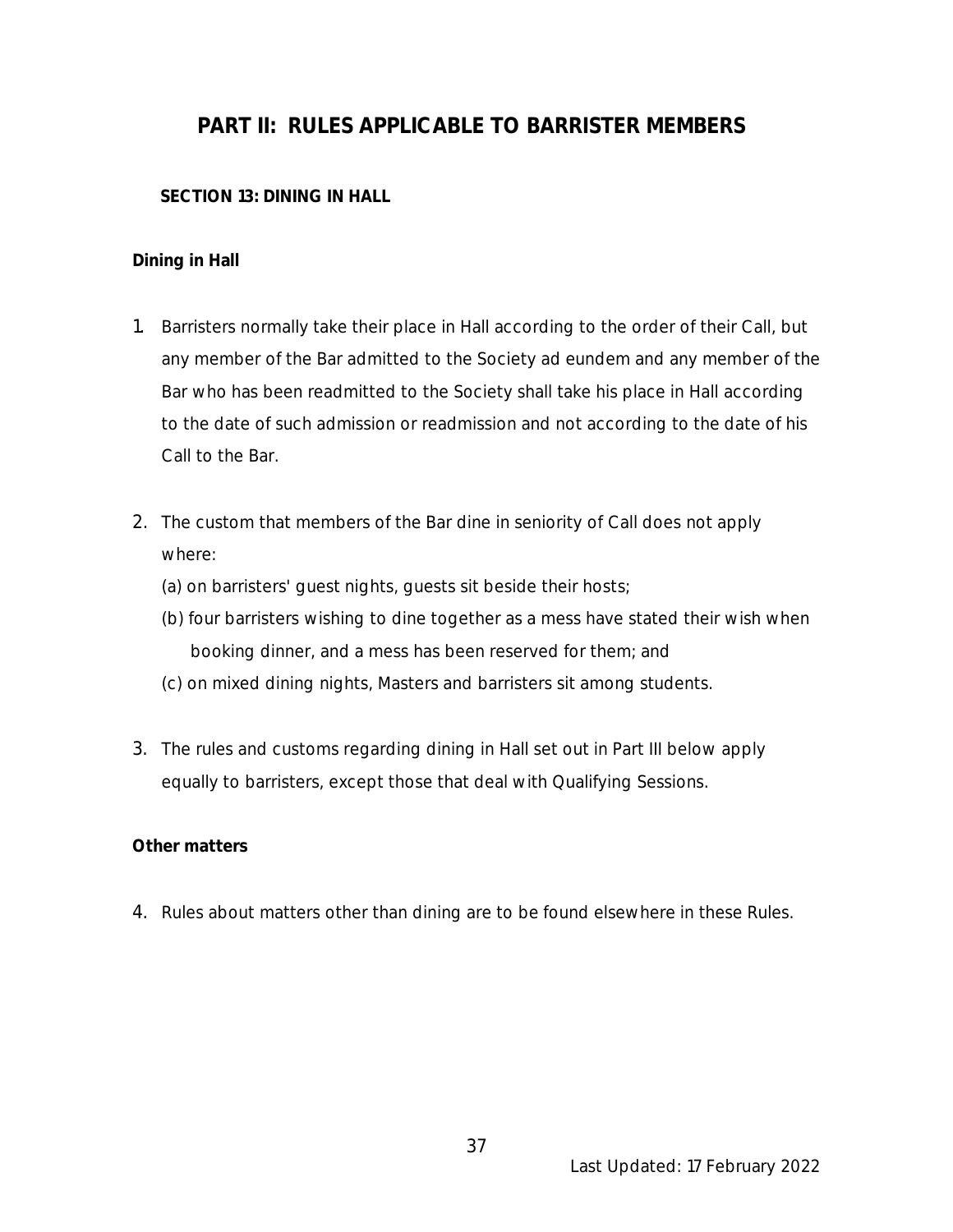# **PART II: RULES APPLICABLE TO BARRISTER MEMBERS**

# **SECTION 13: DINING IN HALL**

# **Dining in Hall**

- 1. Barristers normally take their place in Hall according to the order of their Call, but any member of the Bar admitted to the Society ad eundem and any member of the Bar who has been readmitted to the Society shall take his place in Hall according to the date of such admission or readmission and not according to the date of his Call to the Bar.
- 2. The custom that members of the Bar dine in seniority of Call does not apply where:
	- (a) on barristers' guest nights, guests sit beside their hosts;
	- (b) four barristers wishing to dine together as a mess have stated their wish when booking dinner, and a mess has been reserved for them; and
	- (c) on mixed dining nights, Masters and barristers sit among students.
- 3. The rules and customs regarding dining in Hall set out in Part III below apply equally to barristers, except those that deal with Qualifying Sessions.

#### **Other matters**

4. Rules about matters other than dining are to be found elsewhere in these Rules.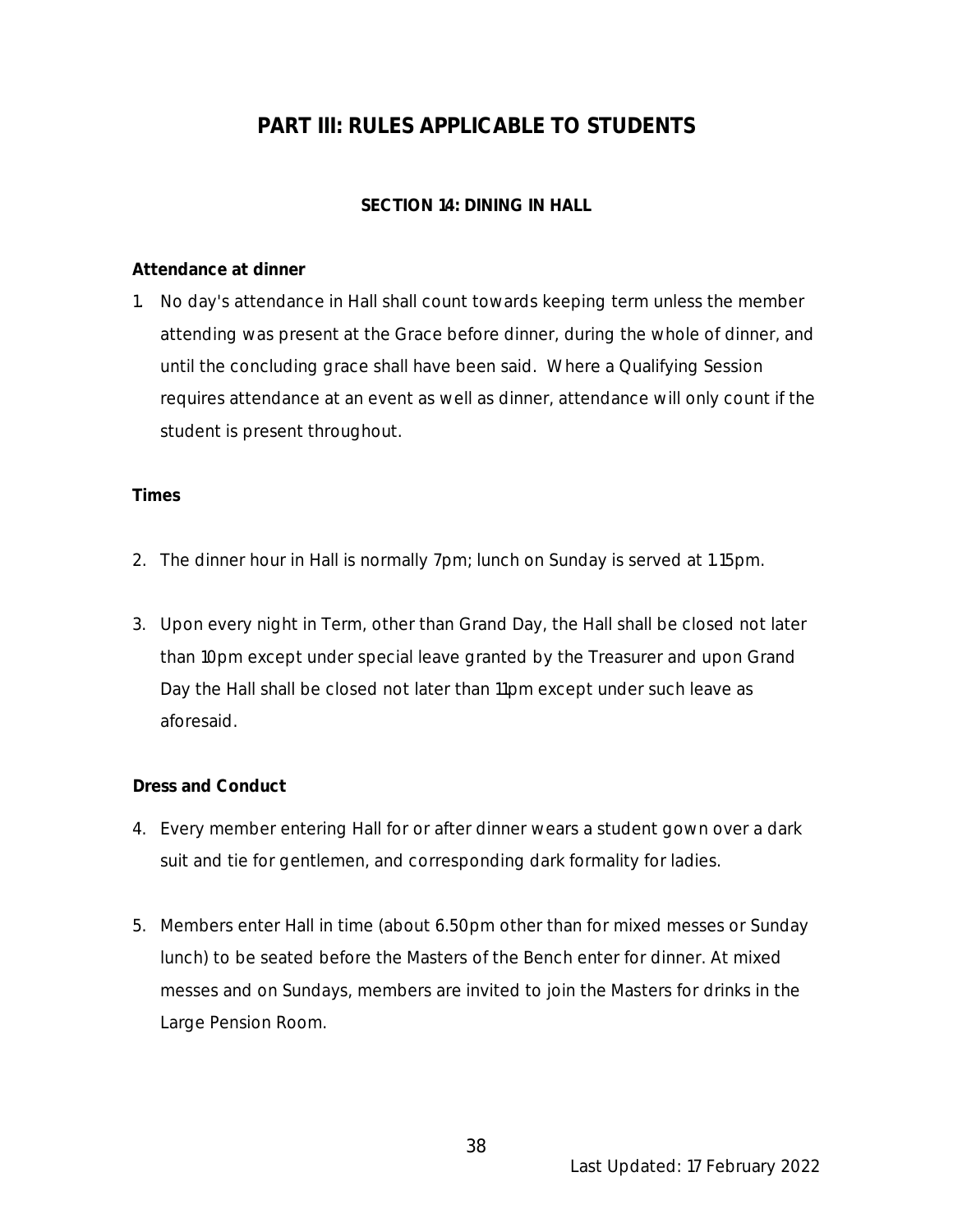# **PART III: RULES APPLICABLE TO STUDENTS**

# **SECTION 14: DINING IN HALL**

### **Attendance at dinner**

1. No day's attendance in Hall shall count towards keeping term unless the member attending was present at the Grace before dinner, during the whole of dinner, and until the concluding grace shall have been said. Where a Qualifying Session requires attendance at an event as well as dinner, attendance will only count if the student is present throughout.

#### **Times**

- 2. The dinner hour in Hall is normally 7pm; lunch on Sunday is served at 1.15pm.
- 3. Upon every night in Term, other than Grand Day, the Hall shall be closed not later than 10pm except under special leave granted by the Treasurer and upon Grand Day the Hall shall be closed not later than 11pm except under such leave as aforesaid.

# **Dress and Conduct**

- 4. Every member entering Hall for or after dinner wears a student gown over a dark suit and tie for gentlemen, and corresponding dark formality for ladies.
- 5. Members enter Hall in time (about 6.50pm other than for mixed messes or Sunday lunch) to be seated before the Masters of the Bench enter for dinner. At mixed messes and on Sundays, members are invited to join the Masters for drinks in the Large Pension Room.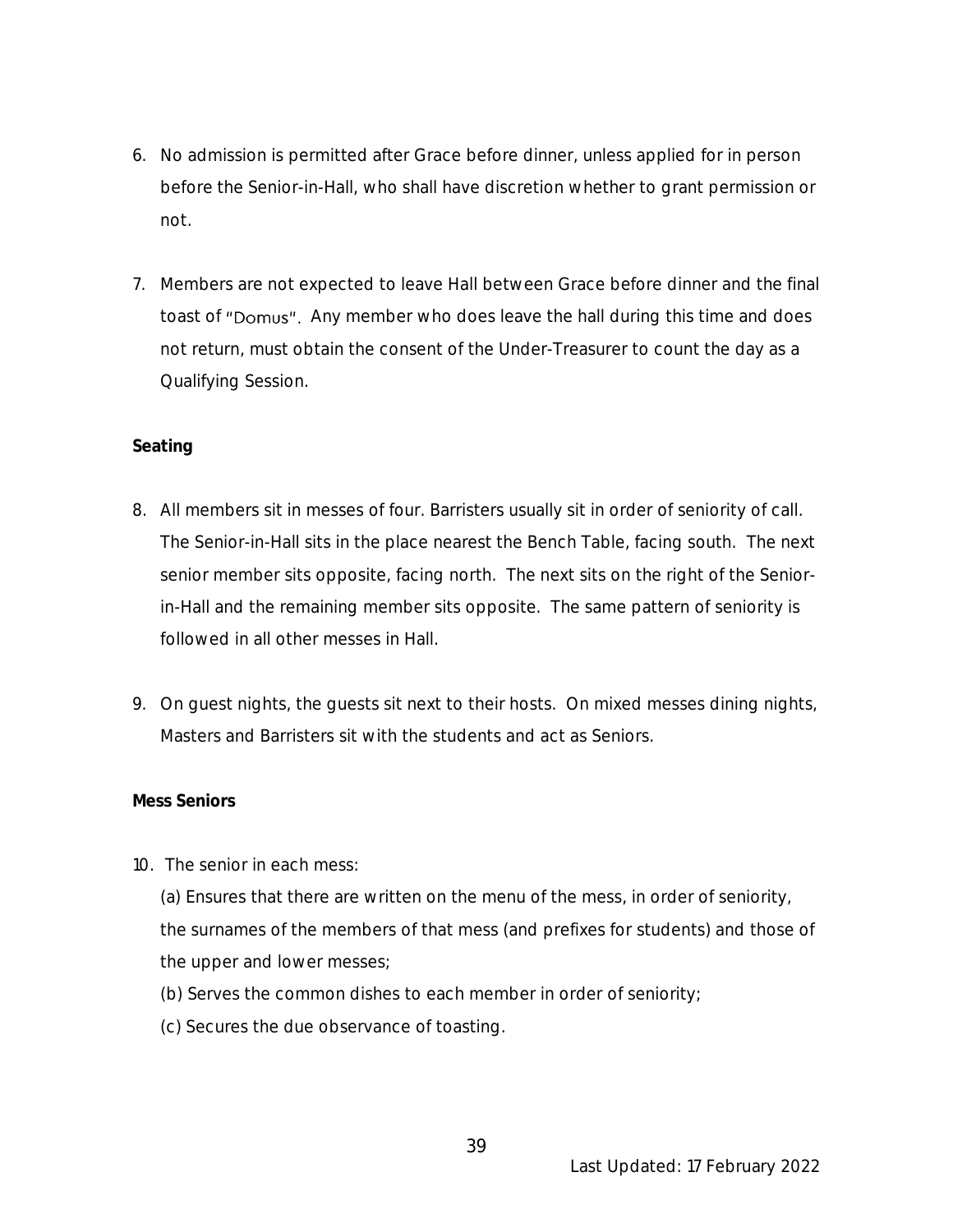- 6. No admission is permitted after Grace before dinner, unless applied for in person before the Senior-in-Hall, who shall have discretion whether to grant permission or not.
- 7. Members are not expected to leave Hall between Grace before dinner and the final toast of "Domus". Any member who does leave the hall during this time and does not return, must obtain the consent of the Under-Treasurer to count the day as a Qualifying Session.

# **Seating**

- 8. All members sit in messes of four. Barristers usually sit in order of seniority of call. The Senior-in-Hall sits in the place nearest the Bench Table, facing south. The next senior member sits opposite, facing north. The next sits on the right of the Seniorin-Hall and the remaining member sits opposite. The same pattern of seniority is followed in all other messes in Hall.
- 9. On guest nights, the guests sit next to their hosts. On mixed messes dining nights, Masters and Barristers sit with the students and act as Seniors.

#### **Mess Seniors**

10. The senior in each mess:

(a) Ensures that there are written on the menu of the mess, in order of seniority, the surnames of the members of that mess (and prefixes for students) and those of the upper and lower messes;

- (b) Serves the common dishes to each member in order of seniority;
- (c) Secures the due observance of toasting.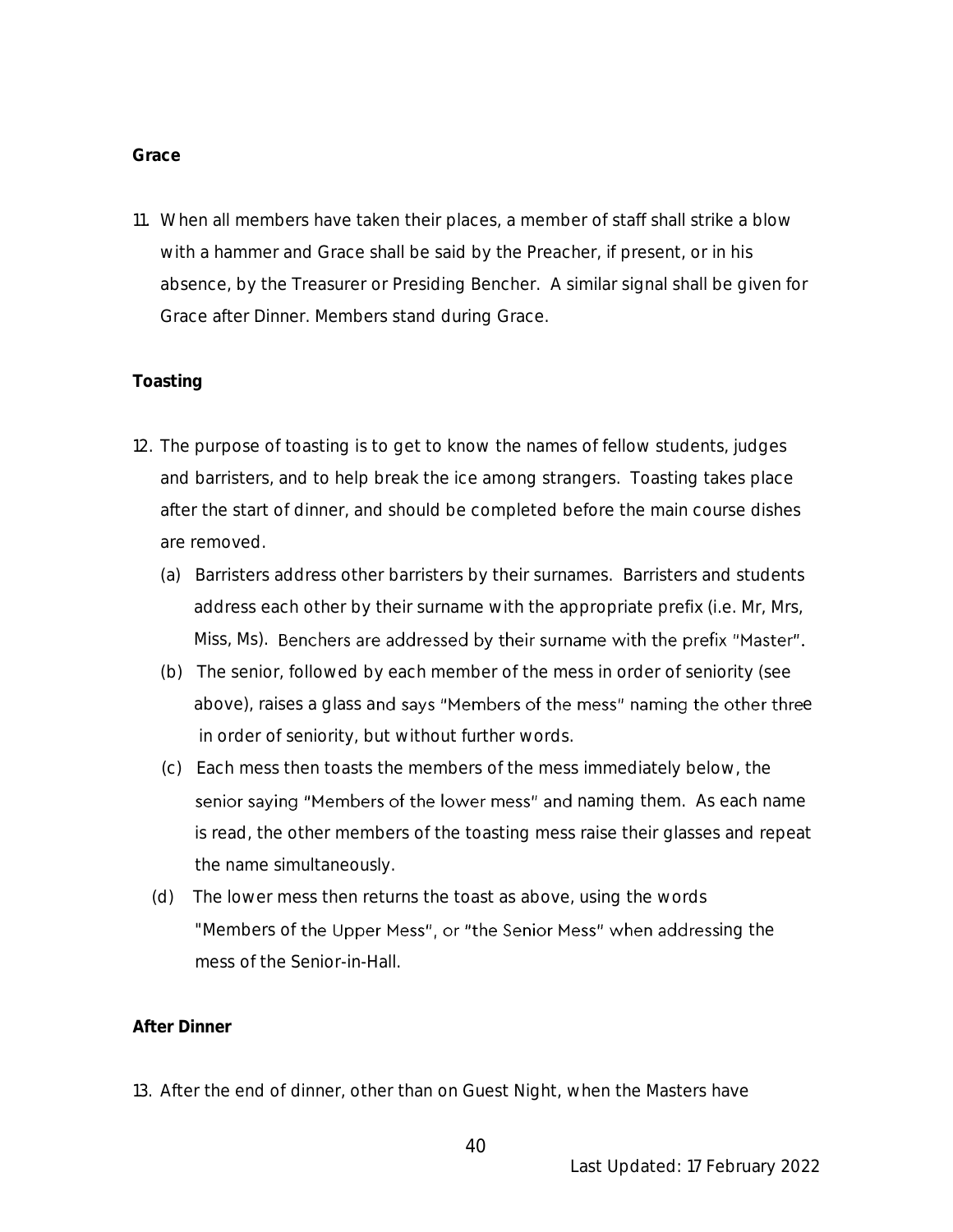#### **Grace**

11. When all members have taken their places, a member of staff shall strike a blow with a hammer and Grace shall be said by the Preacher, if present, or in his absence, by the Treasurer or Presiding Bencher. A similar signal shall be given for Grace after Dinner. Members stand during Grace.

#### **Toasting**

- 12. The purpose of toasting is to get to know the names of fellow students, judges and barristers, and to help break the ice among strangers. Toasting takes place after the start of dinner, and should be completed before the main course dishes are removed.
	- (a) Barristers address other barristers by their surnames. Barristers and students address each other by their surname with the appropriate prefix (i.e. Mr, Mrs, Miss, Ms). Benchers are addressed by their surname with the prefix "Master".
	- (b) The senior, followed by each member of the mess in order of seniority (see above), raises a glass and says "Members of the mess" naming the other three in order of seniority, but without further words.
	- (c) Each mess then toasts the members of the mess immediately below, the senior saying "Members of the lower mess" and naming them. As each name is read, the other members of the toasting mess raise their glasses and repeat the name simultaneously.
	- (d) The lower mess then returns the toast as above, using the words "Members of the Upper Mess", or "the Senior Mess" when addressing the mess of the Senior-in-Hall.

#### **After Dinner**

13. After the end of dinner, other than on Guest Night, when the Masters have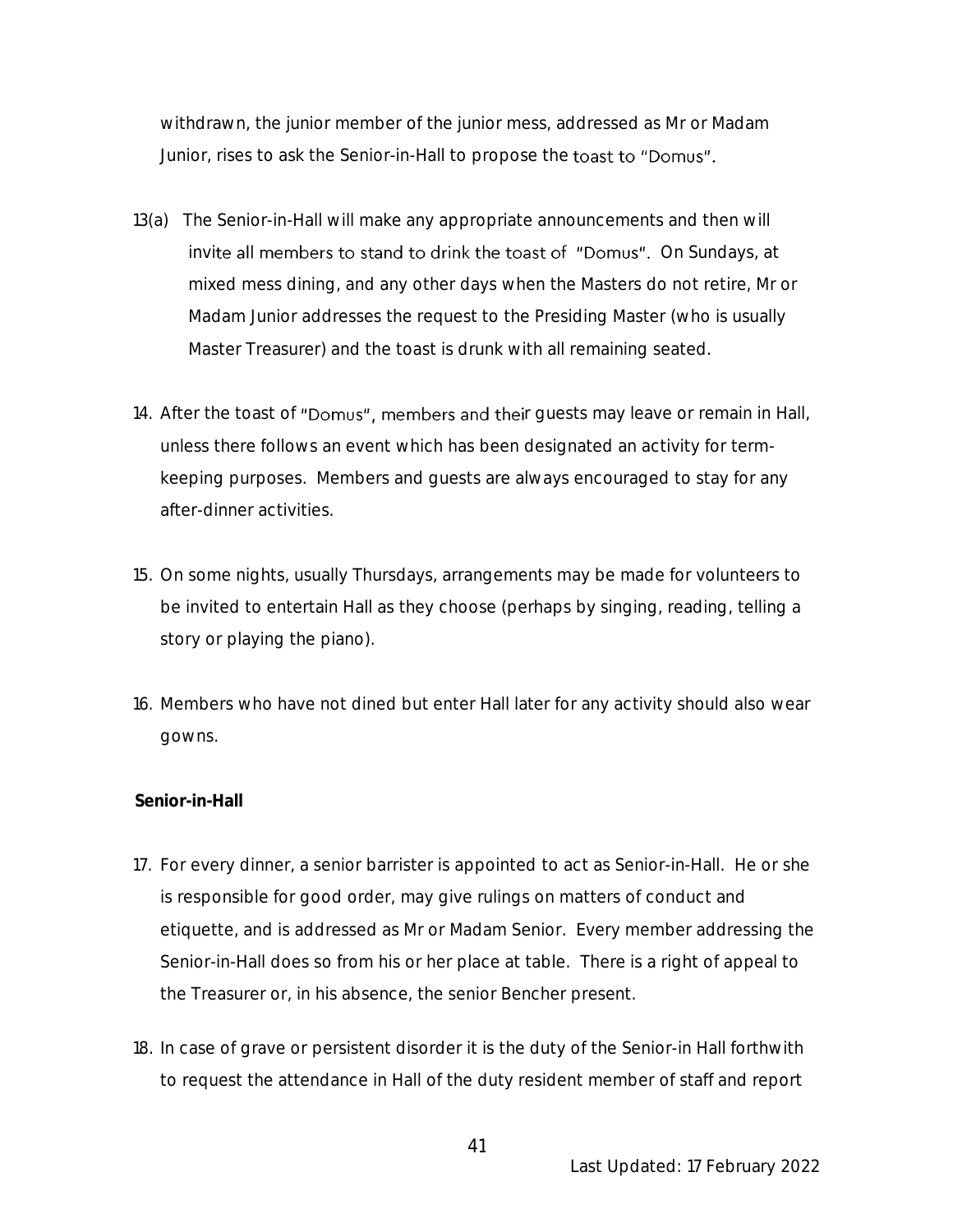withdrawn, the junior member of the junior mess, addressed as Mr or Madam Junior, rises to ask the Senior-in-Hall to propose the toast to "Domus".

- 13(a) The Senior-in-Hall will make any appropriate announcements and then will invite all members to stand to drink the toast of "Domus". On Sundays, at mixed mess dining, and any other days when the Masters do not retire, Mr or Madam Junior addresses the request to the Presiding Master (who is usually Master Treasurer) and the toast is drunk with all remaining seated.
- 14. After the toast of "Domus", members and their quests may leave or remain in Hall, unless there follows an event which has been designated an activity for termkeeping purposes. Members and guests are always encouraged to stay for any after-dinner activities.
- 15. On some nights, usually Thursdays, arrangements may be made for volunteers to be invited to entertain Hall as they choose (perhaps by singing, reading, telling a story or playing the piano).
- 16. Members who have not dined but enter Hall later for any activity should also wear gowns.

#### **Senior-in-Hall**

- 17. For every dinner, a senior barrister is appointed to act as Senior-in-Hall. He or she is responsible for good order, may give rulings on matters of conduct and etiquette, and is addressed as Mr or Madam Senior. Every member addressing the Senior-in-Hall does so from his or her place at table. There is a right of appeal to the Treasurer or, in his absence, the senior Bencher present.
- 18. In case of grave or persistent disorder it is the duty of the Senior-in Hall forthwith to request the attendance in Hall of the duty resident member of staff and report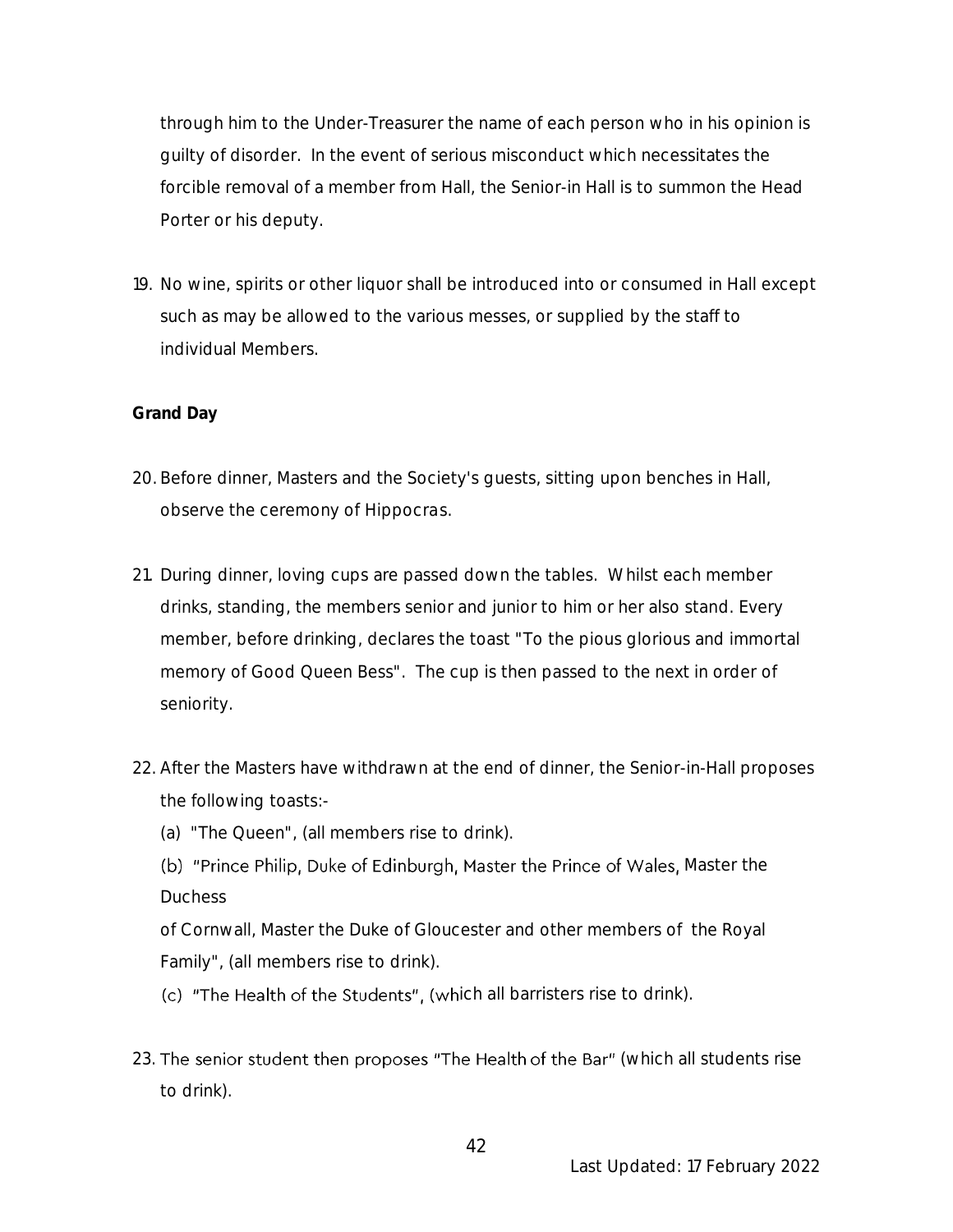through him to the Under-Treasurer the name of each person who in his opinion is guilty of disorder. In the event of serious misconduct which necessitates the forcible removal of a member from Hall, the Senior-in Hall is to summon the Head Porter or his deputy.

19. No wine, spirits or other liquor shall be introduced into or consumed in Hall except such as may be allowed to the various messes, or supplied by the staff to individual Members.

# **Grand Day**

- 20. Before dinner, Masters and the Society's guests, sitting upon benches in Hall, observe the ceremony of *Hippocras.*
- 21. During dinner, loving cups are passed down the tables. Whilst each member drinks, standing, the members senior and junior to him or her also stand. Every member, before drinking, declares the toast "To the pious glorious and immortal memory of Good Queen Bess". The cup is then passed to the next in order of seniority.
- 22. After the Masters have withdrawn at the end of dinner, the Senior-in-Hall proposes the following toasts:-
	- (a) "The Queen", (all members rise to drink).
	- (b) "Prince Philip, Duke of Edinburgh, Master the Prince of Wales, Master the Duchess

of Cornwall, Master the Duke of Gloucester and other members of the Royal Family", (all members rise to drink).

(c) "The Health of the Students", (which all barristers rise to drink).

23. The senior student then proposes "The Health of the Bar" (which all students rise to drink).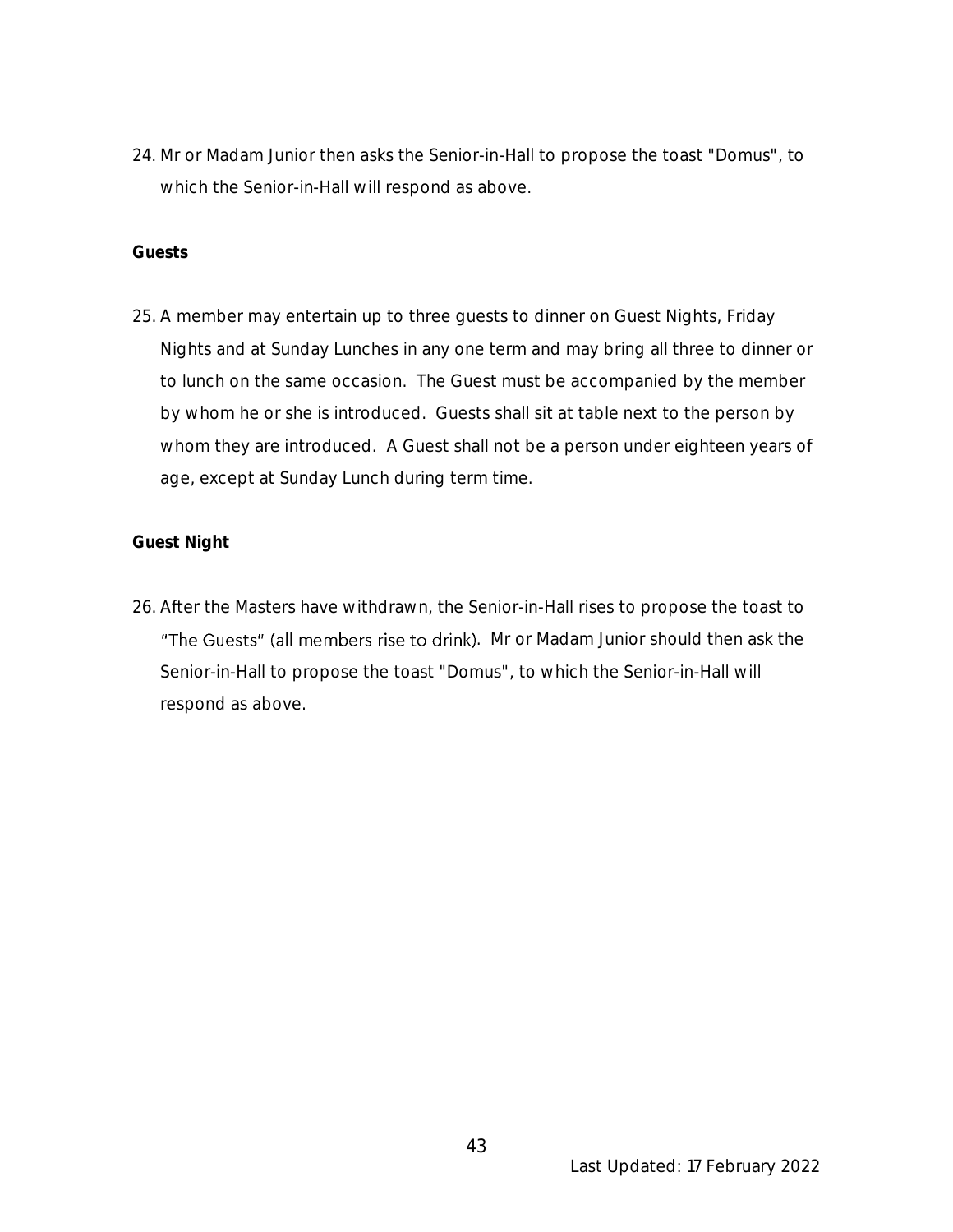24. Mr or Madam Junior then asks the Senior-in-Hall to propose the toast "Domus", to which the Senior-in-Hall will respond as above.

#### **Guests**

25. A member may entertain up to three guests to dinner on Guest Nights, Friday Nights and at Sunday Lunches in any one term and may bring all three to dinner or to lunch on the same occasion. The Guest must be accompanied by the member by whom he or she is introduced. Guests shall sit at table next to the person by whom they are introduced. A Guest shall not be a person under eighteen years of age, except at Sunday Lunch during term time.

# **Guest Night**

26. After the Masters have withdrawn, the Senior-in-Hall rises to propose the toast to "The Guests" (all members rise to drink). Mr or Madam Junior should then ask the Senior-in-Hall to propose the toast "Domus", to which the Senior-in-Hall will respond as above.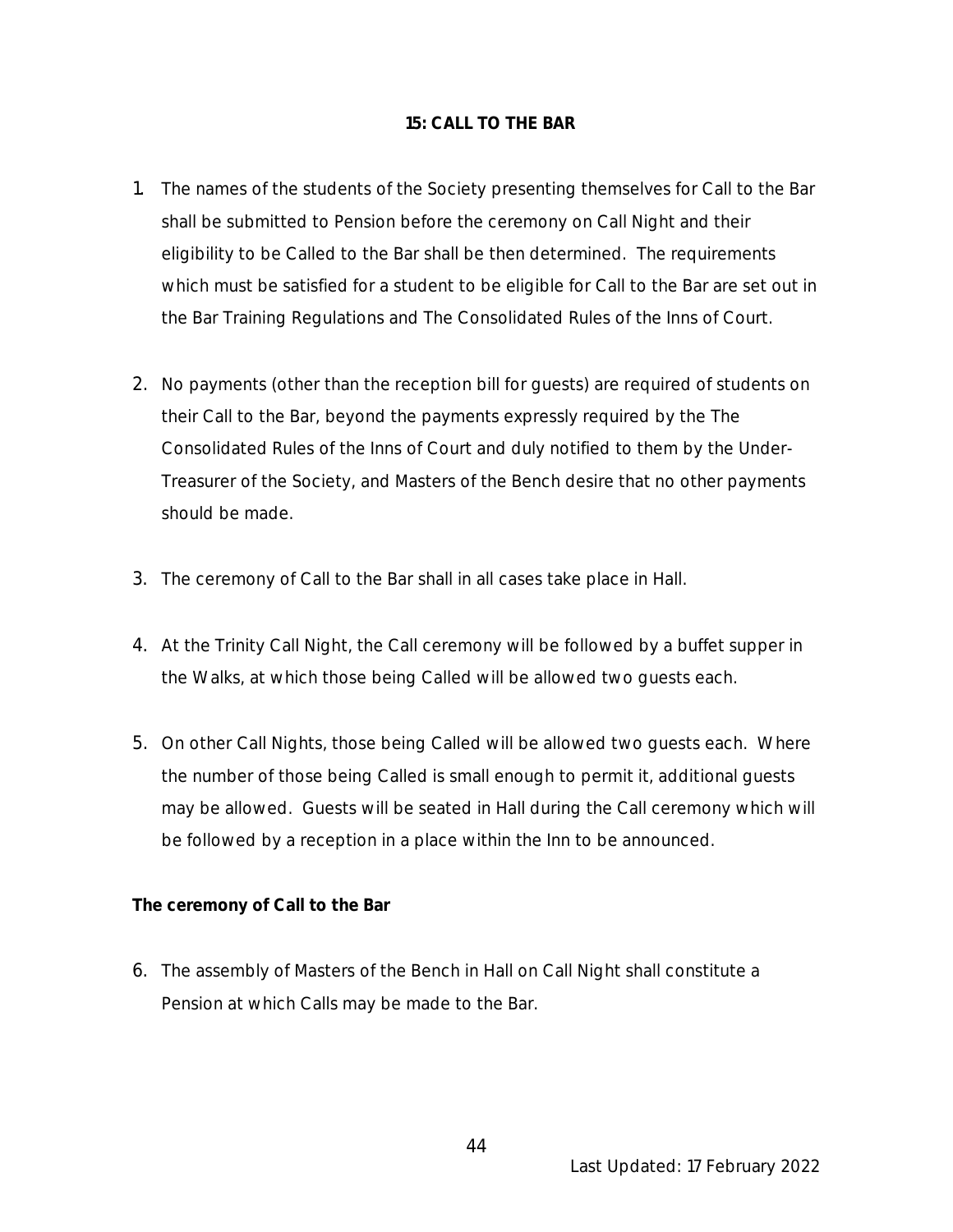#### **15: CALL TO THE BAR**

- 1. The names of the students of the Society presenting themselves for Call to the Bar shall be submitted to Pension before the ceremony on Call Night and their eligibility to be Called to the Bar shall be then determined. The requirements which must be satisfied for a student to be eligible for Call to the Bar are set out in the Bar Training Regulations and The Consolidated Rules of the Inns of Court.
- 2. No payments (other than the reception bill for guests) are required of students on their Call to the Bar, beyond the payments expressly required by the The Consolidated Rules of the Inns of Court and duly notified to them by the Under-Treasurer of the Society, and Masters of the Bench desire that no other payments should be made.
- 3. The ceremony of Call to the Bar shall in all cases take place in Hall.
- 4. At the Trinity Call Night, the Call ceremony will be followed by a buffet supper in the Walks, at which those being Called will be allowed two guests each.
- 5. On other Call Nights, those being Called will be allowed two guests each. Where the number of those being Called is small enough to permit it, additional guests may be allowed. Guests will be seated in Hall during the Call ceremony which will be followed by a reception in a place within the Inn to be announced.

**The ceremony of Call to the Bar**

6. The assembly of Masters of the Bench in Hall on Call Night shall constitute a Pension at which Calls may be made to the Bar.

Last Updated: 17 February 2022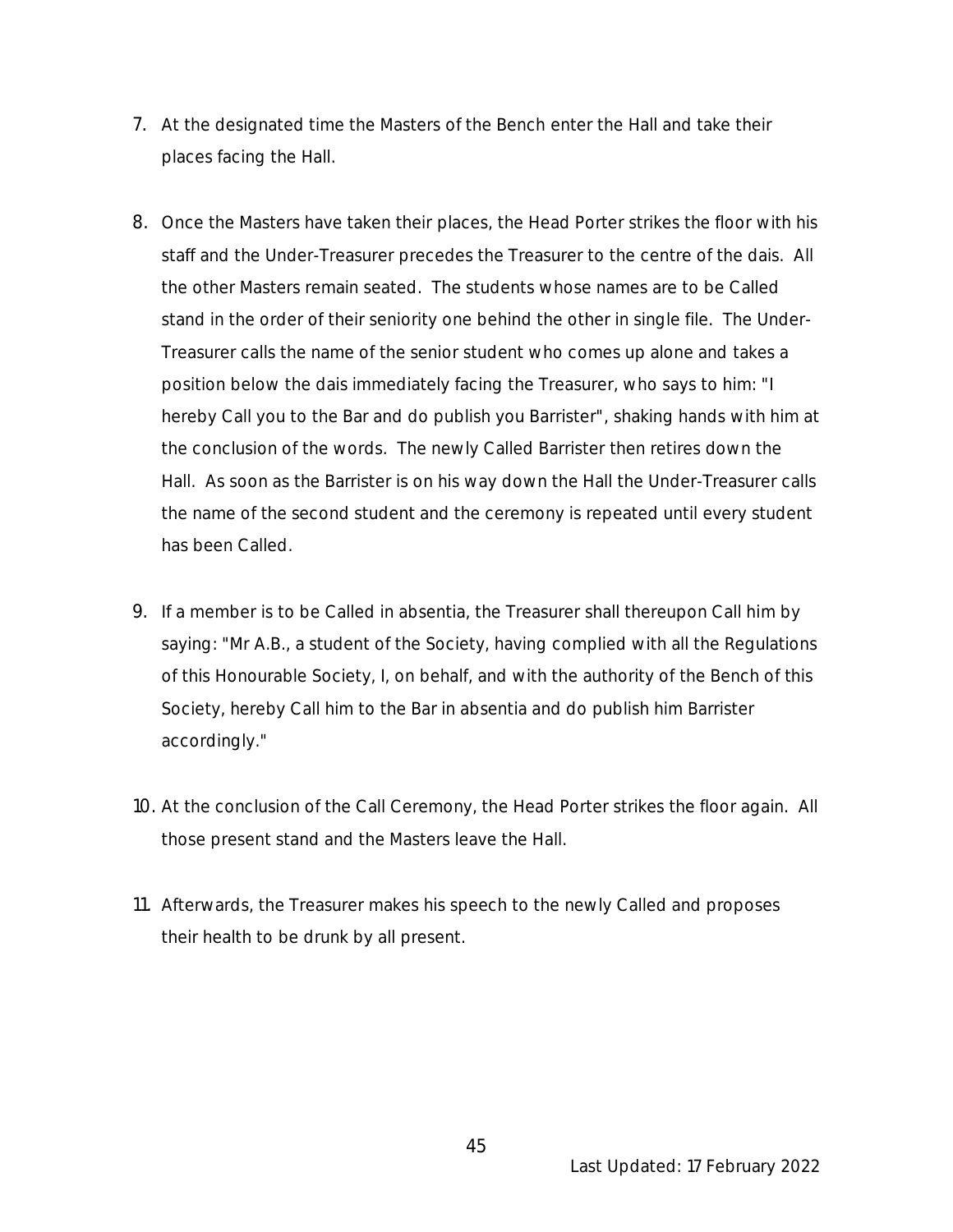- 7. At the designated time the Masters of the Bench enter the Hall and take their places facing the Hall.
- 8. Once the Masters have taken their places, the Head Porter strikes the floor with his staff and the Under-Treasurer precedes the Treasurer to the centre of the dais. All the other Masters remain seated. The students whose names are to be Called stand in the order of their seniority one behind the other in single file. The Under-Treasurer calls the name of the senior student who comes up alone and takes a position below the dais immediately facing the Treasurer, who says to him: "I hereby Call you to the Bar and do publish you Barrister", shaking hands with him at the conclusion of the words. The newly Called Barrister then retires down the Hall. As soon as the Barrister is on his way down the Hall the Under-Treasurer calls the name of the second student and the ceremony is repeated until every student has been Called.
- 9. If a member is to be Called in absentia, the Treasurer shall thereupon Call him by saying: "Mr A.B., a student of the Society, having complied with all the Regulations of this Honourable Society, I, on behalf, and with the authority of the Bench of this Society, hereby Call him to the Bar in absentia and do publish him Barrister accordingly."
- 10. At the conclusion of the Call Ceremony, the Head Porter strikes the floor again. All those present stand and the Masters leave the Hall.
- 11. Afterwards, the Treasurer makes his speech to the newly Called and proposes their health to be drunk by all present.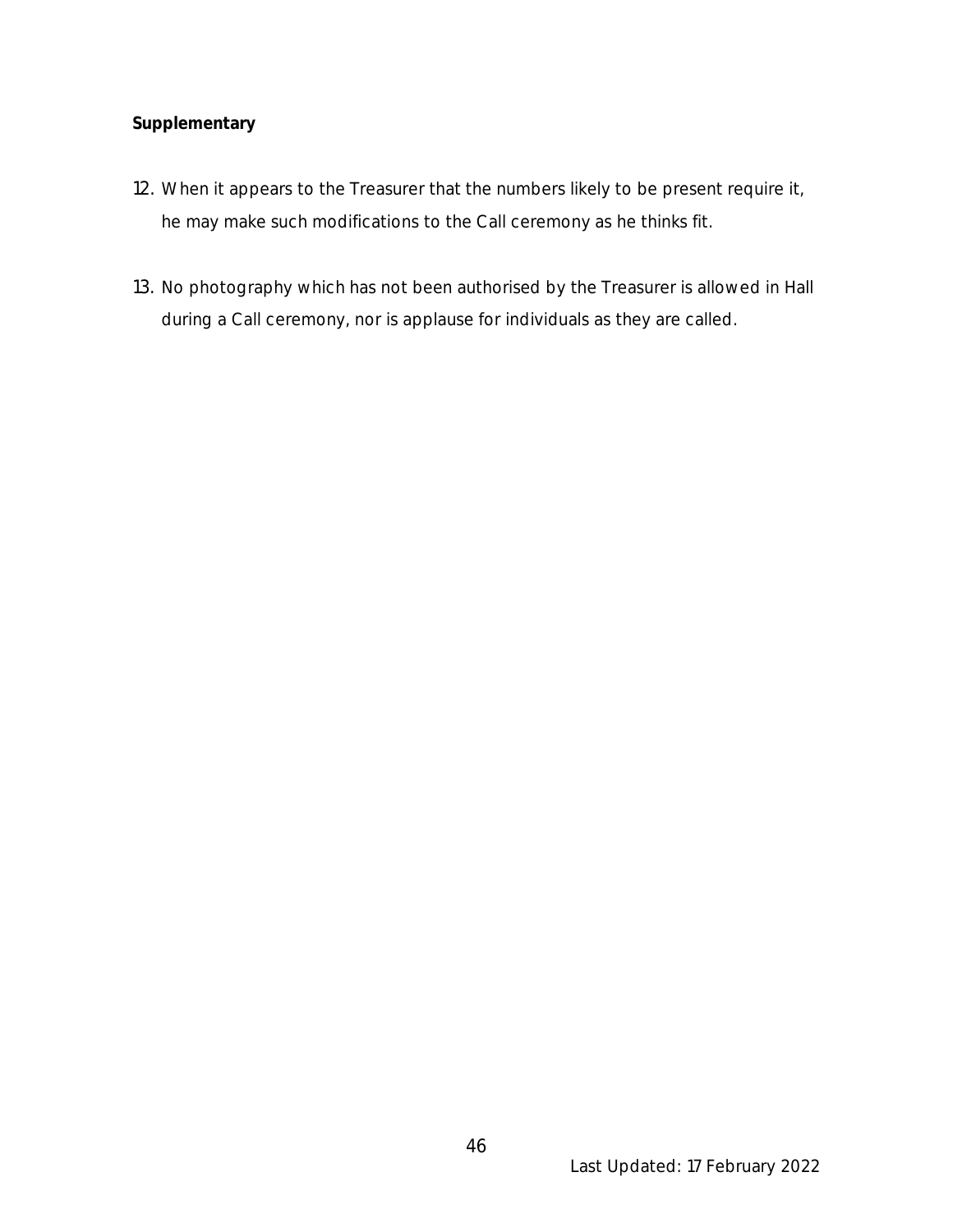# **Supplementary**

- 12. When it appears to the Treasurer that the numbers likely to be present require it, he may make such modifications to the Call ceremony as he thinks fit.
- 13. No photography which has not been authorised by the Treasurer is allowed in Hall during a Call ceremony, nor is applause for individuals as they are called*.*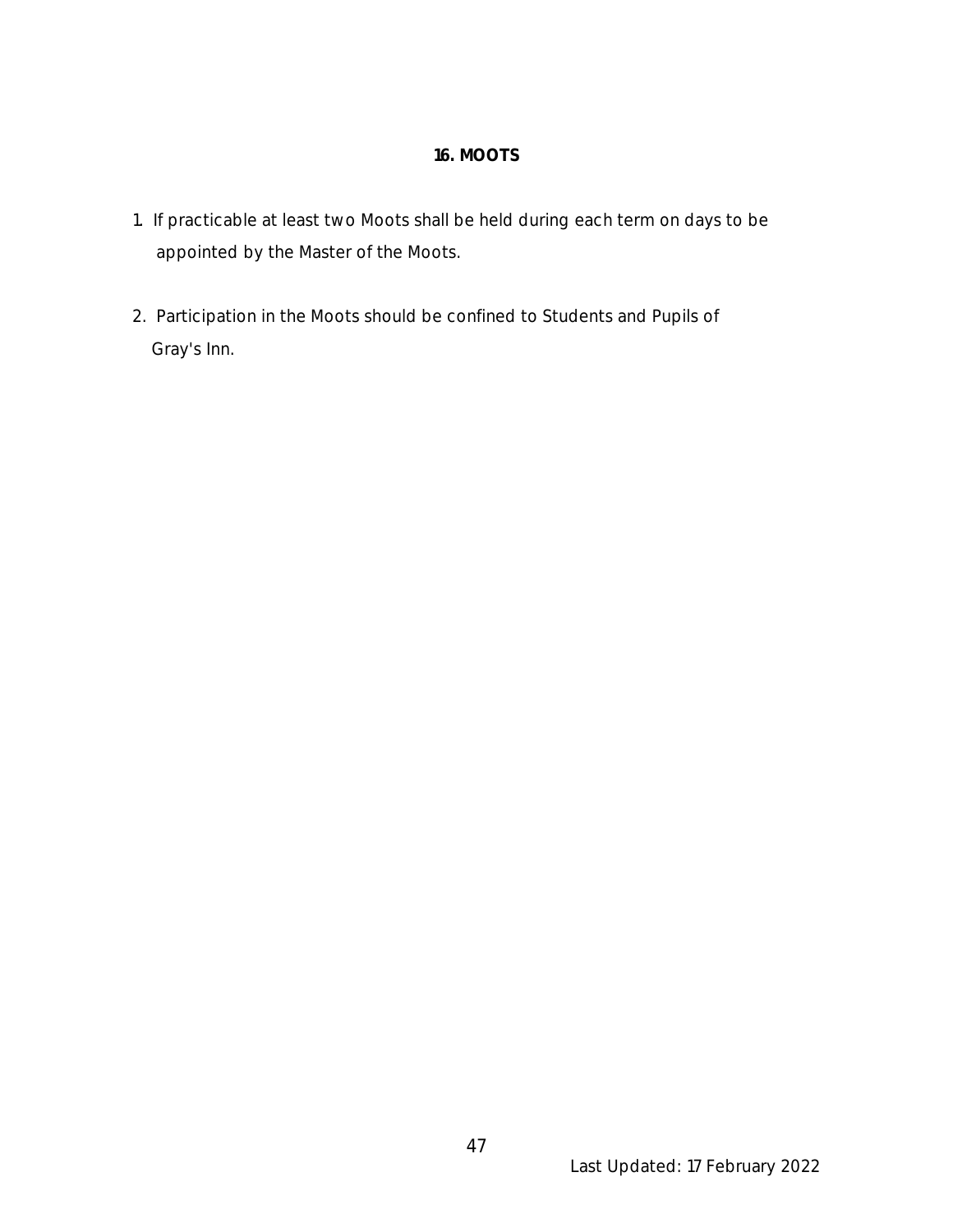# **16. MOOTS**

- 1. If practicable at least two Moots shall be held during each term on days to be appointed by the Master of the Moots.
- 2. Participation in the Moots should be confined to Students and Pupils of Gray's Inn.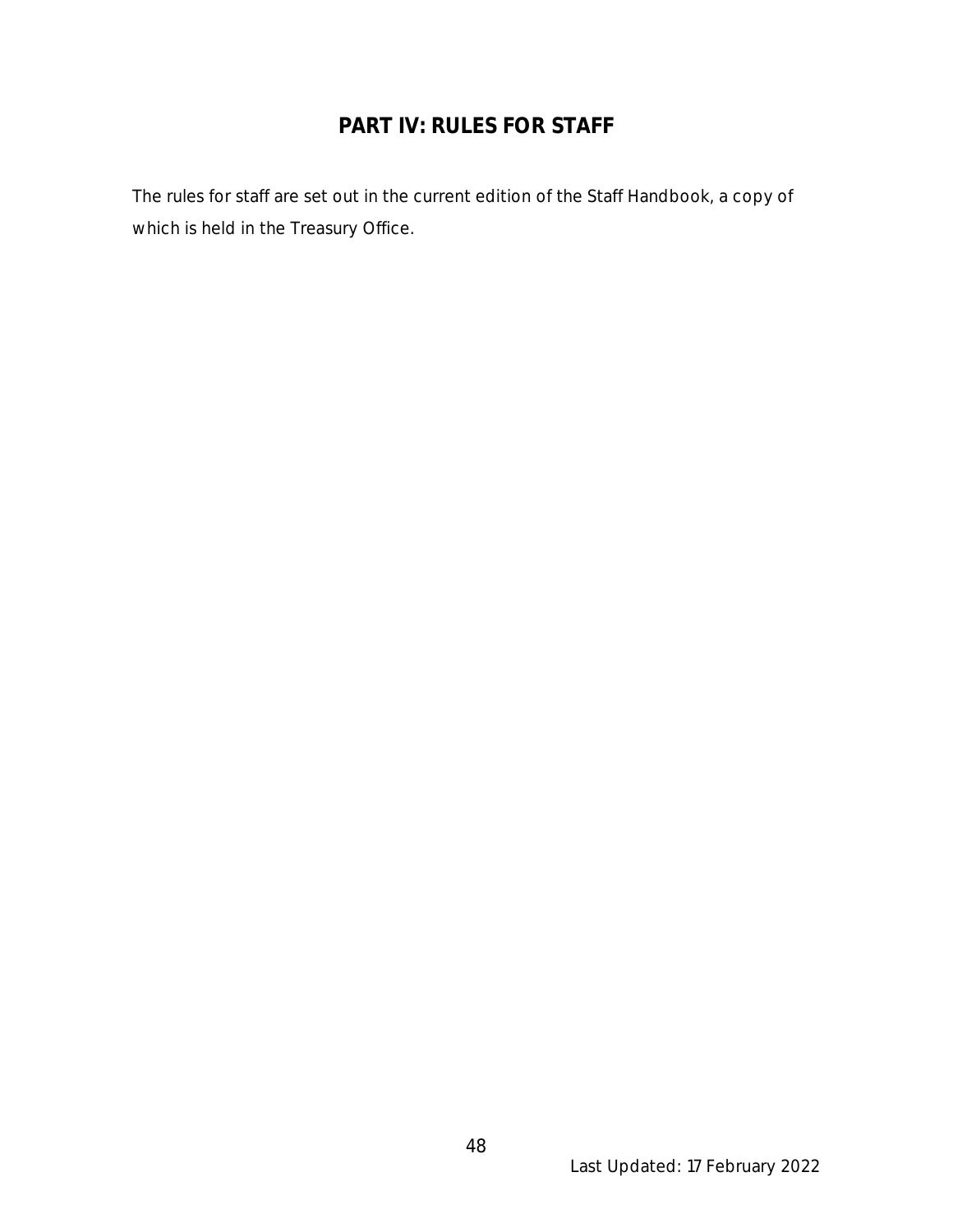# **PART IV: RULES FOR STAFF**

The rules for staff are set out in the current edition of the Staff Handbook, a copy of which is held in the Treasury Office.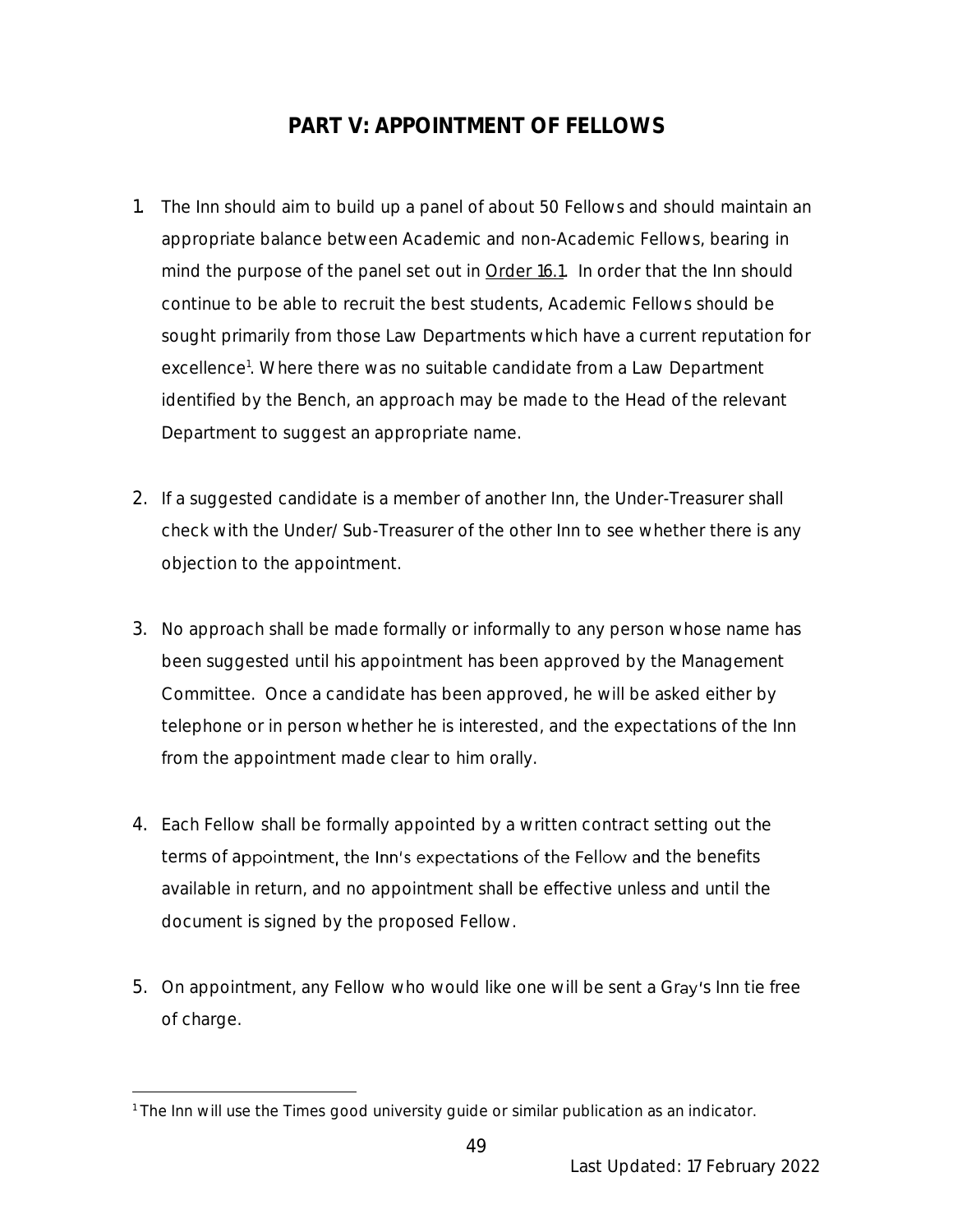# **PART V: APPOINTMENT OF FELLOWS**

- 1. The Inn should aim to build up a panel of about 50 Fellows and should maintain an appropriate balance between Academic and non-Academic Fellows, bearing in mind the purpose of the panel set out in Order 16.1. In order that the Inn should continue to be able to recruit the best students, Academic Fellows should be sought primarily from those Law Departments which have a current reputation for excellence<sup>1</sup>. Where there was no suitable candidate from a Law Department identified by the Bench, an approach may be made to the Head of the relevant Department to suggest an appropriate name.
- 2. If a suggested candidate is a member of another Inn, the Under-Treasurer shall check with the Under/Sub-Treasurer of the other Inn to see whether there is any objection to the appointment.
- 3. No approach shall be made formally or informally to any person whose name has been suggested until his appointment has been approved by the Management Committee. Once a candidate has been approved, he will be asked either by telephone or in person whether he is interested, and the expectations of the Inn from the appointment made clear to him orally.
- 4. Each Fellow shall be formally appointed by a written contract setting out the terms of appointment, the Inn's expectations of the Fellow and the benefits available in return, and no appointment shall be effective unless and until the document is signed by the proposed Fellow.
- 5. On appointment, any Fellow who would like one will be sent a Gray's Inn tie free of charge.

<sup>&</sup>lt;sup>1</sup> The Inn will use the Times good university guide or similar publication as an indicator.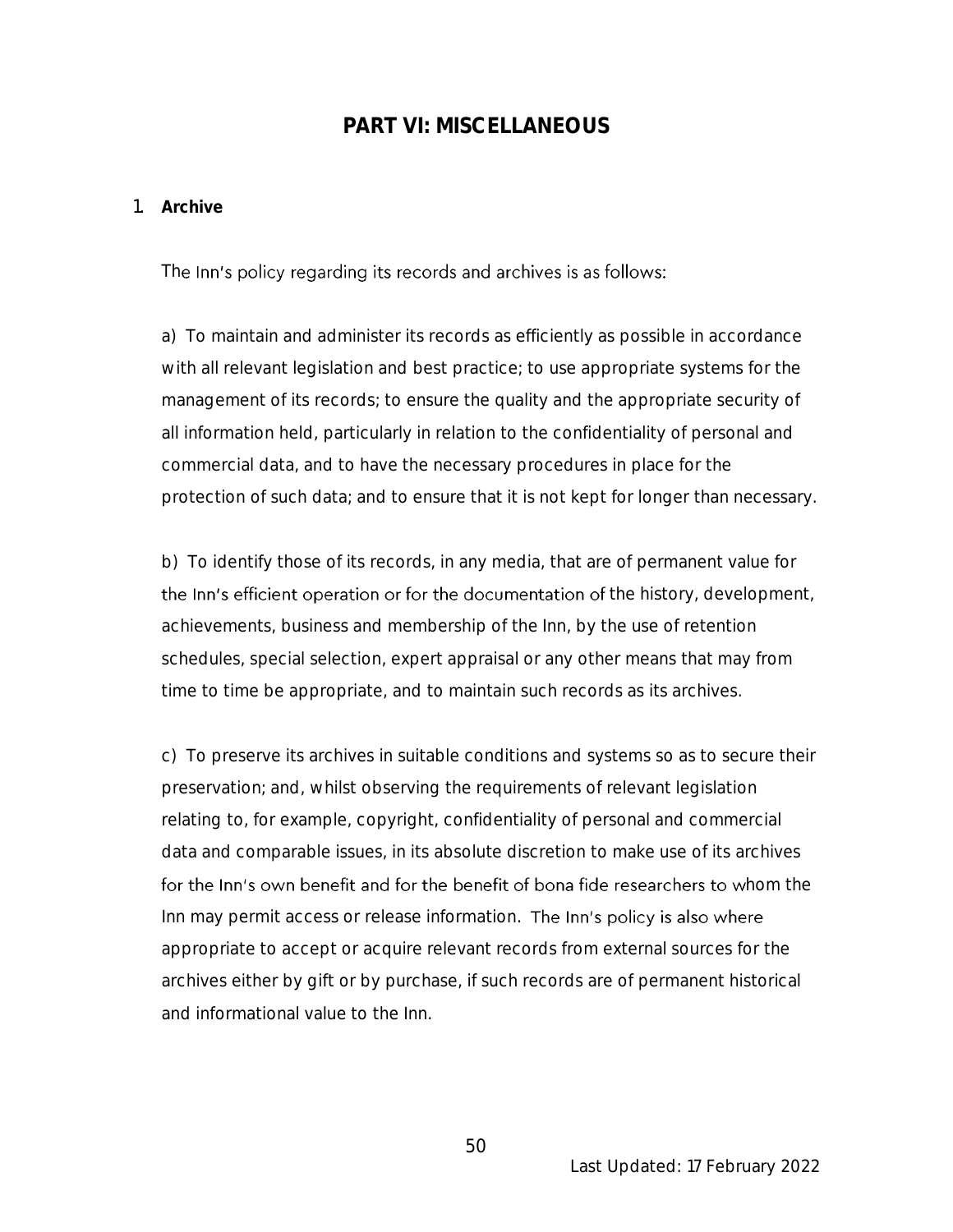# **PART VI: MISCELLANEOUS**

#### 1. **Archive**

The Inn's policy regarding its records and archives is as follows:

a) To maintain and administer its records as efficiently as possible in accordance with all relevant legislation and best practice; to use appropriate systems for the management of its records; to ensure the quality and the appropriate security of all information held, particularly in relation to the confidentiality of personal and commercial data, and to have the necessary procedures in place for the protection of such data; and to ensure that it is not kept for longer than necessary.

b) To identify those of its records, in any media, that are of permanent value for the Inn's efficient operation or for the documentation of the history, development, achievements, business and membership of the Inn, by the use of retention schedules, special selection, expert appraisal or any other means that may from time to time be appropriate, and to maintain such records as its archives.

c) To preserve its archives in suitable conditions and systems so as to secure their preservation; and, whilst observing the requirements of relevant legislation relating to, for example, copyright, confidentiality of personal and commercial data and comparable issues, in its absolute discretion to make use of its archives for the Inn's own benefit and for the benefit of bona fide researchers to whom the Inn may permit access or release information. The Inn's policy is also where appropriate to accept or acquire relevant records from external sources for the archives either by gift or by purchase, if such records are of permanent historical and informational value to the Inn.

Last Updated: 17 February 2022

50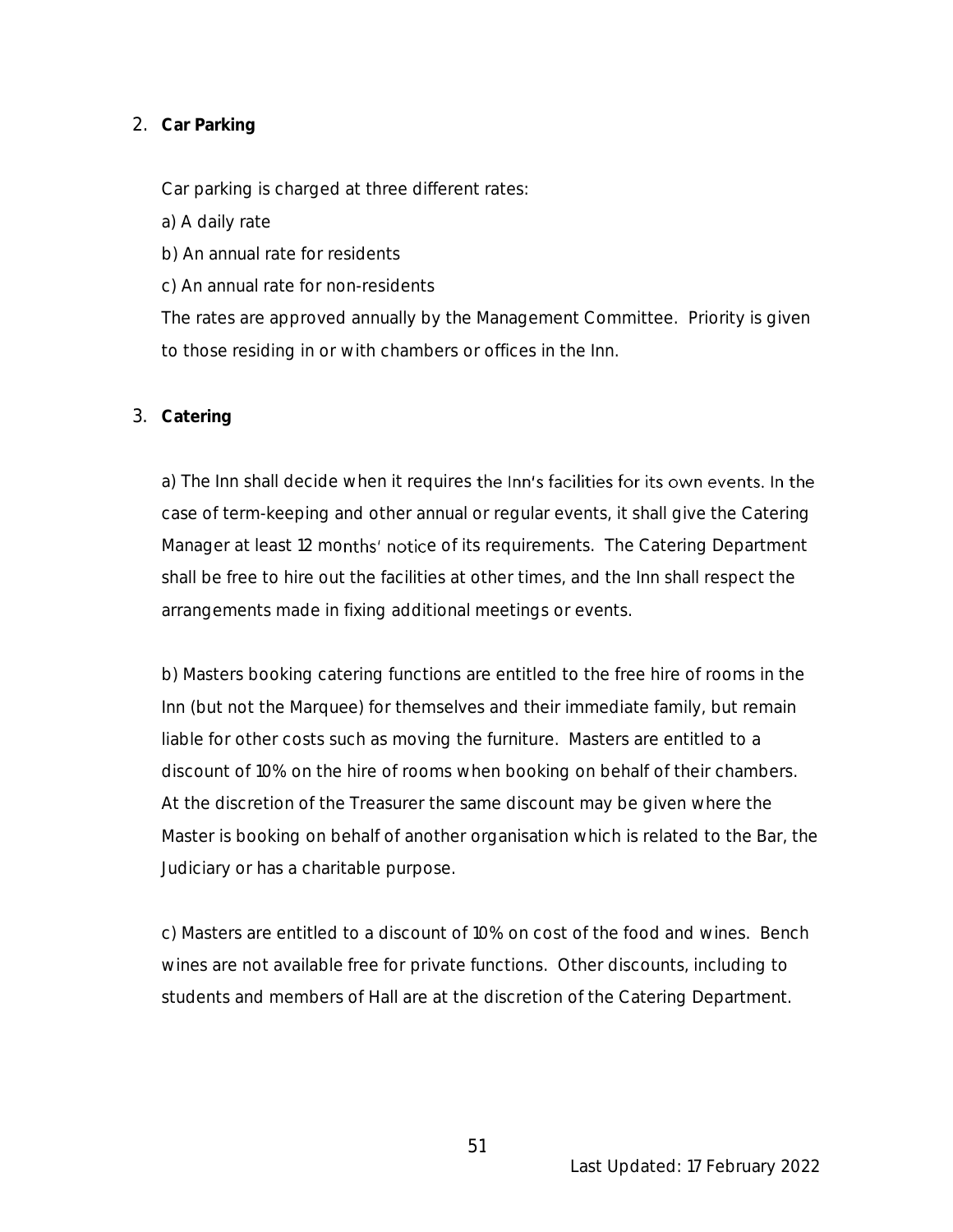# 2. **Car Parking**

Car parking is charged at three different rates:

- a) A daily rate
- b) An annual rate for residents
- c) An annual rate for non-residents

The rates are approved annually by the Management Committee. Priority is given to those residing in or with chambers or offices in the Inn.

# 3. **Catering**

a) The Inn shall decide when it requires the Inn's facilities for its own events. In the case of term-keeping and other annual or regular events, it shall give the Catering Manager at least 12 months' notice of its requirements. The Catering Department shall be free to hire out the facilities at other times, and the Inn shall respect the arrangements made in fixing additional meetings or events.

b) Masters booking catering functions are entitled to the free hire of rooms in the Inn (but not the Marquee) for themselves and their immediate family, but remain liable for other costs such as moving the furniture. Masters are entitled to a discount of 10% on the hire of rooms when booking on behalf of their chambers. At the discretion of the Treasurer the same discount may be given where the Master is booking on behalf of another organisation which is related to the Bar, the Judiciary or has a charitable purpose.

c) Masters are entitled to a discount of 10% on cost of the food and wines. Bench wines are not available free for private functions. Other discounts, including to students and members of Hall are at the discretion of the Catering Department.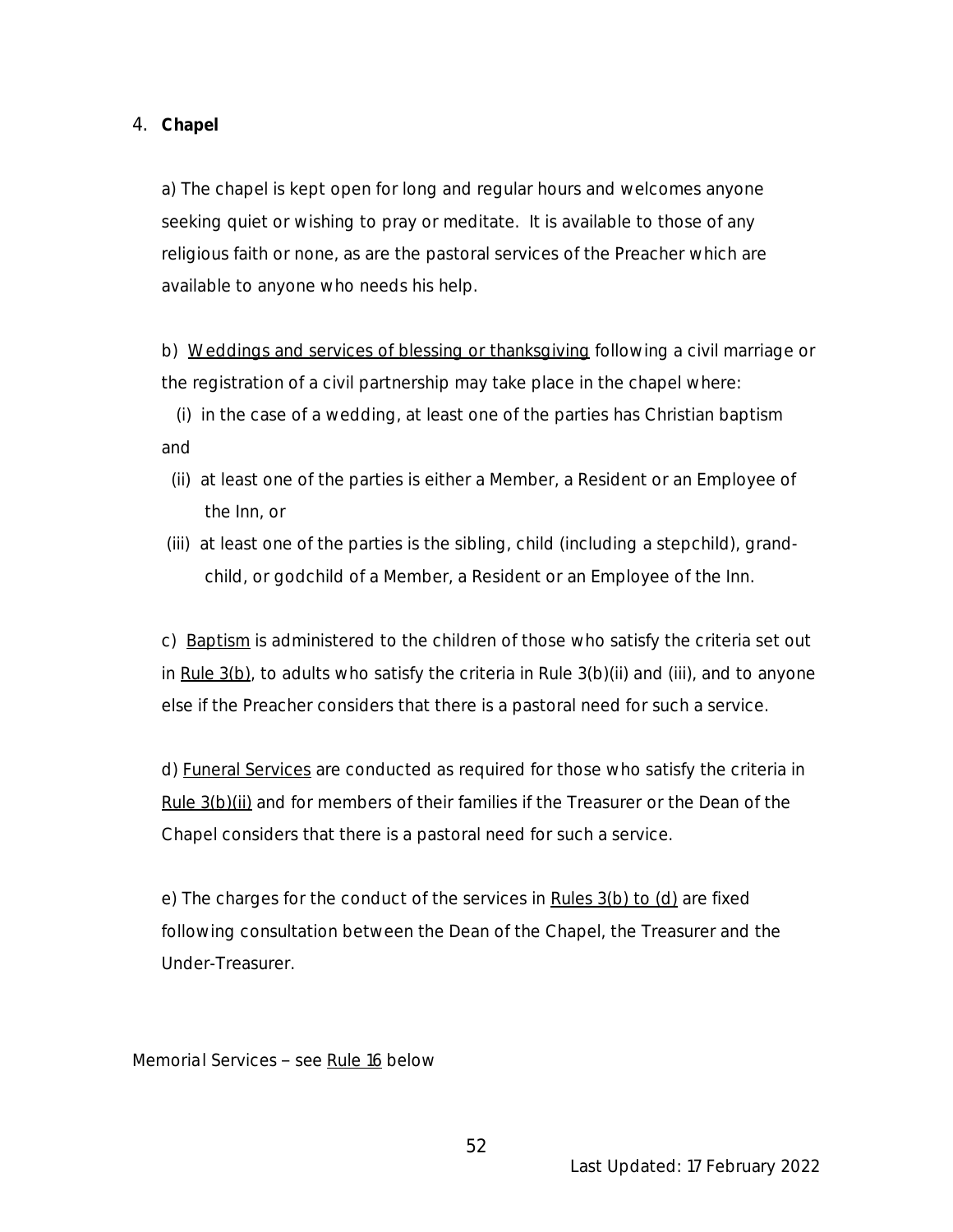4. **Chapel**

a) The chapel is kept open for long and regular hours and welcomes anyone seeking quiet or wishing to pray or meditate. It is available to those of any religious faith or none, as are the pastoral services of the Preacher which are available to anyone who needs his help.

b) Weddings and services of blessing or thanksgiving following a civil marriage or the registration of a civil partnership may take place in the chapel where:

 (i) in the case of a wedding, at least one of the parties has Christian baptism and

- (ii) at least one of the parties is either a Member, a Resident or an Employee of the Inn, or
- (iii) at least one of the parties is the sibling, child (including a stepchild), grand child, or godchild of a Member, a Resident or an Employee of the Inn.

c) Baptism is administered to the children of those who satisfy the criteria set out in Rule 3(b), to adults who satisfy the criteria in Rule 3(b)(ii) and (iii), and to anyone else if the Preacher considers that there is a pastoral need for such a service.

d) Funeral Services are conducted as required for those who satisfy the criteria in Rule 3(b)(ii) and for members of their families if the Treasurer or the Dean of the Chapel considers that there is a pastoral need for such a service.

e) The charges for the conduct of the services in Rules 3(b) to (d) are fixed following consultation between the Dean of the Chapel, the Treasurer and the Under-Treasurer*.*

*Memorial Services see Rule 16 below*

Last Updated: 17 February 2022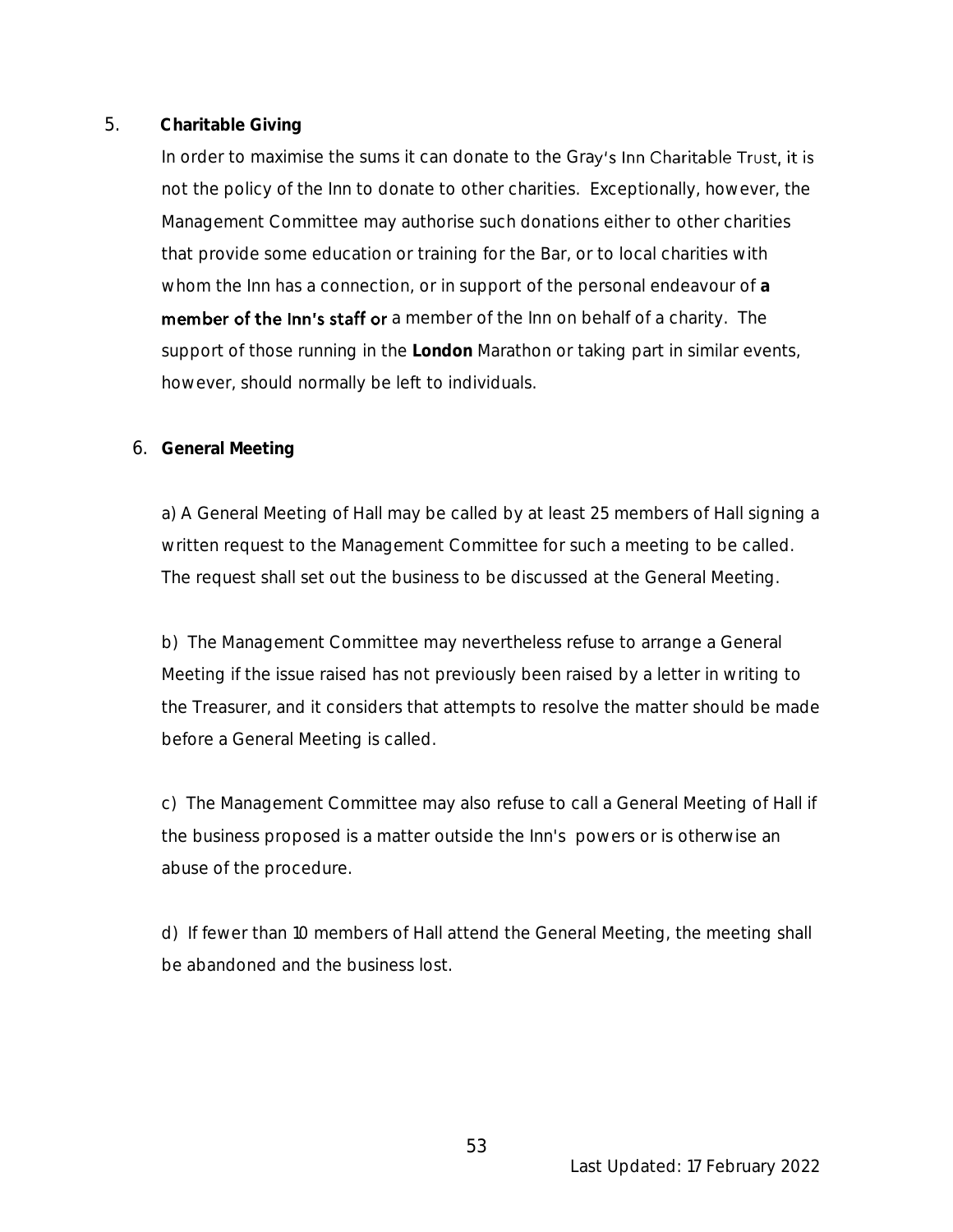# 5. **Charitable Giving**

In order to maximise the sums it can donate to the Gray's Inn Charitable Trust, it is not the policy of the Inn to donate to other charities. Exceptionally, however, the Management Committee may authorise such donations either to other charities that provide some education or training for the Bar, or to local charities with whom the Inn has a connection, or in support of the personal endeavour of **a**  member of the Inn's staff or a member of the Inn on behalf of a charity. The support of those running in the **London** Marathon or taking part in similar events, however, should normally be left to individuals.

# 6. **General Meeting**

a) A General Meeting of Hall may be called by at least 25 members of Hall signing a written request to the Management Committee for such a meeting to be called. The request shall set out the business to be discussed at the General Meeting.

b)The Management Committee may nevertheless refuse to arrange a General Meeting if the issue raised has not previously been raised by a letter in writing to the Treasurer, and it considers that attempts to resolve the matter should be made before a General Meeting is called.

c)The Management Committee may also refuse to call a General Meeting of Hall if the business proposed is a matter outside the Inn's powers or is otherwise an abuse of the procedure.

d) If fewer than 10 members of Hall attend the General Meeting, the meeting shall be abandoned and the business lost.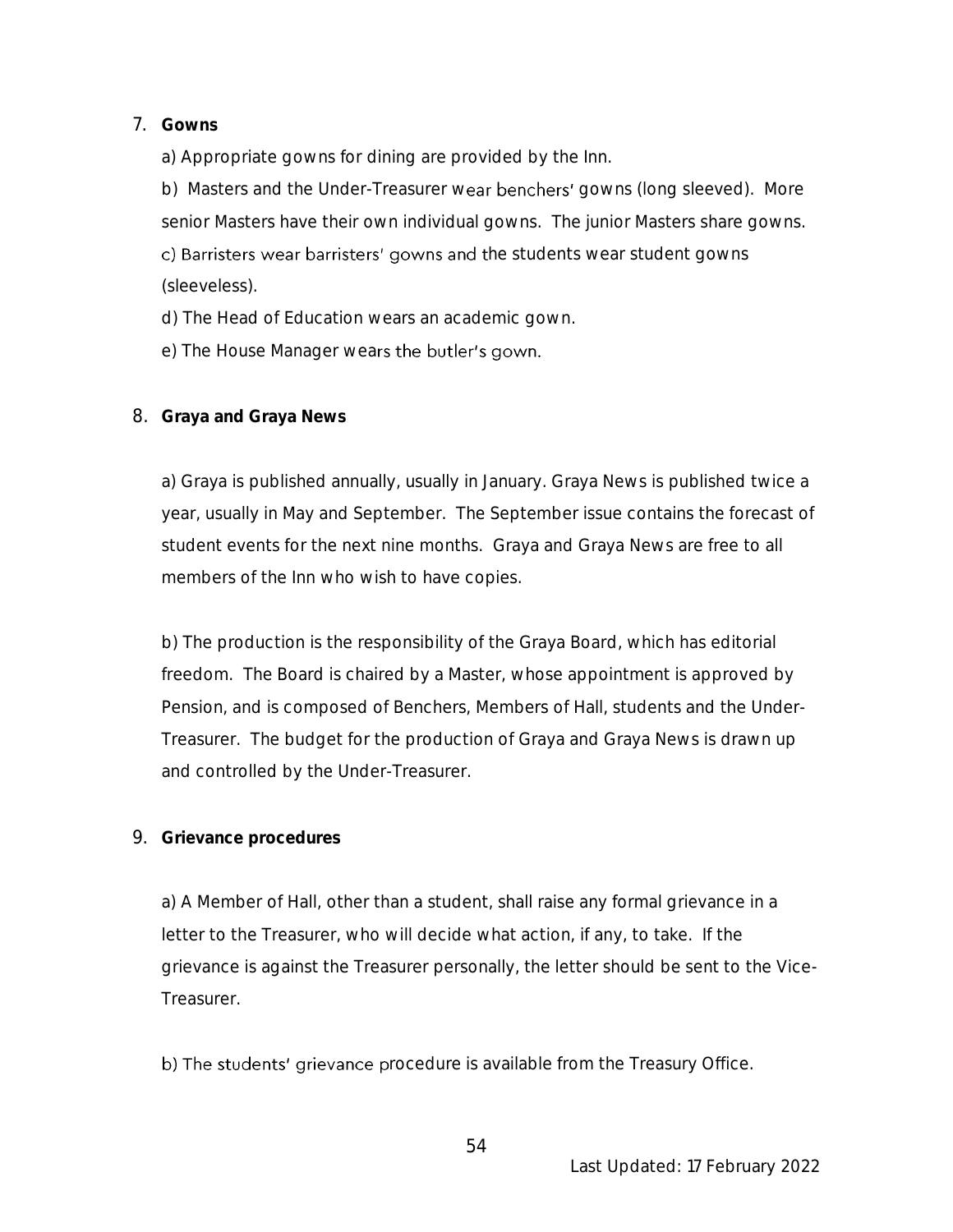# 7. **Gowns**

a) Appropriate gowns for dining are provided by the Inn.

b) Masters and the Under-Treasurer wear benchers' gowns (long sleeved). More senior Masters have their own individual gowns. The junior Masters share gowns. c) Barristers wear barristers' gowns and the students wear student gowns

(sleeveless).

- d) The Head of Education wears an academic gown.
- e) The House Manager wears the butler's gown.
- 8. **Graya and Graya News**

a) Graya is published annually, usually in January. Graya News is published twice a year, usually in May and September. The September issue contains the forecast of student events for the next nine months. Graya and Graya News are free to all members of the Inn who wish to have copies.

b) The production is the responsibility of the Graya Board, which has editorial freedom. The Board is chaired by a Master, whose appointment is approved by Pension, and is composed of Benchers, Members of Hall, students and the Under-Treasurer. The budget for the production of Graya and Graya News is drawn up and controlled by the Under-Treasurer.

9. **Grievance procedures**

a) A Member of Hall, other than a student, shall raise any formal grievance in a letter to the Treasurer, who will decide what action, if any, to take. If the grievance is against the Treasurer personally, the letter should be sent to the Vice-**Treasurer** 

b) The students' grievance procedure is available from the Treasury Office.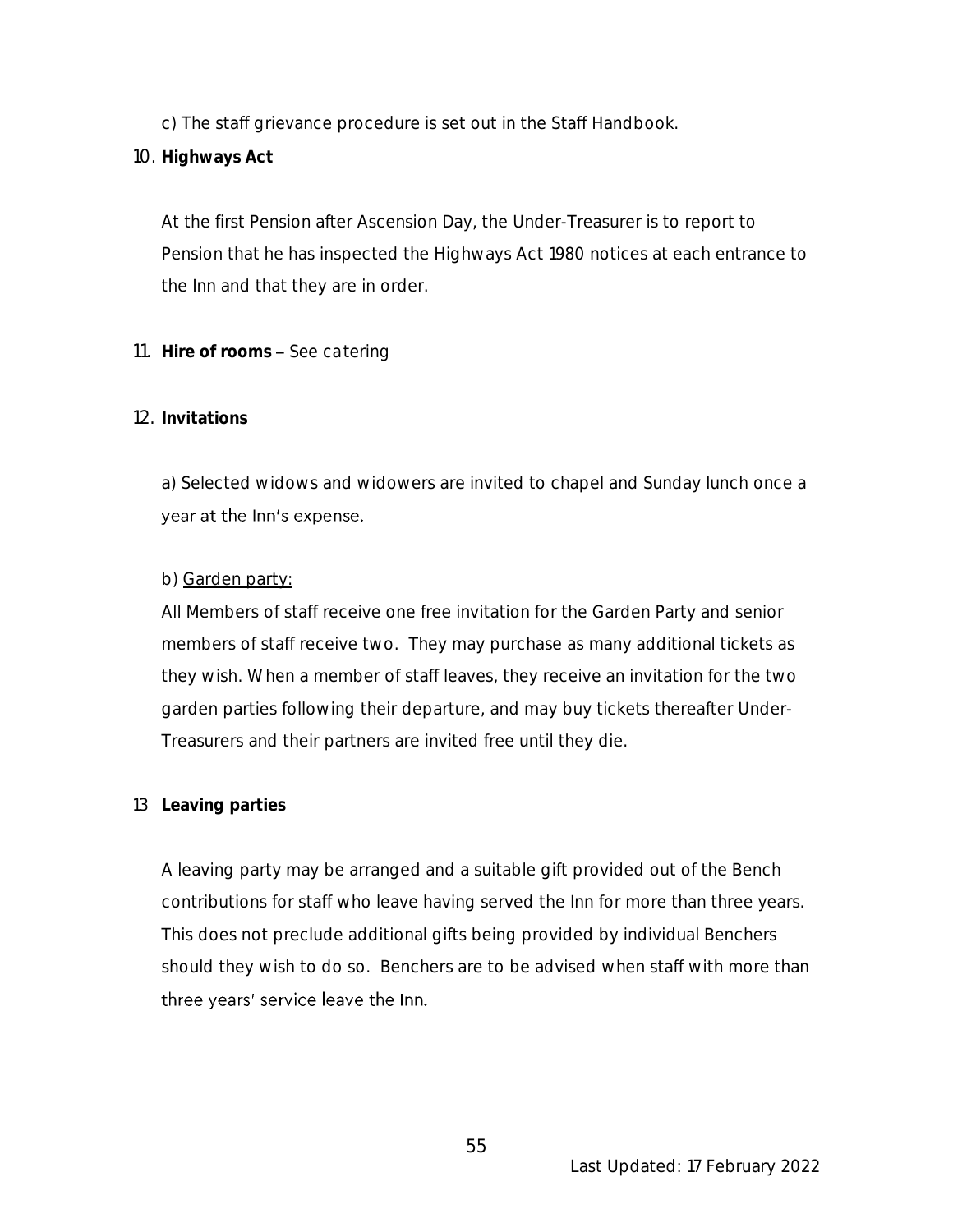c) The staff grievance procedure is set out in the Staff Handbook.

10. **Highways Act**

At the first Pension after Ascension Day, the Under-Treasurer is to report to Pension that he has inspected the Highways Act 1980 notices at each entrance to the Inn and that they are in order.

11. **Hire of rooms** *See catering*

# 12. **Invitations**

a) Selected widows and widowers are invited to chapel and Sunday lunch once a year at the Inn's expense.

# b) Garden party:

All Members of staff receive one free invitation for the Garden Party and senior members of staff receive two. They may purchase as many additional tickets as they wish. When a member of staff leaves, they receive an invitation for the two garden parties following their departure, and may buy tickets thereafter Under-Treasurers and their partners are invited free until they die.

# 13 **Leaving parties**

A leaving party may be arranged and a suitable gift provided out of the Bench contributions for staff who leave having served the Inn for more than three years. This does not preclude additional gifts being provided by individual Benchers should they wish to do so. Benchers are to be advised when staff with more than three years' service leave the Inn.

55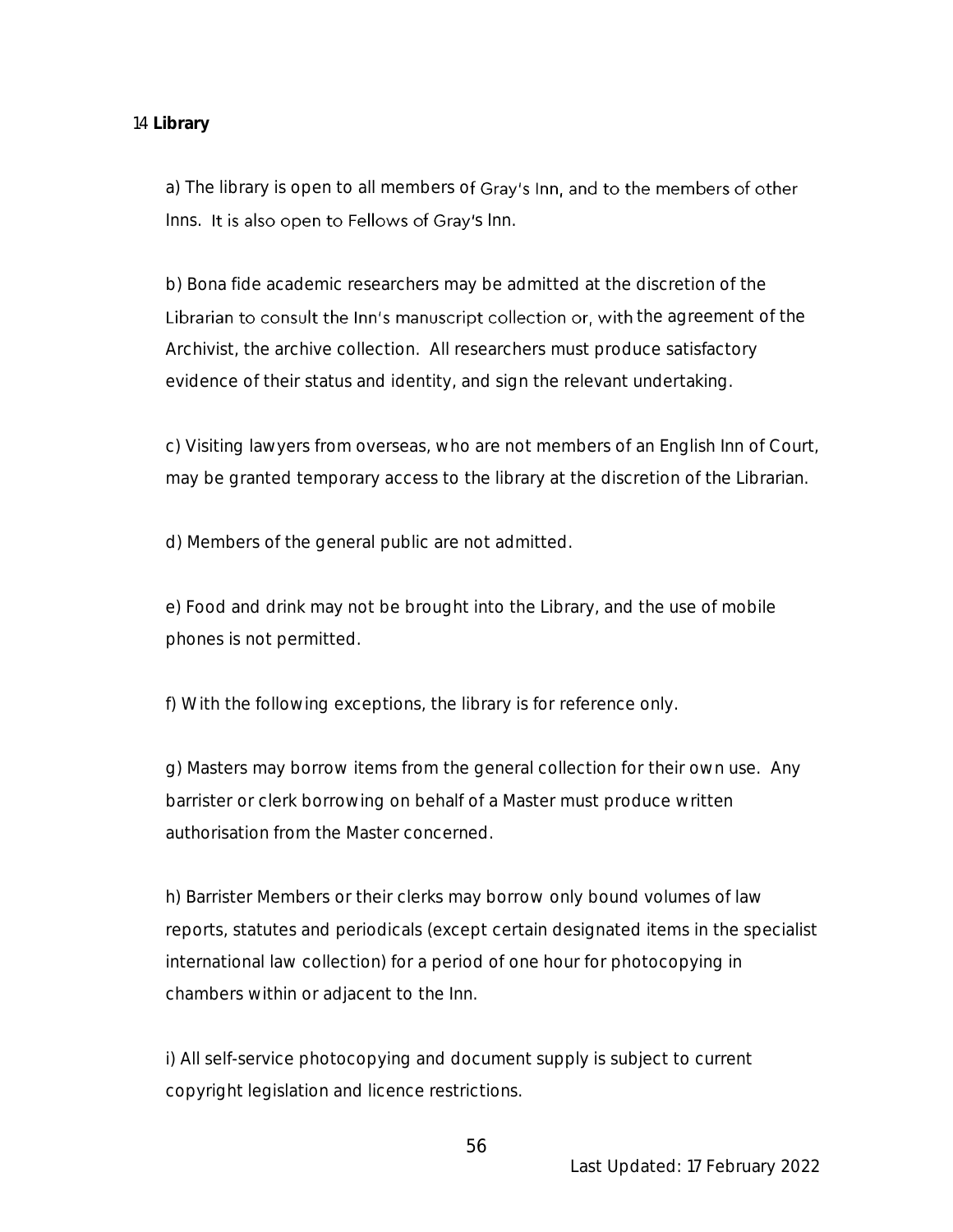#### 14 **Library**

a) The library is open to all members of Gray's Inn, and to the members of other Inns. It is also open to Fellows of Gray's Inn.

b) Bona fide academic researchers may be admitted at the discretion of the Librarian to consult the Inn's manuscript collection or, with the agreement of the Archivist, the archive collection. All researchers must produce satisfactory evidence of their status and identity, and sign the relevant undertaking.

c) Visiting lawyers from overseas, who are not members of an English Inn of Court, may be granted temporary access to the library at the discretion of the Librarian.

d) Members of the general public are not admitted.

e) Food and drink may not be brought into the Library, and the use of mobile phones is not permitted.

f) With the following exceptions, the library is for reference only.

g) Masters may borrow items from the general collection for their own use. Any barrister or clerk borrowing on behalf of a Master must produce written authorisation from the Master concerned.

h) Barrister Members or their clerks may borrow only bound volumes of law reports, statutes and periodicals (except certain designated items in the specialist international law collection) for a period of one hour for photocopying in chambers within or adjacent to the Inn.

i) All self-service photocopying and document supply is subject to current copyright legislation and licence restrictions.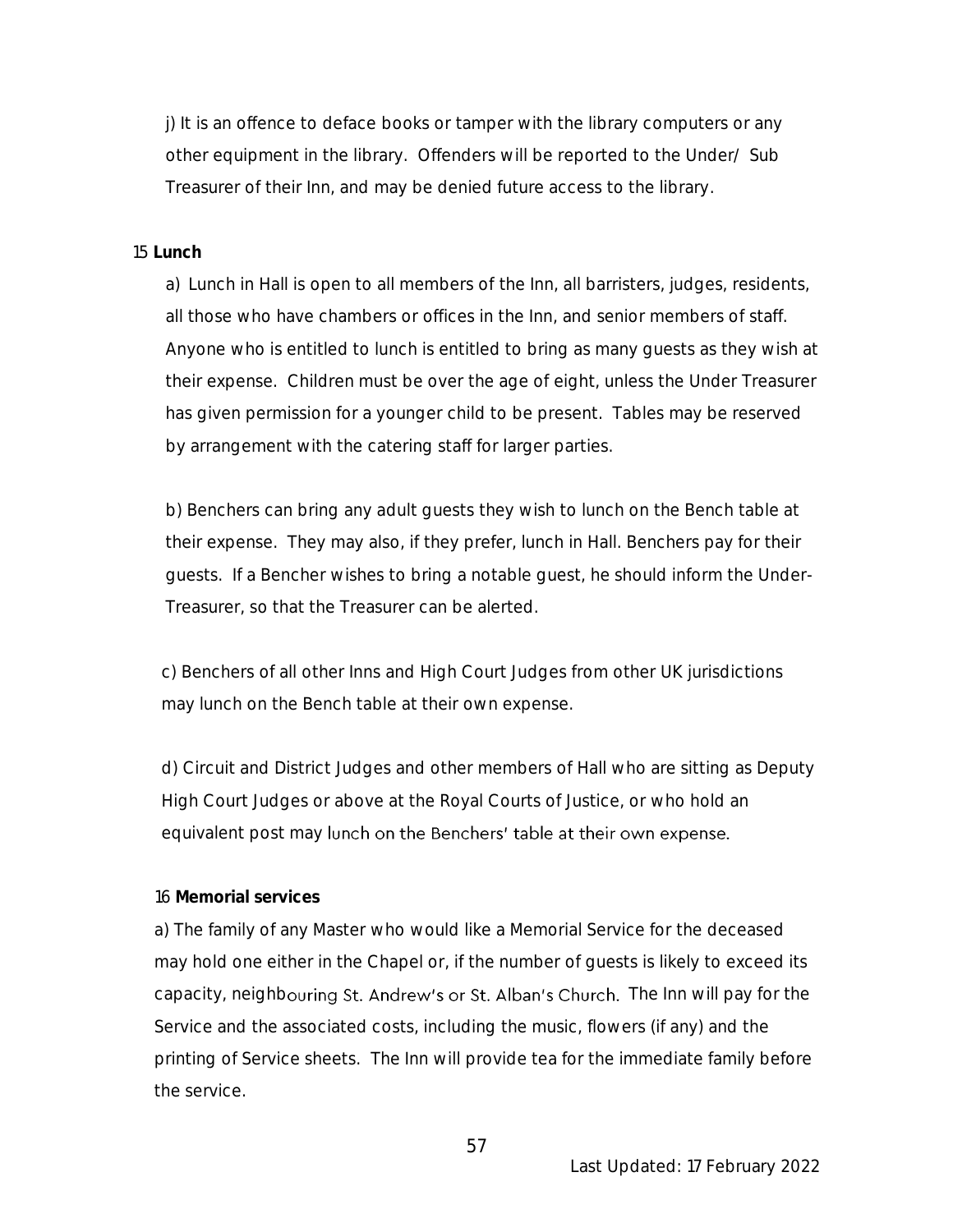j) It is an offence to deface books or tamper with the library computers or any other equipment in the library. Offenders will be reported to the Under/ Sub Treasurer of their Inn, and may be denied future access to the library*.*

#### 15 **Lunch**

a) Lunch in Hall is open to all members of the Inn, all barristers, judges, residents, all those who have chambers or offices in the Inn, and senior members of staff. Anyone who is entitled to lunch is entitled to bring as many guests as they wish at their expense. Children must be over the age of eight, unless the Under Treasurer has given permission for a younger child to be present. Tables may be reserved by arrangement with the catering staff for larger parties.

b) Benchers can bring any adult guests they wish to lunch on the Bench table at their expense. They may also, if they prefer, lunch in Hall. Benchers pay for their guests. If a Bencher wishes to bring a notable guest, he should inform the Under-Treasurer, so that the Treasurer can be alerted.

c) Benchers of all other Inns and High Court Judges from other UK jurisdictions may lunch on the Bench table at their own expense.

d) Circuit and District Judges and other members of Hall who are sitting as Deputy High Court Judges or above at the Royal Courts of Justice, or who hold an equivalent post may lunch on the Benchers' table at their own expense.

#### 16 **Memorial services**

a) The family of any Master who would like a Memorial Service for the deceased may hold one either in the Chapel or, if the number of guests is likely to exceed its capacity, neighbouring St. Andrew's or St. Alban's Church. The Inn will pay for the Service and the associated costs, including the music, flowers (if any) and the printing of Service sheets. The Inn will provide tea for the immediate family before the service.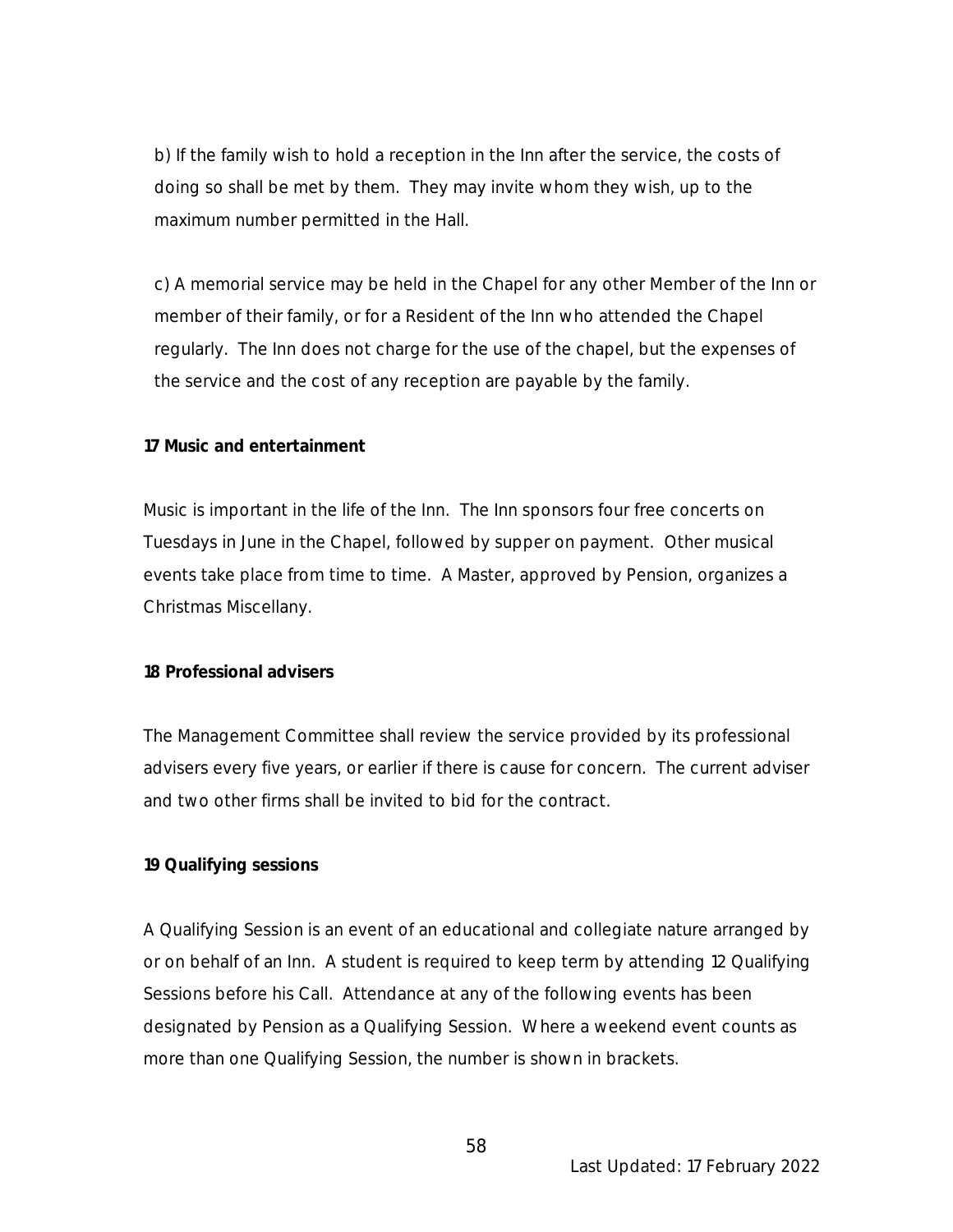b) If the family wish to hold a reception in the Inn after the service, the costs of doing so shall be met by them. They may invite whom they wish, up to the maximum number permitted in the Hall.

c) A memorial service may be held in the Chapel for any other Member of the Inn or member of their family, or for a Resident of the Inn who attended the Chapel regularly. The Inn does not charge for the use of the chapel, but the expenses of the service and the cost of any reception are payable by the family.

**17 Music and entertainment**

Music is important in the life of the Inn. The Inn sponsors four free concerts on Tuesdays in June in the Chapel, followed by supper on payment. Other musical events take place from time to time. A Master, approved by Pension, organizes a Christmas Miscellany.

#### **18 Professional advisers**

The Management Committee shall review the service provided by its professional advisers every five years, or earlier if there is cause for concern. The current adviser and two other firms shall be invited to bid for the contract.

#### **19 Qualifying sessions**

A Qualifying Session is an event of an educational and collegiate nature arranged by or on behalf of an Inn. A student is required to keep term by attending 12 Qualifying Sessions before his Call. Attendance at any of the following events has been designated by Pension as a Qualifying Session. Where a weekend event counts as more than one Qualifying Session, the number is shown in brackets.

58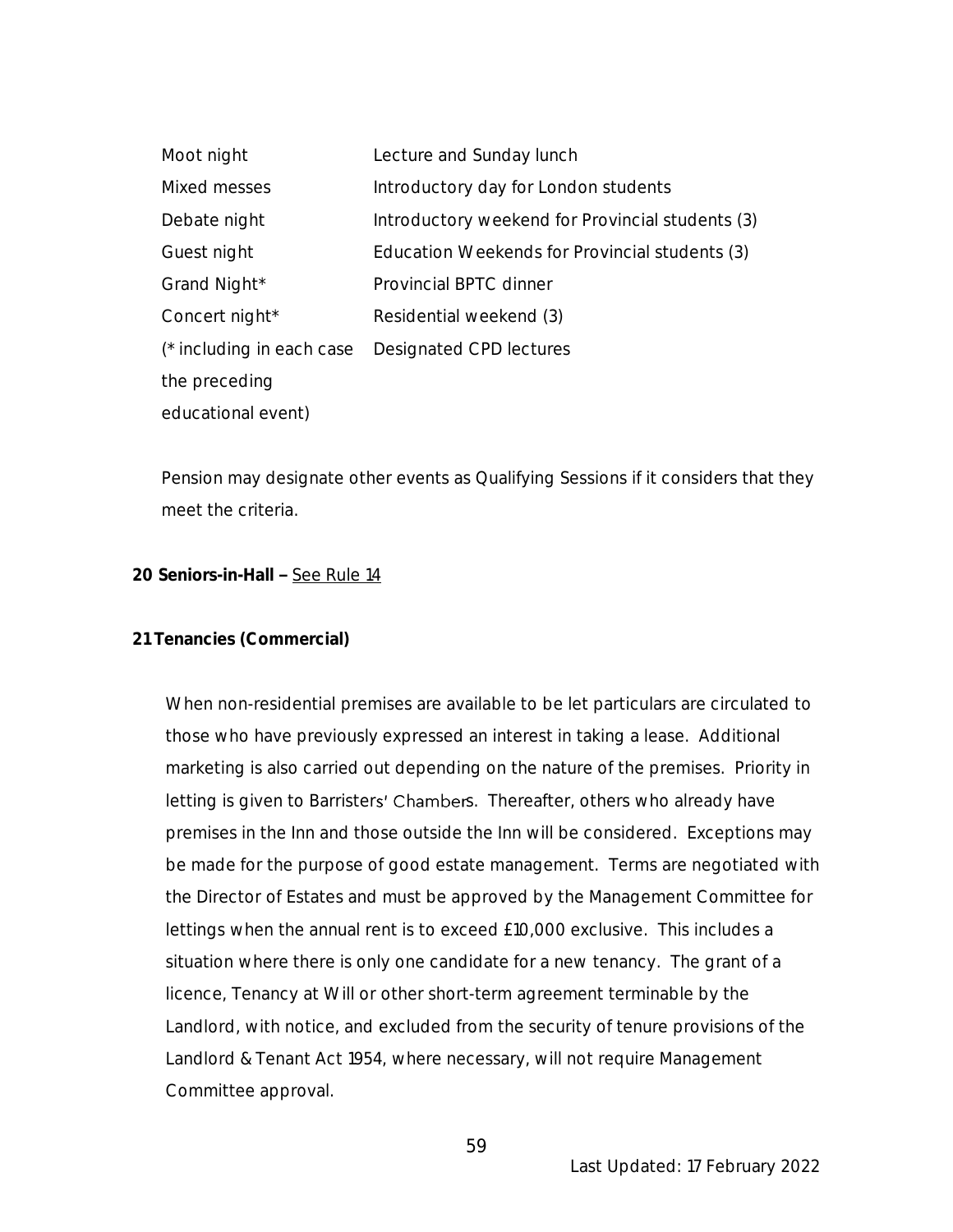| Moot night                | Lecture and Sunday lunch                         |
|---------------------------|--------------------------------------------------|
| Mixed messes              | Introductory day for London students             |
| Debate night              | Introductory weekend for Provincial students (3) |
| Guest night               | Education Weekends for Provincial students (3)   |
| Grand Night*              | Provincial BPTC dinner                           |
| Concert night*            | Residential weekend (3)                          |
| (* including in each case | Designated CPD lectures                          |
| the preceding             |                                                  |
| educational event)        |                                                  |

Pension may designate other events as Qualifying Sessions if it considers that they meet the criteria.

#### **20 Seniors-in-Hall - See Rule 14**

#### **21 Tenancies (Commercial)**

When non-residential premises are available to be let particulars are circulated to those who have previously expressed an interest in taking a lease. Additional marketing is also carried out depending on the nature of the premises. Priority in letting is given to Barristers' Chambers. Thereafter, others who already have premises in the Inn and those outside the Inn will be considered. Exceptions may be made for the purpose of good estate management. Terms are negotiated with the Director of Estates and must be approved by the Management Committee for lettings when the annual rent is to exceed £10,000 exclusive. This includes a situation where there is only one candidate for a new tenancy. The grant of a licence, Tenancy at Will or other short-term agreement terminable by the Landlord, with notice, and excluded from the security of tenure provisions of the Landlord & Tenant Act 1954, where necessary, will not require Management Committee approval.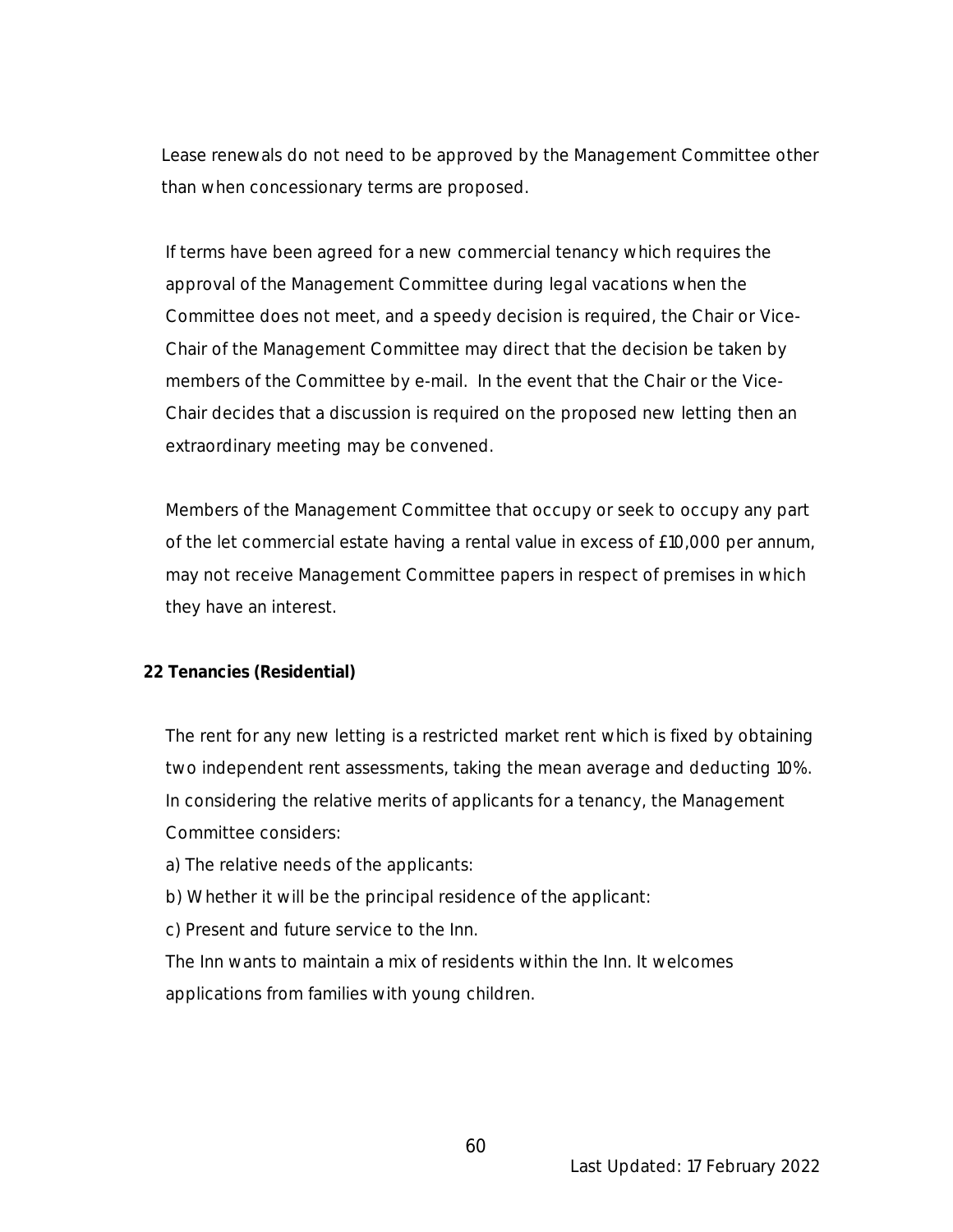Lease renewals do not need to be approved by the Management Committee other than when concessionary terms are proposed.

If terms have been agreed for a new commercial tenancy which requires the approval of the Management Committee during legal vacations when the Committee does not meet, and a speedy decision is required, the Chair or Vice-Chair of the Management Committee may direct that the decision be taken by members of the Committee by e-mail. In the event that the Chair or the Vice-Chair decides that a discussion is required on the proposed new letting then an extraordinary meeting may be convened.

Members of the Management Committee that occupy or seek to occupy any part of the let commercial estate having a rental value in excess of £10,000 per annum, may not receive Management Committee papers in respect of premises in which they have an interest.

#### **22 Tenancies (Residential)**

The rent for any new letting is a restricted market rent which is fixed by obtaining two independent rent assessments, taking the mean average and deducting 10%. In considering the relative merits of applicants for a tenancy, the Management Committee considers:

- a) The relative needs of the applicants:
- b) Whether it will be the principal residence of the applicant:
- c) Present and future service to the Inn.

The Inn wants to maintain a mix of residents within the Inn. It welcomes applications from families with young children.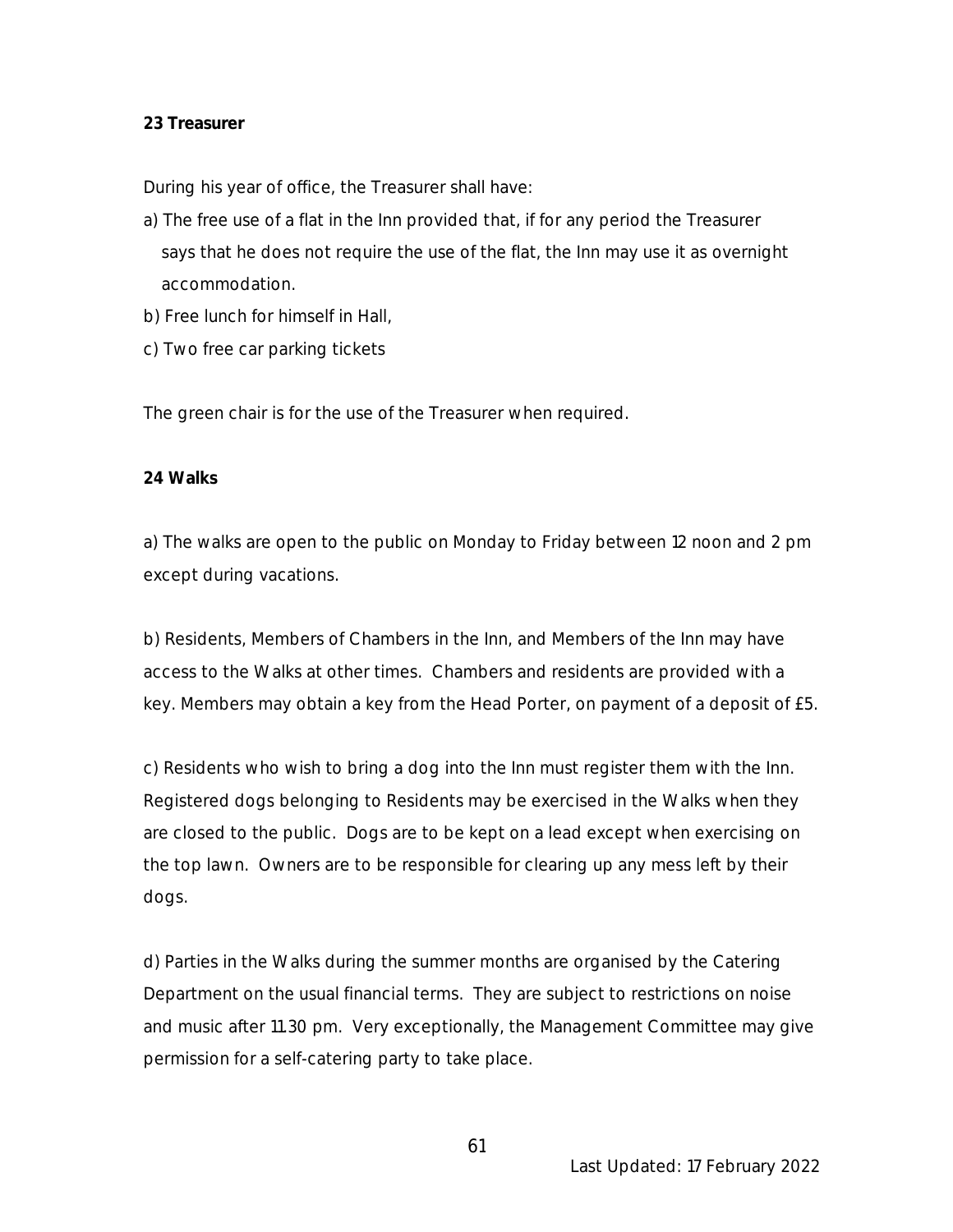#### **23 Treasurer**

During his year of office, the Treasurer shall have:

- a) The free use of a flat in the Inn provided that, if for any period the Treasurer says that he does not require the use of the flat, the Inn may use it as overnight accommodation.
- b) Free lunch for himself in Hall,
- c) Two free car parking tickets

The green chair is for the use of the Treasurer when required.

#### **24 Walks**

a) The walks are open to the public on Monday to Friday between 12 noon and 2 pm except during vacations.

b) Residents, Members of Chambers in the Inn, and Members of the Inn may have access to the Walks at other times. Chambers and residents are provided with a key. Members may obtain a key from the Head Porter, on payment of a deposit of £5.

c) Residents who wish to bring a dog into the Inn must register them with the Inn. Registered dogs belonging to Residents may be exercised in the Walks when they are closed to the public. Dogs are to be kept on a lead except when exercising on the top lawn. Owners are to be responsible for clearing up any mess left by their dogs.

d) Parties in the Walks during the summer months are organised by the Catering Department on the usual financial terms. They are subject to restrictions on noise and music after 11.30 pm. Very exceptionally, the Management Committee may give permission for a self-catering party to take place.

61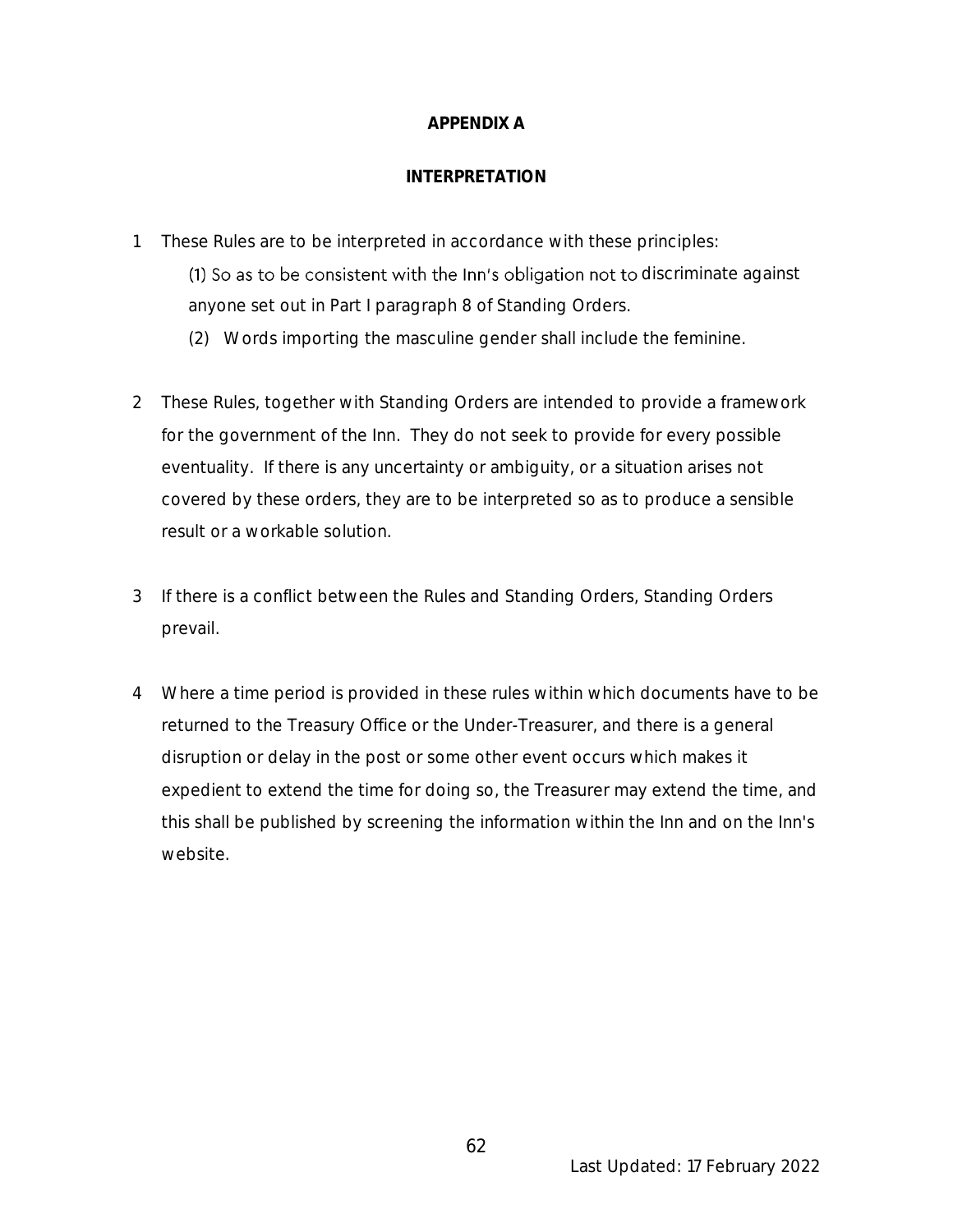#### **APPENDIX A**

#### **INTERPRETATION**

1 These Rules are to be interpreted in accordance with these principles:

(1) So as to be consistent with the Inn's obligation not to discriminate against anyone set out in Part I paragraph 8 of Standing Orders.

- (2) Words importing the masculine gender shall include the feminine.
- 2 These Rules, together with Standing Orders are intended to provide a framework for the government of the Inn. They do not seek to provide for every possible eventuality. If there is any uncertainty or ambiguity, or a situation arises not covered by these orders, they are to be interpreted so as to produce a sensible result or a workable solution.
- 3 If there is a conflict between the Rules and Standing Orders, Standing Orders prevail.
- 4 Where a time period is provided in these rules within which documents have to be returned to the Treasury Office or the Under-Treasurer, and there is a general disruption or delay in the post or some other event occurs which makes it expedient to extend the time for doing so, the Treasurer may extend the time, and this shall be published by screening the information within the Inn and on the Inn's website.